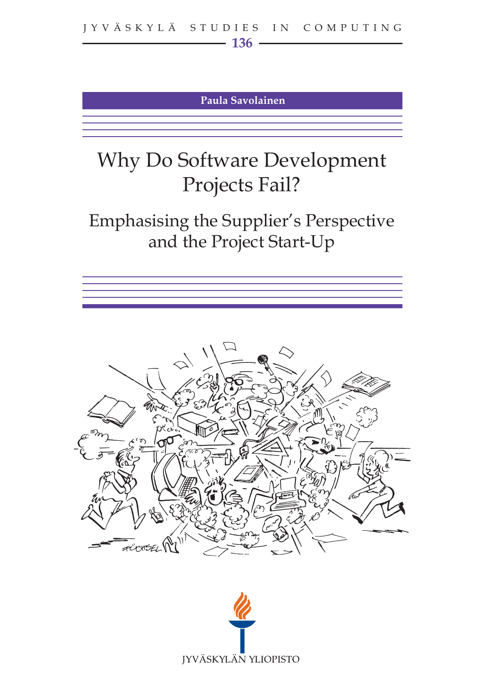**Paula Savolainen**

# Why Do Software Development Projects Fail?

Emphasising the Supplier's Perspective and the Project Start-Up





FÜCKSEL M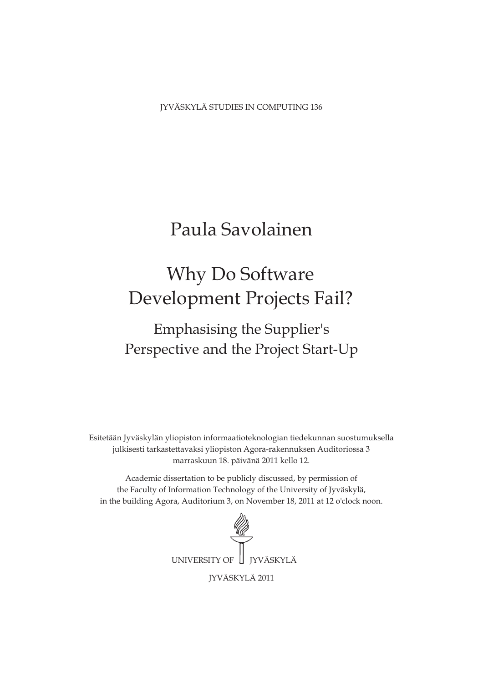JYVÄSKYLÄ STUDIES IN COMPUTING 136

## Paula Savolainen

# Development Projects Fail? Why Do Software

## Perspective and the Project Start-Up Emphasising the Supplier's

Esitetään Jyväskylän yliopiston informaatioteknologian tiedekunnan suostumuksella julkisesti tarkastettavaksi yliopiston Agora-rakennuksen Auditoriossa 3 marraskuun 18. päivänä 2011 kello 12.

Academic dissertation to be publicly discussed, by permission of the Faculty of Information Technology of the University of Jyväskylä, in the building Agora, Auditorium 3, on November 18, 2011 at 12 o'clock noon.

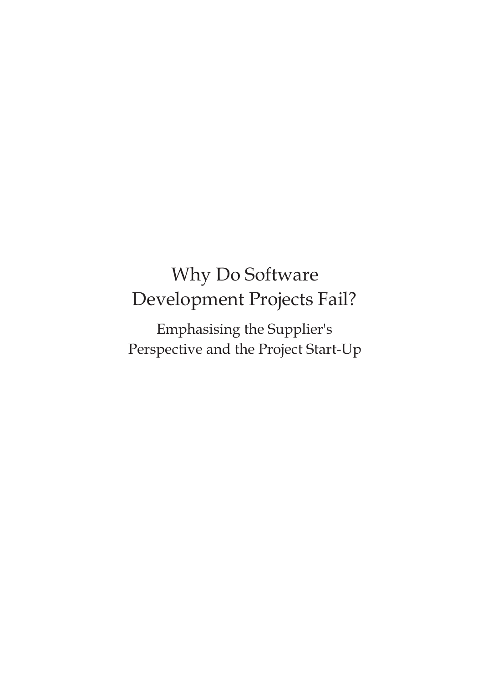# Why Do Software Development Projects Fail?

Emphasising the Supplier's Perspective and the Project Start-Up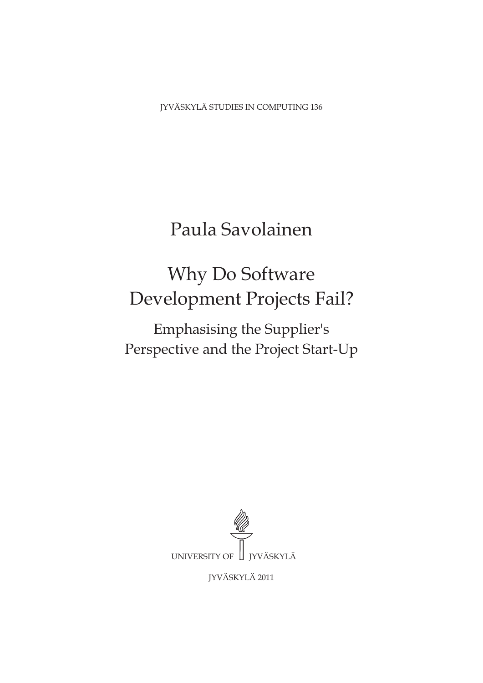JYVÄSKYLÄ STUDIES IN COMPUTING 136

## Paula Savolainen

# Why Do Software Development Projects Fail?

Emphasising the Supplier's Perspective and the Project Start-Up



JYVÄSKYLÄ 2011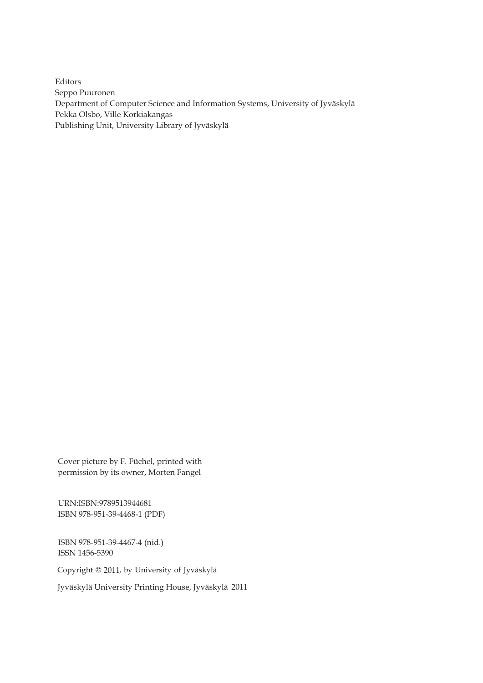Editors Seppo Puuronen Department of Computer Science and Information Systems, University of Jyväskylä Pekka Olsbo, Ville Korkiakangas Publishing Unit, University Library of Jyväskylä

Cover picture by F. Füchel, printed with permission by its owner, Morten Fangel

URN:ISBN:9789513944681 ISBN 978-951-39-4468-1 (PDF)

ISBN 978-951-39-4467-4 (nid.) ISSN 1456-5390

Copyright © 2011, by University of Jyväskylä

Jyväskylä University Printing House, Jyväskylä 2011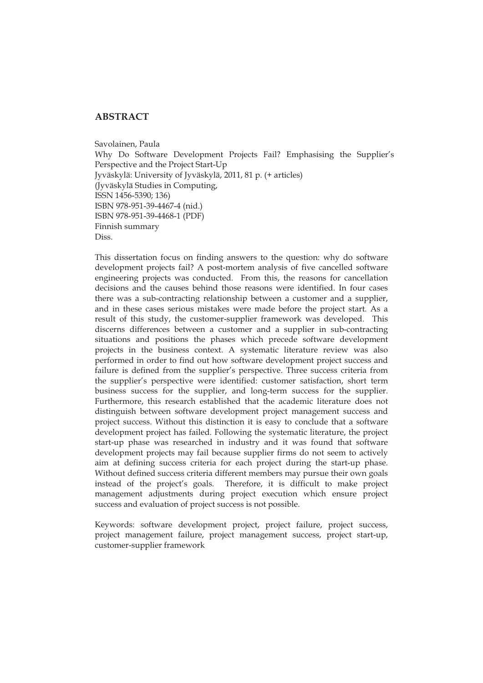#### **ABSTRACT**

Savolainen, Paula Why Do Software Development Projects Fail? Emphasising the Supplier's Perspective and the Project Start-Up Jyväskylä: University of Jyväskylä, 2011, 81 p. (+ articles) (Jyväskylä Studies in Computing, ISSN 1456-5390; 136) ISBN 978-951-39-4467-4 (nid.) ISBN 978-951-39-4468-1 (PDF) Finnish summary Diss.

This dissertation focus on finding answers to the question: why do software development projects fail? A post-mortem analysis of five cancelled software engineering projects was conducted. From this, the reasons for cancellation decisions and the causes behind those reasons were identified. In four cases there was a sub-contracting relationship between a customer and a supplier, and in these cases serious mistakes were made before the project start. As a result of this study, the customer-supplier framework was developed. This discerns differences between a customer and a supplier in sub-contracting situations and positions the phases which precede software development projects in the business context. A systematic literature review was also performed in order to find out how software development project success and failure is defined from the supplier's perspective. Three success criteria from the supplier's perspective were identified: customer satisfaction, short term business success for the supplier, and long-term success for the supplier. Furthermore, this research established that the academic literature does not distinguish between software development project management success and project success. Without this distinction it is easy to conclude that a software development project has failed. Following the systematic literature, the project start-up phase was researched in industry and it was found that software development projects may fail because supplier firms do not seem to actively aim at defining success criteria for each project during the start-up phase. Without defined success criteria different members may pursue their own goals instead of the project's goals. Therefore, it is difficult to make project management adjustments during project execution which ensure project success and evaluation of project success is not possible.

Keywords: software development project, project failure, project success, project management failure, project management success, project start-up, customer-supplier framework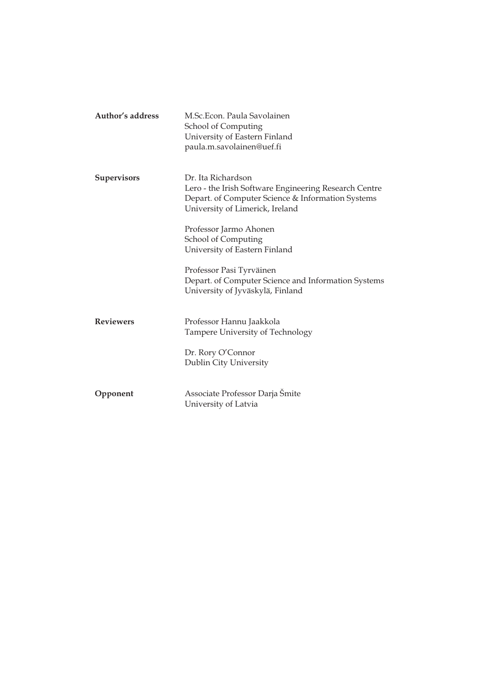| Author's address | M.Sc.Econ. Paula Savolainen<br>School of Computing<br>University of Eastern Finland<br>paula.m.savolainen@uef.fi                                                    |
|------------------|---------------------------------------------------------------------------------------------------------------------------------------------------------------------|
| Supervisors      | Dr. Ita Richardson<br>Lero - the Irish Software Engineering Research Centre<br>Depart. of Computer Science & Information Systems<br>University of Limerick, Ireland |
|                  | Professor Jarmo Ahonen<br>School of Computing<br>University of Eastern Finland                                                                                      |
|                  | Professor Pasi Tyrväinen<br>Depart. of Computer Science and Information Systems<br>University of Jyväskylä, Finland                                                 |
| <b>Reviewers</b> | Professor Hannu Jaakkola<br><b>Tampere University of Technology</b><br>Dr. Rory O'Connor<br>Dublin City University                                                  |
| Opponent         | Associate Professor Darja Śmite<br>University of Latvia                                                                                                             |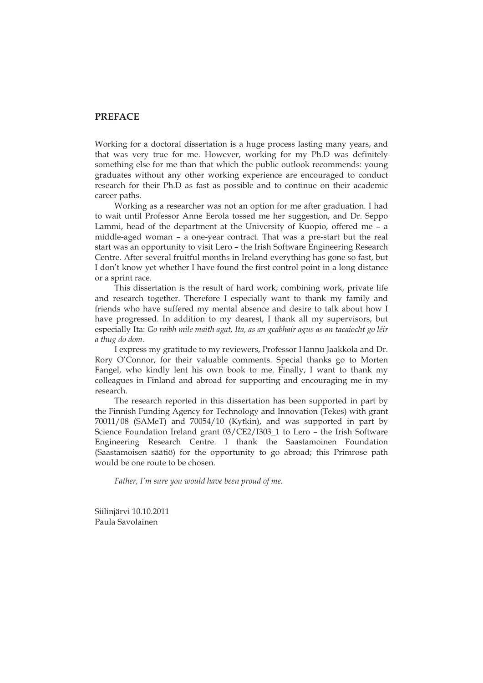#### **PREFACE**

Working for a doctoral dissertation is a huge process lasting many years, and that was very true for me. However, working for my Ph.D was definitely something else for me than that which the public outlook recommends: young graduates without any other working experience are encouraged to conduct research for their Ph.D as fast as possible and to continue on their academic career paths.

Working as a researcher was not an option for me after graduation. I had to wait until Professor Anne Eerola tossed me her suggestion, and Dr. Seppo Lammi, head of the department at the University of Kuopio, offered me – a middle-aged woman – a one-year contract. That was a pre-start but the real start was an opportunity to visit Lero – the Irish Software Engineering Research Centre. After several fruitful months in Ireland everything has gone so fast, but I don't know yet whether I have found the first control point in a long distance or a sprint race.

This dissertation is the result of hard work; combining work, private life and research together. Therefore I especially want to thank my family and friends who have suffered my mental absence and desire to talk about how I have progressed. In addition to my dearest, I thank all my supervisors, but especially Ita: *Go raibh mile maith agat, Ita, as an gcabhair agus as an tacaiocht go léir a thug do dom.* 

I express my gratitude to my reviewers, Professor Hannu Jaakkola and Dr. Rory O'Connor, for their valuable comments. Special thanks go to Morten Fangel, who kindly lent his own book to me. Finally, I want to thank my colleagues in Finland and abroad for supporting and encouraging me in my research.

The research reported in this dissertation has been supported in part by the Finnish Funding Agency for Technology and Innovation (Tekes) with grant 70011/08 (SAMeT) and 70054/10 (Kytkin), and was supported in part by Science Foundation Ireland grant 03/CE2/I303\_1 to Lero – the Irish Software Engineering Research Centre. I thank the Saastamoinen Foundation (Saastamoisen säätiö) for the opportunity to go abroad; this Primrose path would be one route to be chosen.

*Father, I'm sure you would have been proud of me.* 

Siilinjärvi 10.10.2011 Paula Savolainen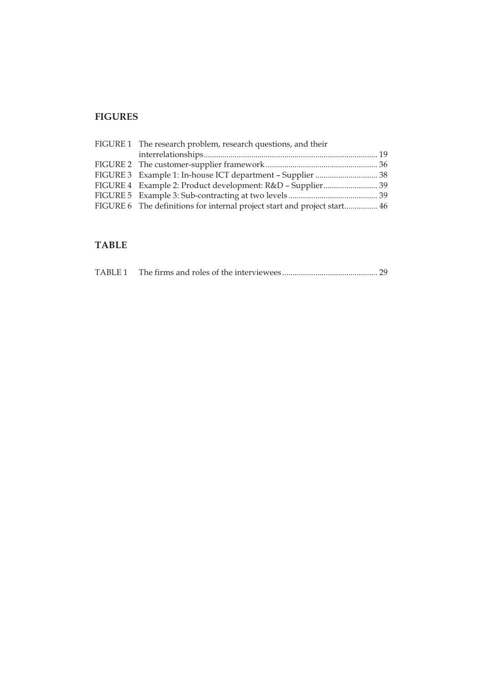## **FIGURES**

| FIGURE 1 The research problem, research questions, and their             |  |
|--------------------------------------------------------------------------|--|
|                                                                          |  |
|                                                                          |  |
| FIGURE 3 Example 1: In-house ICT department - Supplier  38               |  |
|                                                                          |  |
|                                                                          |  |
| FIGURE 6 The definitions for internal project start and project start 46 |  |
|                                                                          |  |

## **TABLE**

|--|--|--|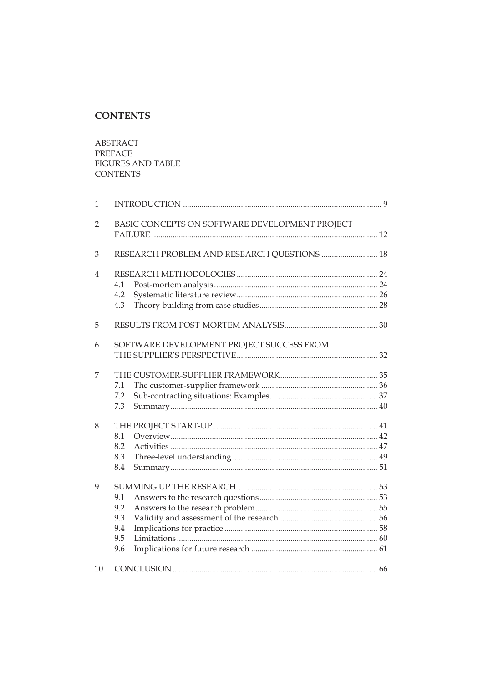## **CONTENTS**

ABSTRACT PREFACE **FIGURES AND TABLE CONTENTS** 

| 1              |                                                |  |  |
|----------------|------------------------------------------------|--|--|
| $\overline{2}$ | BASIC CONCEPTS ON SOFTWARE DEVELOPMENT PROJECT |  |  |
| 3              | RESEARCH PROBLEM AND RESEARCH QUESTIONS  18    |  |  |
| 4              | 4.1<br>4.2<br>4.3                              |  |  |
| 5              |                                                |  |  |
| 6              | SOFTWARE DEVELOPMENT PROJECT SUCCESS FROM      |  |  |
| 7              | 7.1<br>7.2<br>7.3                              |  |  |
| 8              | 8.1<br>8.2<br>8.3<br>8.4                       |  |  |
| 9              | 9.1<br>9.2<br>9.3<br>9.4<br>9.5<br>9.6         |  |  |
| 10             |                                                |  |  |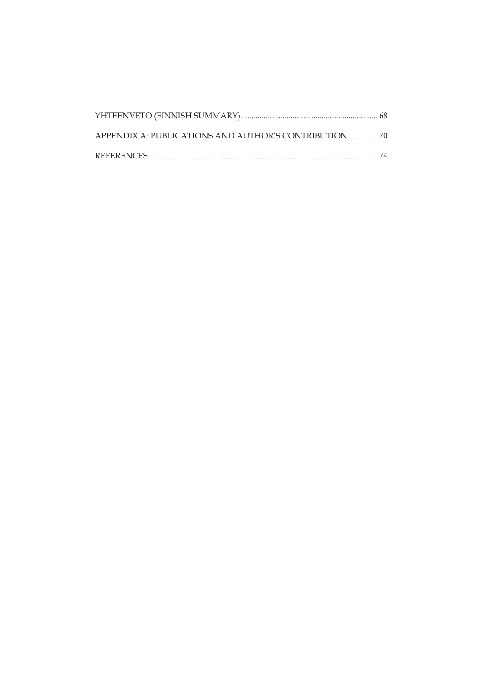| APPENDIX A: PUBLICATIONS AND AUTHOR'S CONTRIBUTION  70 |  |
|--------------------------------------------------------|--|
|                                                        |  |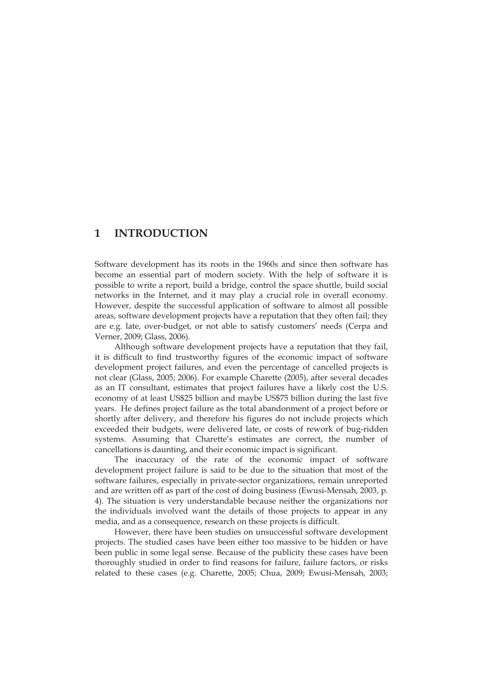### **1 INTRODUCTION**

Software development has its roots in the 1960s and since then software has become an essential part of modern society. With the help of software it is possible to write a report, build a bridge, control the space shuttle, build social networks in the Internet, and it may play a crucial role in overall economy. However, despite the successful application of software to almost all possible areas, software development projects have a reputation that they often fail; they are e.g. late, over-budget, or not able to satisfy customers' needs (Cerpa and Verner, 2009; Glass, 2006).

Although software development projects have a reputation that they fail, it is difficult to find trustworthy figures of the economic impact of software development project failures, and even the percentage of cancelled projects is not clear (Glass, 2005; 2006). For example Charette (2005), after several decades as an IT consultant, estimates that project failures have a likely cost the U.S. economy of at least US\$25 billion and maybe US\$75 billion during the last five years. He defines project failure as the total abandonment of a project before or shortly after delivery, and therefore his figures do not include projects which exceeded their budgets, were delivered late, or costs of rework of bug-ridden systems. Assuming that Charette's estimates are correct, the number of cancellations is daunting, and their economic impact is significant.

The inaccuracy of the rate of the economic impact of software development project failure is said to be due to the situation that most of the software failures, especially in private-sector organizations, remain unreported and are written off as part of the cost of doing business (Ewusi-Mensah, 2003, p. 4). The situation is very understandable because neither the organizations nor the individuals involved want the details of those projects to appear in any media, and as a consequence, research on these projects is difficult.

However, there have been studies on unsuccessful software development projects. The studied cases have been either too massive to be hidden or have been public in some legal sense. Because of the publicity these cases have been thoroughly studied in order to find reasons for failure, failure factors, or risks related to these cases (e.g. Charette, 2005; Chua, 2009; Ewusi-Mensah, 2003;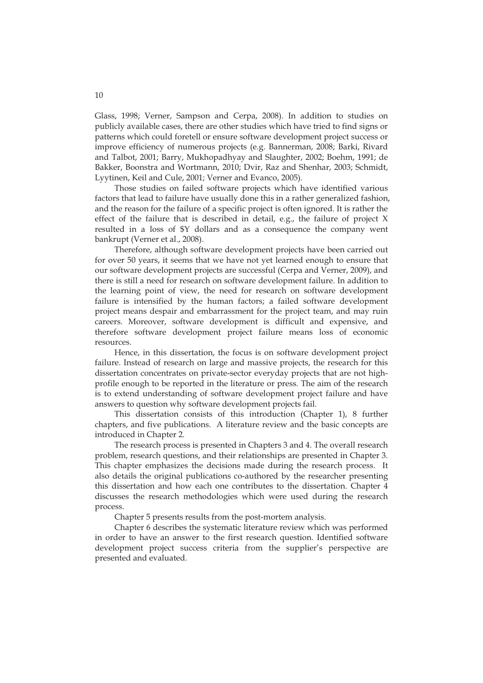Glass, 1998; Verner, Sampson and Cerpa, 2008). In addition to studies on publicly available cases, there are other studies which have tried to find signs or patterns which could foretell or ensure software development project success or improve efficiency of numerous projects (e.g. Bannerman, 2008; Barki, Rivard and Talbot, 2001; Barry, Mukhopadhyay and Slaughter, 2002; Boehm, 1991; de Bakker, Boonstra and Wortmann, 2010; Dvir, Raz and Shenhar, 2003; Schmidt, Lyytinen, Keil and Cule, 2001; Verner and Evanco, 2005).

Those studies on failed software projects which have identified various factors that lead to failure have usually done this in a rather generalized fashion, and the reason for the failure of a specific project is often ignored. It is rather the effect of the failure that is described in detail, e.g., the failure of project X resulted in a loss of \$Y dollars and as a consequence the company went bankrupt (Verner et al., 2008).

Therefore, although software development projects have been carried out for over 50 years, it seems that we have not yet learned enough to ensure that our software development projects are successful (Cerpa and Verner, 2009), and there is still a need for research on software development failure. In addition to the learning point of view, the need for research on software development failure is intensified by the human factors; a failed software development project means despair and embarrassment for the project team, and may ruin careers. Moreover, software development is difficult and expensive, and therefore software development project failure means loss of economic resources.

Hence, in this dissertation, the focus is on software development project failure. Instead of research on large and massive projects, the research for this dissertation concentrates on private-sector everyday projects that are not highprofile enough to be reported in the literature or press. The aim of the research is to extend understanding of software development project failure and have answers to question why software development projects fail.

This dissertation consists of this introduction (Chapter 1), 8 further chapters, and five publications. A literature review and the basic concepts are introduced in Chapter 2.

The research process is presented in Chapters 3 and 4. The overall research problem, research questions, and their relationships are presented in Chapter 3. This chapter emphasizes the decisions made during the research process. It also details the original publications co-authored by the researcher presenting this dissertation and how each one contributes to the dissertation. Chapter 4 discusses the research methodologies which were used during the research process.

Chapter 5 presents results from the post-mortem analysis.

Chapter 6 describes the systematic literature review which was performed in order to have an answer to the first research question. Identified software development project success criteria from the supplier's perspective are presented and evaluated.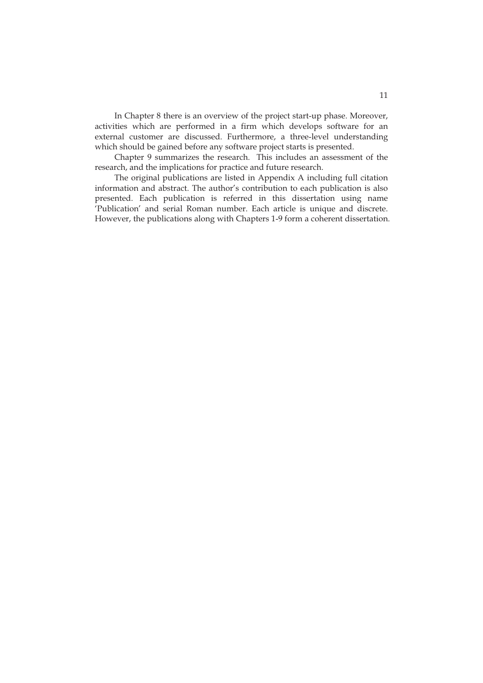In Chapter 8 there is an overview of the project start-up phase. Moreover, activities which are performed in a firm which develops software for an external customer are discussed. Furthermore, a three-level understanding which should be gained before any software project starts is presented.

Chapter 9 summarizes the research. This includes an assessment of the research, and the implications for practice and future research.

The original publications are listed in Appendix A including full citation information and abstract. The author's contribution to each publication is also presented. Each publication is referred in this dissertation using name 'Publication' and serial Roman number. Each article is unique and discrete. However, the publications along with Chapters 1-9 form a coherent dissertation.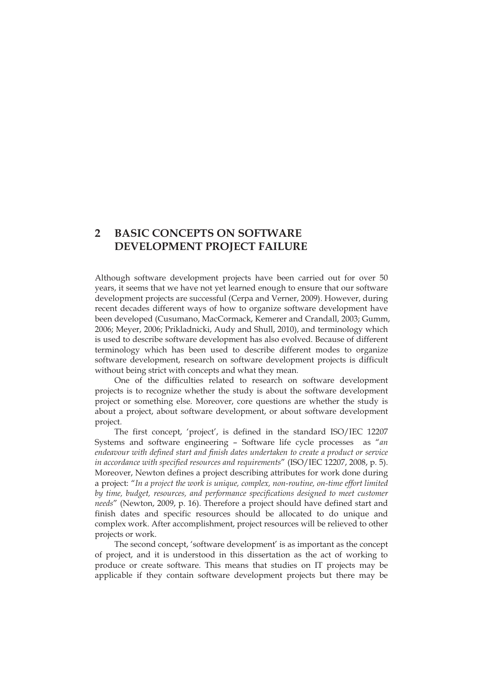## **2 BASIC CONCEPTS ON SOFTWARE DEVELOPMENT PROJECT FAILURE**

Although software development projects have been carried out for over 50 years, it seems that we have not yet learned enough to ensure that our software development projects are successful (Cerpa and Verner, 2009). However, during recent decades different ways of how to organize software development have been developed (Cusumano, MacCormack, Kemerer and Crandall, 2003; Gumm, 2006; Meyer, 2006; Prikladnicki, Audy and Shull, 2010), and terminology which is used to describe software development has also evolved. Because of different terminology which has been used to describe different modes to organize software development, research on software development projects is difficult without being strict with concepts and what they mean.

One of the difficulties related to research on software development projects is to recognize whether the study is about the software development project or something else. Moreover, core questions are whether the study is about a project, about software development, or about software development project.

The first concept, 'project', is defined in the standard ISO/IEC 12207 Systems and software engineering – Software life cycle processes as "*an endeavour with defined start and finish dates undertaken to create a product or service in accordance with specified resources and requirements*" (ISO/IEC 12207, 2008, p. 5). Moreover, Newton defines a project describing attributes for work done during a project: "*In a project the work is unique, complex, non-routine, on-time effort limited by time, budget, resources, and performance specifications designed to meet customer needs*" (Newton, 2009, p. 16). Therefore a project should have defined start and finish dates and specific resources should be allocated to do unique and complex work. After accomplishment, project resources will be relieved to other projects or work.

The second concept, 'software development' is as important as the concept of project, and it is understood in this dissertation as the act of working to produce or create software. This means that studies on IT projects may be applicable if they contain software development projects but there may be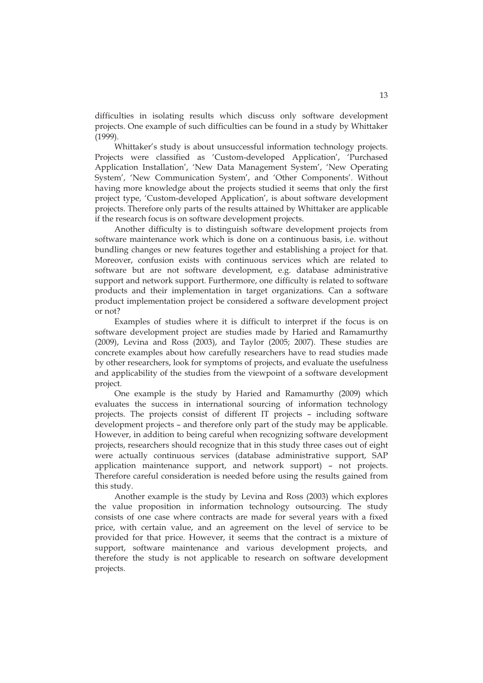difficulties in isolating results which discuss only software development projects. One example of such difficulties can be found in a study by Whittaker (1999).

Whittaker's study is about unsuccessful information technology projects. Projects were classified as 'Custom-developed Application', 'Purchased Application Installation', 'New Data Management System', 'New Operating System', 'New Communication System', and 'Other Components'. Without having more knowledge about the projects studied it seems that only the first project type, 'Custom-developed Application', is about software development projects. Therefore only parts of the results attained by Whittaker are applicable if the research focus is on software development projects.

Another difficulty is to distinguish software development projects from software maintenance work which is done on a continuous basis, i.e. without bundling changes or new features together and establishing a project for that. Moreover, confusion exists with continuous services which are related to software but are not software development, e.g. database administrative support and network support. Furthermore, one difficulty is related to software products and their implementation in target organizations. Can a software product implementation project be considered a software development project or not?

Examples of studies where it is difficult to interpret if the focus is on software development project are studies made by Haried and Ramamurthy (2009), Levina and Ross (2003), and Taylor (2005; 2007). These studies are concrete examples about how carefully researchers have to read studies made by other researchers, look for symptoms of projects, and evaluate the usefulness and applicability of the studies from the viewpoint of a software development project.

One example is the study by Haried and Ramamurthy (2009) which evaluates the success in international sourcing of information technology projects. The projects consist of different IT projects – including software development projects – and therefore only part of the study may be applicable. However, in addition to being careful when recognizing software development projects, researchers should recognize that in this study three cases out of eight were actually continuous services (database administrative support, SAP application maintenance support, and network support) – not projects. Therefore careful consideration is needed before using the results gained from this study.

Another example is the study by Levina and Ross (2003) which explores the value proposition in information technology outsourcing. The study consists of one case where contracts are made for several years with a fixed price, with certain value, and an agreement on the level of service to be provided for that price. However, it seems that the contract is a mixture of support, software maintenance and various development projects, and therefore the study is not applicable to research on software development projects.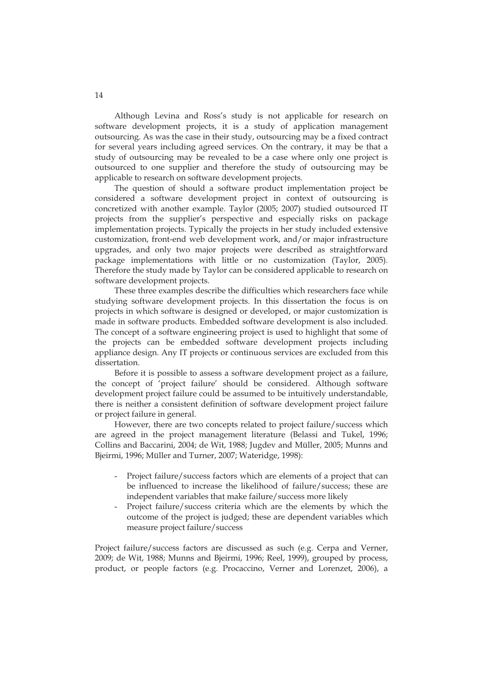Although Levina and Ross's study is not applicable for research on software development projects, it is a study of application management outsourcing. As was the case in their study, outsourcing may be a fixed contract for several years including agreed services. On the contrary, it may be that a study of outsourcing may be revealed to be a case where only one project is outsourced to one supplier and therefore the study of outsourcing may be applicable to research on software development projects.

The question of should a software product implementation project be considered a software development project in context of outsourcing is concretized with another example. Taylor (2005; 2007) studied outsourced IT projects from the supplier's perspective and especially risks on package implementation projects. Typically the projects in her study included extensive customization, front-end web development work, and/or major infrastructure upgrades, and only two major projects were described as straightforward package implementations with little or no customization (Taylor, 2005). Therefore the study made by Taylor can be considered applicable to research on software development projects.

These three examples describe the difficulties which researchers face while studying software development projects. In this dissertation the focus is on projects in which software is designed or developed, or major customization is made in software products. Embedded software development is also included. The concept of a software engineering project is used to highlight that some of the projects can be embedded software development projects including appliance design. Any IT projects or continuous services are excluded from this dissertation.

Before it is possible to assess a software development project as a failure, the concept of 'project failure' should be considered. Although software development project failure could be assumed to be intuitively understandable, there is neither a consistent definition of software development project failure or project failure in general.

However, there are two concepts related to project failure/success which are agreed in the project management literature (Belassi and Tukel, 1996; Collins and Baccarini, 2004; de Wit, 1988; Jugdev and Müller, 2005; Munns and Bjeirmi, 1996; Müller and Turner, 2007; Wateridge, 1998):

- Project failure/success factors which are elements of a project that can be influenced to increase the likelihood of failure/success; these are independent variables that make failure/success more likely
- Project failure/success criteria which are the elements by which the outcome of the project is judged; these are dependent variables which measure project failure/success

Project failure/success factors are discussed as such (e.g. Cerpa and Verner, 2009; de Wit, 1988; Munns and Bjeirmi, 1996; Reel, 1999), grouped by process, product, or people factors (e.g. Procaccino, Verner and Lorenzet, 2006), a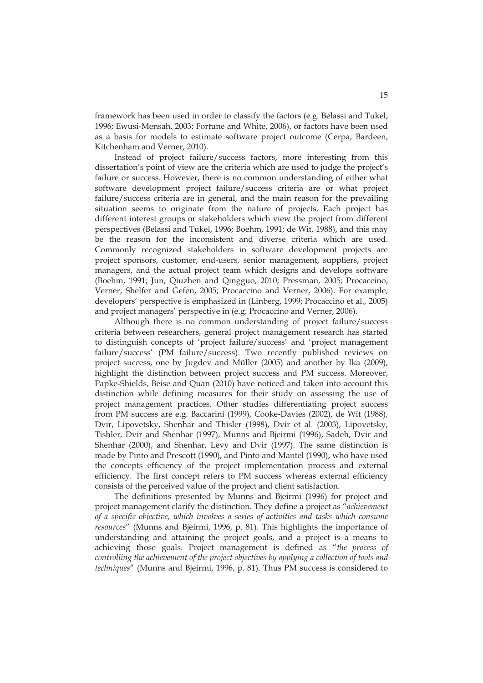framework has been used in order to classify the factors (e.g. Belassi and Tukel, 1996; Ewusi-Mensah, 2003; Fortune and White, 2006), or factors have been used as a basis for models to estimate software project outcome (Cerpa, Bardeen, Kitchenham and Verner, 2010).

Instead of project failure/success factors, more interesting from this dissertation's point of view are the criteria which are used to judge the project's failure or success. However, there is no common understanding of either what software development project failure/success criteria are or what project failure/success criteria are in general, and the main reason for the prevailing situation seems to originate from the nature of projects. Each project has different interest groups or stakeholders which view the project from different perspectives (Belassi and Tukel, 1996; Boehm, 1991; de Wit, 1988), and this may be the reason for the inconsistent and diverse criteria which are used. Commonly recognized stakeholders in software development projects are project sponsors, customer, end-users, senior management, suppliers, project managers, and the actual project team which designs and develops software (Boehm, 1991; Jun, Qiuzhen and Qingguo, 2010; Pressman, 2005; Procaccino, Verner, Shelfer and Gefen, 2005; Procaccino and Verner, 2006). For example, developers' perspective is emphasized in (Linberg, 1999; Procaccino et al., 2005) and project managers' perspective in (e.g. Procaccino and Verner, 2006).

Although there is no common understanding of project failure/success criteria between researchers, general project management research has started to distinguish concepts of 'project failure/success' and 'project management failure/success' (PM failure/success). Two recently published reviews on project success, one by Jugdev and Müller (2005) and another by Ika (2009), highlight the distinction between project success and PM success. Moreover, Papke-Shields, Beise and Quan (2010) have noticed and taken into account this distinction while defining measures for their study on assessing the use of project management practices. Other studies differentiating project success from PM success are e.g. Baccarini (1999), Cooke-Davies (2002), de Wit (1988), Dvir, Lipovetsky, Shenhar and Thisler (1998), Dvir et al. (2003), Lipovetsky, Tishler, Dvir and Shenhar (1997), Munns and Bjeirmi (1996), Sadeh, Dvir and Shenhar (2000), and Shenhar, Levy and Dvir (1997). The same distinction is made by Pinto and Prescott (1990), and Pinto and Mantel (1990), who have used the concepts efficiency of the project implementation process and external efficiency. The first concept refers to PM success whereas external efficiency consists of the perceived value of the project and client satisfaction.

The definitions presented by Munns and Bjeirmi (1996) for project and project management clarify the distinction. They define a project as "*achievement of a specific objective, which involves a series of activities and tasks which consume resources*" (Munns and Bjeirmi, 1996, p. 81). This highlights the importance of understanding and attaining the project goals, and a project is a means to achieving those goals. Project management is defined as "*the process of controlling the achievement of the project objectives by applying a collection of tools and techniques*" (Munns and Bjeirmi, 1996, p. 81). Thus PM success is considered to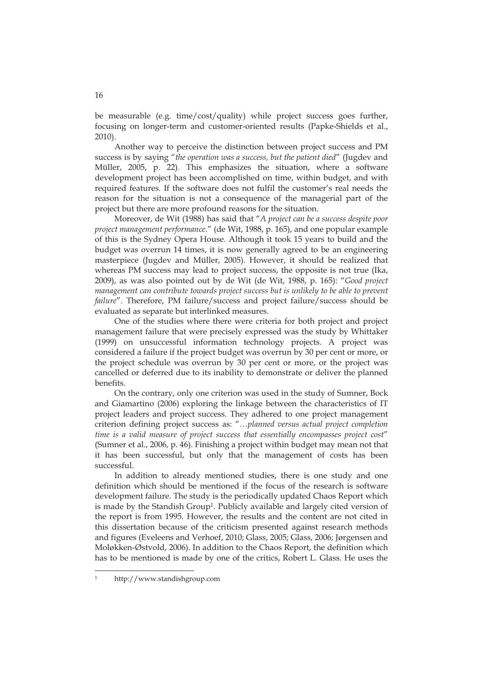be measurable (e.g. time/cost/quality) while project success goes further, focusing on longer-term and customer-oriented results (Papke-Shields et al., 2010).

Another way to perceive the distinction between project success and PM success is by saying "*the operation was a success, but the patient died*" (Jugdev and Müller, 2005, p. 22). This emphasizes the situation, where a software development project has been accomplished on time, within budget, and with required features. If the software does not fulfil the customer's real needs the reason for the situation is not a consequence of the managerial part of the project but there are more profound reasons for the situation.

Moreover, de Wit (1988) has said that "*A project can be a success despite poor project management performance*." (de Wit, 1988, p. 165), and one popular example of this is the Sydney Opera House. Although it took 15 years to build and the budget was overrun 14 times, it is now generally agreed to be an engineering masterpiece (Jugdev and Müller, 2005). However, it should be realized that whereas PM success may lead to project success, the opposite is not true (Ika, 2009), as was also pointed out by de Wit (de Wit, 1988, p. 165): "*Good project management can contribute towards project success but is unlikely to be able to prevent failure*". Therefore, PM failure/success and project failure/success should be evaluated as separate but interlinked measures.

One of the studies where there were criteria for both project and project management failure that were precisely expressed was the study by Whittaker (1999) on unsuccessful information technology projects. A project was considered a failure if the project budget was overrun by 30 per cent or more, or the project schedule was overrun by 30 per cent or more, or the project was cancelled or deferred due to its inability to demonstrate or deliver the planned benefits.

On the contrary, only one criterion was used in the study of Sumner, Bock and Giamartino (2006) exploring the linkage between the characteristics of IT project leaders and project success. They adhered to one project management criterion defining project success as: "…*planned versus actual project completion time is a valid measure of project success that essentially encompasses project cost*" (Sumner et al., 2006, p. 46). Finishing a project within budget may mean not that it has been successful, but only that the management of costs has been successful.

In addition to already mentioned studies, there is one study and one definition which should be mentioned if the focus of the research is software development failure. The study is the periodically updated Chaos Report which is made by the Standish Group<sup>1</sup>. Publicly available and largely cited version of the report is from 1995. However, the results and the content are not cited in this dissertation because of the criticism presented against research methods and figures (Eveleens and Verhoef, 2010; Glass, 2005; Glass, 2006; Jørgensen and Moløkken-Østvold, 2006). In addition to the Chaos Report, the definition which has to be mentioned is made by one of the critics, Robert L. Glass. He uses the

-

<sup>1</sup> http://www.standishgroup.com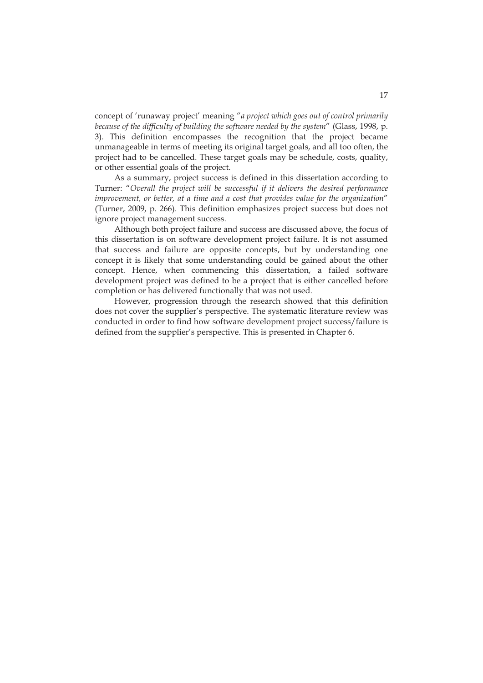concept of 'runaway project' meaning "*a project which goes out of control primarily because of the difficulty of building the software needed by the system*" (Glass, 1998, p. 3). This definition encompasses the recognition that the project became unmanageable in terms of meeting its original target goals, and all too often, the project had to be cancelled. These target goals may be schedule, costs, quality, or other essential goals of the project.

As a summary, project success is defined in this dissertation according to Turner: "*Overall the project will be successful if it delivers the desired performance improvement, or better, at a time and a cost that provides value for the organization*" (Turner, 2009, p. 266). This definition emphasizes project success but does not ignore project management success.

Although both project failure and success are discussed above, the focus of this dissertation is on software development project failure. It is not assumed that success and failure are opposite concepts, but by understanding one concept it is likely that some understanding could be gained about the other concept. Hence, when commencing this dissertation, a failed software development project was defined to be a project that is either cancelled before completion or has delivered functionally that was not used.

However, progression through the research showed that this definition does not cover the supplier's perspective. The systematic literature review was conducted in order to find how software development project success/failure is defined from the supplier's perspective. This is presented in Chapter 6.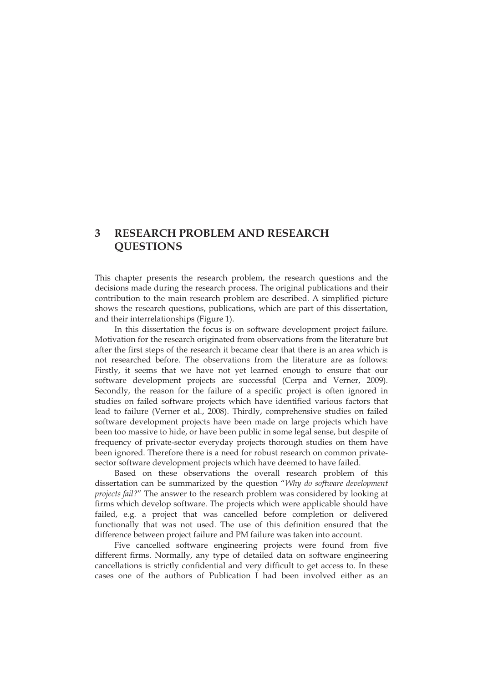## **3 RESEARCH PROBLEM AND RESEARCH QUESTIONS**

This chapter presents the research problem, the research questions and the decisions made during the research process. The original publications and their contribution to the main research problem are described. A simplified picture shows the research questions, publications, which are part of this dissertation, and their interrelationships (Figure 1).

In this dissertation the focus is on software development project failure. Motivation for the research originated from observations from the literature but after the first steps of the research it became clear that there is an area which is not researched before. The observations from the literature are as follows: Firstly, it seems that we have not yet learned enough to ensure that our software development projects are successful (Cerpa and Verner, 2009). Secondly, the reason for the failure of a specific project is often ignored in studies on failed software projects which have identified various factors that lead to failure (Verner et al., 2008). Thirdly, comprehensive studies on failed software development projects have been made on large projects which have been too massive to hide, or have been public in some legal sense, but despite of frequency of private-sector everyday projects thorough studies on them have been ignored. Therefore there is a need for robust research on common privatesector software development projects which have deemed to have failed.

Based on these observations the overall research problem of this dissertation can be summarized by the question "*Why do software development projects fail?*" The answer to the research problem was considered by looking at firms which develop software. The projects which were applicable should have failed, e.g. a project that was cancelled before completion or delivered functionally that was not used. The use of this definition ensured that the difference between project failure and PM failure was taken into account.

Five cancelled software engineering projects were found from five different firms. Normally, any type of detailed data on software engineering cancellations is strictly confidential and very difficult to get access to. In these cases one of the authors of Publication I had been involved either as an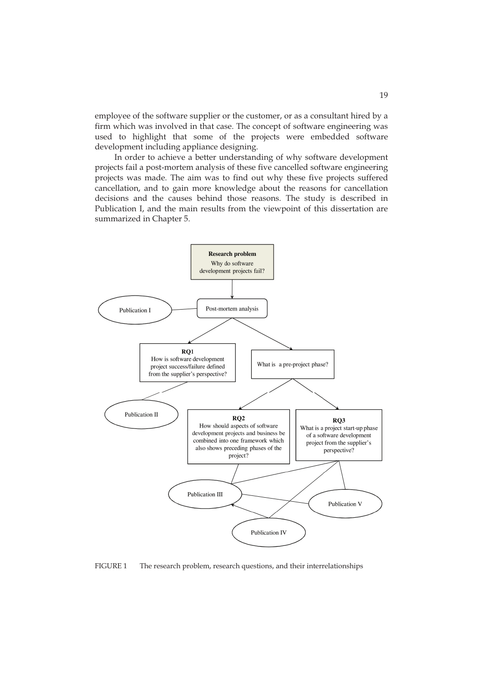employee of the software supplier or the customer, or as a consultant hired by a firm which was involved in that case. The concept of software engineering was used to highlight that some of the projects were embedded software development including appliance designing.

In order to achieve a better understanding of why software development projects fail a post-mortem analysis of these five cancelled software engineering projects was made. The aim was to find out why these five projects suffered cancellation, and to gain more knowledge about the reasons for cancellation decisions and the causes behind those reasons. The study is described in Publication I, and the main results from the viewpoint of this dissertation are summarized in Chapter 5.



FIGURE 1 The research problem, research questions, and their interrelationships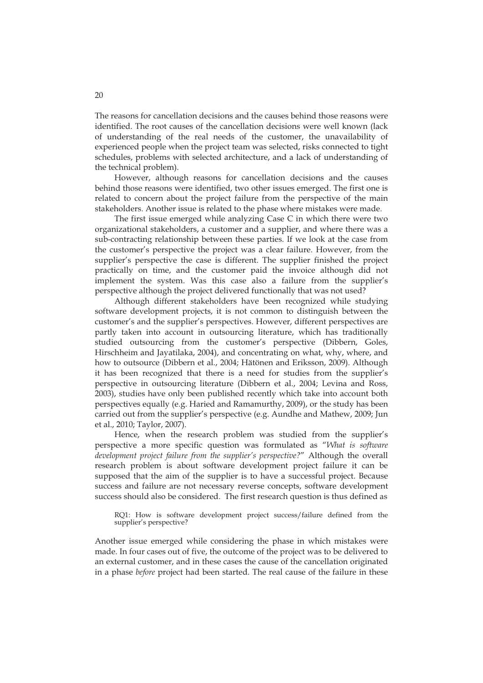The reasons for cancellation decisions and the causes behind those reasons were identified. The root causes of the cancellation decisions were well known (lack of understanding of the real needs of the customer, the unavailability of experienced people when the project team was selected, risks connected to tight schedules, problems with selected architecture, and a lack of understanding of the technical problem).

However, although reasons for cancellation decisions and the causes behind those reasons were identified, two other issues emerged. The first one is related to concern about the project failure from the perspective of the main stakeholders. Another issue is related to the phase where mistakes were made.

The first issue emerged while analyzing Case C in which there were two organizational stakeholders, a customer and a supplier, and where there was a sub-contracting relationship between these parties. If we look at the case from the customer's perspective the project was a clear failure. However, from the supplier's perspective the case is different. The supplier finished the project practically on time, and the customer paid the invoice although did not implement the system. Was this case also a failure from the supplier's perspective although the project delivered functionally that was not used?

Although different stakeholders have been recognized while studying software development projects, it is not common to distinguish between the customer's and the supplier's perspectives. However, different perspectives are partly taken into account in outsourcing literature, which has traditionally studied outsourcing from the customer's perspective (Dibbern, Goles, Hirschheim and Jayatilaka, 2004), and concentrating on what, why, where, and how to outsource (Dibbern et al., 2004; Hätönen and Eriksson, 2009). Although it has been recognized that there is a need for studies from the supplier's perspective in outsourcing literature (Dibbern et al., 2004; Levina and Ross, 2003), studies have only been published recently which take into account both perspectives equally (e.g. Haried and Ramamurthy, 2009), or the study has been carried out from the supplier's perspective (e.g. Aundhe and Mathew, 2009; Jun et al., 2010; Taylor, 2007).

Hence, when the research problem was studied from the supplier's perspective a more specific question was formulated as "*What is software development project failure from the supplier's perspective?*" Although the overall research problem is about software development project failure it can be supposed that the aim of the supplier is to have a successful project. Because success and failure are not necessary reverse concepts, software development success should also be considered. The first research question is thus defined as

RQ1: How is software development project success/failure defined from the supplier's perspective?

Another issue emerged while considering the phase in which mistakes were made. In four cases out of five, the outcome of the project was to be delivered to an external customer, and in these cases the cause of the cancellation originated in a phase *before* project had been started. The real cause of the failure in these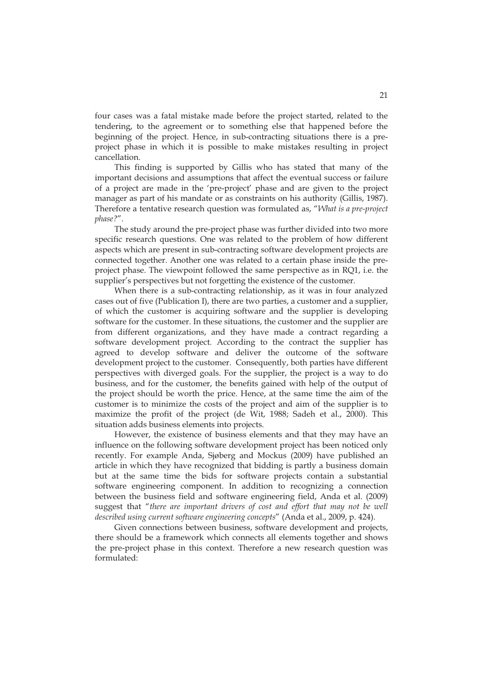four cases was a fatal mistake made before the project started, related to the tendering, to the agreement or to something else that happened before the beginning of the project. Hence, in sub-contracting situations there is a preproject phase in which it is possible to make mistakes resulting in project cancellation.

This finding is supported by Gillis who has stated that many of the important decisions and assumptions that affect the eventual success or failure of a project are made in the 'pre-project' phase and are given to the project manager as part of his mandate or as constraints on his authority (Gillis, 1987). Therefore a tentative research question was formulated as, "*What is a pre-project phase?*".

The study around the pre-project phase was further divided into two more specific research questions. One was related to the problem of how different aspects which are present in sub-contracting software development projects are connected together. Another one was related to a certain phase inside the preproject phase. The viewpoint followed the same perspective as in RQ1, i.e. the supplier's perspectives but not forgetting the existence of the customer.

When there is a sub-contracting relationship, as it was in four analyzed cases out of five (Publication I), there are two parties, a customer and a supplier, of which the customer is acquiring software and the supplier is developing software for the customer. In these situations, the customer and the supplier are from different organizations, and they have made a contract regarding a software development project. According to the contract the supplier has agreed to develop software and deliver the outcome of the software development project to the customer. Consequently, both parties have different perspectives with diverged goals. For the supplier, the project is a way to do business, and for the customer, the benefits gained with help of the output of the project should be worth the price. Hence, at the same time the aim of the customer is to minimize the costs of the project and aim of the supplier is to maximize the profit of the project (de Wit, 1988; Sadeh et al., 2000). This situation adds business elements into projects.

However, the existence of business elements and that they may have an influence on the following software development project has been noticed only recently. For example Anda, Sjøberg and Mockus (2009) have published an article in which they have recognized that bidding is partly a business domain but at the same time the bids for software projects contain a substantial software engineering component. In addition to recognizing a connection between the business field and software engineering field, Anda et al. (2009) suggest that "*there are important drivers of cost and effort that may not be well described using current software engineering concepts*" (Anda et al., 2009, p. 424).

Given connections between business, software development and projects, there should be a framework which connects all elements together and shows the pre-project phase in this context. Therefore a new research question was formulated: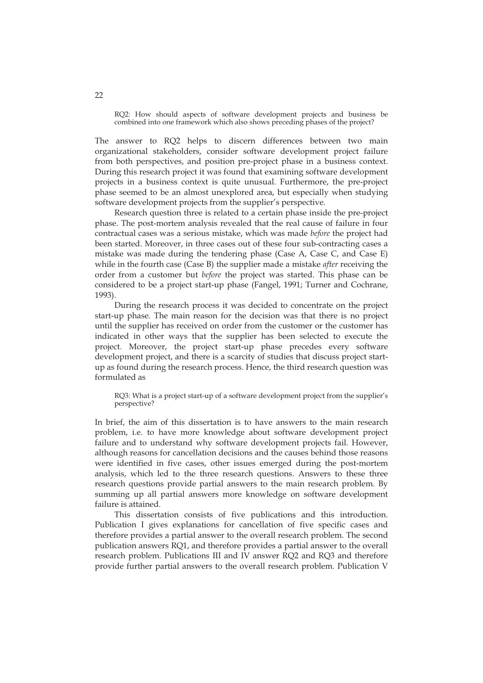RQ2: How should aspects of software development projects and business be combined into one framework which also shows preceding phases of the project?

The answer to RQ2 helps to discern differences between two main organizational stakeholders, consider software development project failure from both perspectives, and position pre-project phase in a business context. During this research project it was found that examining software development projects in a business context is quite unusual. Furthermore, the pre-project phase seemed to be an almost unexplored area, but especially when studying software development projects from the supplier's perspective.

Research question three is related to a certain phase inside the pre-project phase. The post-mortem analysis revealed that the real cause of failure in four contractual cases was a serious mistake, which was made *before* the project had been started. Moreover, in three cases out of these four sub-contracting cases a mistake was made during the tendering phase (Case A, Case C, and Case E) while in the fourth case (Case B) the supplier made a mistake *after* receiving the order from a customer but *before* the project was started. This phase can be considered to be a project start-up phase (Fangel, 1991; Turner and Cochrane, 1993).

During the research process it was decided to concentrate on the project start-up phase. The main reason for the decision was that there is no project until the supplier has received on order from the customer or the customer has indicated in other ways that the supplier has been selected to execute the project. Moreover, the project start-up phase precedes every software development project, and there is a scarcity of studies that discuss project startup as found during the research process. Hence, the third research question was formulated as

RQ3: What is a project start-up of a software development project from the supplier's perspective?

In brief, the aim of this dissertation is to have answers to the main research problem, i.e. to have more knowledge about software development project failure and to understand why software development projects fail. However, although reasons for cancellation decisions and the causes behind those reasons were identified in five cases, other issues emerged during the post-mortem analysis, which led to the three research questions. Answers to these three research questions provide partial answers to the main research problem. By summing up all partial answers more knowledge on software development failure is attained.

This dissertation consists of five publications and this introduction. Publication I gives explanations for cancellation of five specific cases and therefore provides a partial answer to the overall research problem. The second publication answers RQ1, and therefore provides a partial answer to the overall research problem. Publications III and IV answer RQ2 and RQ3 and therefore provide further partial answers to the overall research problem. Publication V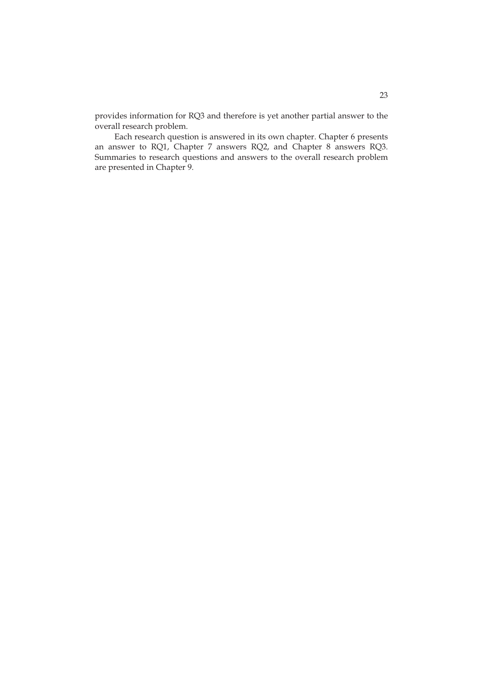provides information for RQ3 and therefore is yet another partial answer to the overall research problem.

Each research question is answered in its own chapter. Chapter 6 presents an answer to RQ1, Chapter 7 answers RQ2, and Chapter 8 answers RQ3. Summaries to research questions and answers to the overall research problem are presented in Chapter 9.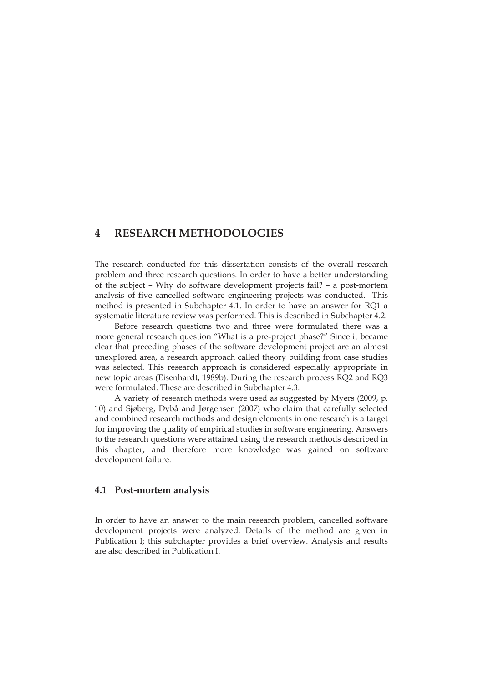#### **4 RESEARCH METHODOLOGIES**

The research conducted for this dissertation consists of the overall research problem and three research questions. In order to have a better understanding of the subject – Why do software development projects fail? – a post-mortem analysis of five cancelled software engineering projects was conducted. This method is presented in Subchapter 4.1. In order to have an answer for RQ1 a systematic literature review was performed. This is described in Subchapter 4.2.

Before research questions two and three were formulated there was a more general research question "What is a pre-project phase?" Since it became clear that preceding phases of the software development project are an almost unexplored area, a research approach called theory building from case studies was selected. This research approach is considered especially appropriate in new topic areas (Eisenhardt, 1989b). During the research process RQ2 and RQ3 were formulated. These are described in Subchapter 4.3.

A variety of research methods were used as suggested by Myers (2009, p. 10) and Sjøberg, Dybå and Jørgensen (2007) who claim that carefully selected and combined research methods and design elements in one research is a target for improving the quality of empirical studies in software engineering. Answers to the research questions were attained using the research methods described in this chapter, and therefore more knowledge was gained on software development failure.

#### **4.1 Post-mortem analysis**

In order to have an answer to the main research problem, cancelled software development projects were analyzed. Details of the method are given in Publication I; this subchapter provides a brief overview. Analysis and results are also described in Publication I.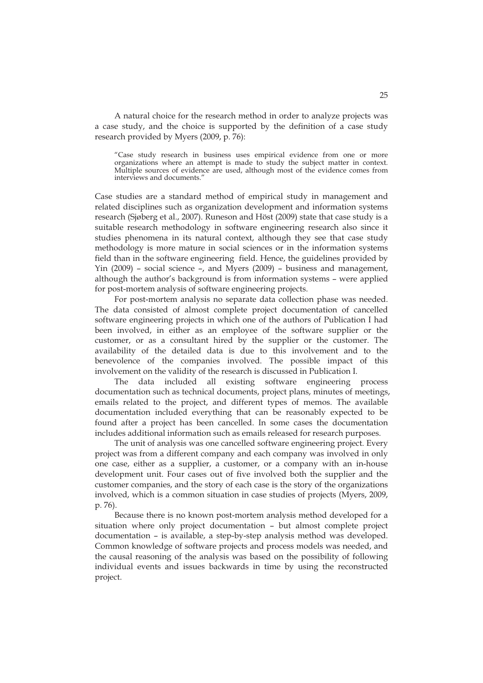A natural choice for the research method in order to analyze projects was a case study, and the choice is supported by the definition of a case study research provided by Myers (2009, p. 76):

"Case study research in business uses empirical evidence from one or more organizations where an attempt is made to study the subject matter in context. Multiple sources of evidence are used, although most of the evidence comes from interviews and documents."

Case studies are a standard method of empirical study in management and related disciplines such as organization development and information systems research (Sjøberg et al., 2007). Runeson and Höst (2009) state that case study is a suitable research methodology in software engineering research also since it studies phenomena in its natural context, although they see that case study methodology is more mature in social sciences or in the information systems field than in the software engineering field. Hence, the guidelines provided by Yin (2009) – social science –, and Myers (2009) – business and management, although the author's background is from information systems – were applied for post-mortem analysis of software engineering projects.

For post-mortem analysis no separate data collection phase was needed. The data consisted of almost complete project documentation of cancelled software engineering projects in which one of the authors of Publication I had been involved, in either as an employee of the software supplier or the customer, or as a consultant hired by the supplier or the customer. The availability of the detailed data is due to this involvement and to the benevolence of the companies involved. The possible impact of this involvement on the validity of the research is discussed in Publication I.

The data included all existing software engineering process documentation such as technical documents, project plans, minutes of meetings, emails related to the project, and different types of memos. The available documentation included everything that can be reasonably expected to be found after a project has been cancelled. In some cases the documentation includes additional information such as emails released for research purposes.

The unit of analysis was one cancelled software engineering project. Every project was from a different company and each company was involved in only one case, either as a supplier, a customer, or a company with an in-house development unit. Four cases out of five involved both the supplier and the customer companies, and the story of each case is the story of the organizations involved, which is a common situation in case studies of projects (Myers, 2009, p. 76).

Because there is no known post-mortem analysis method developed for a situation where only project documentation – but almost complete project documentation – is available, a step-by-step analysis method was developed. Common knowledge of software projects and process models was needed, and the causal reasoning of the analysis was based on the possibility of following individual events and issues backwards in time by using the reconstructed project.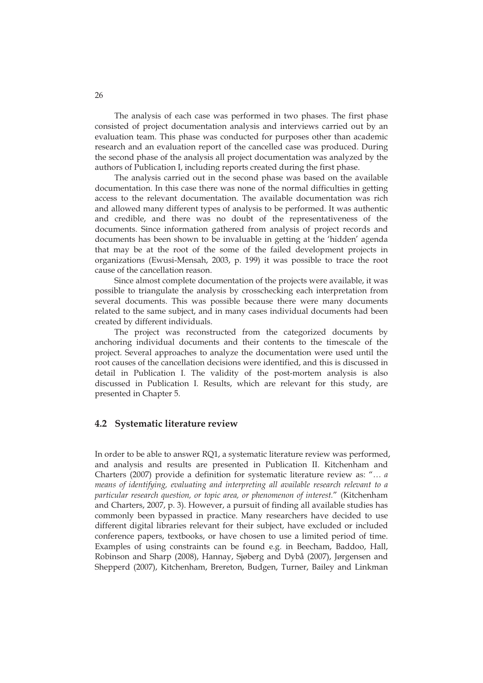The analysis of each case was performed in two phases. The first phase consisted of project documentation analysis and interviews carried out by an evaluation team. This phase was conducted for purposes other than academic research and an evaluation report of the cancelled case was produced. During the second phase of the analysis all project documentation was analyzed by the authors of Publication I, including reports created during the first phase.

The analysis carried out in the second phase was based on the available documentation. In this case there was none of the normal difficulties in getting access to the relevant documentation. The available documentation was rich and allowed many different types of analysis to be performed. It was authentic and credible, and there was no doubt of the representativeness of the documents. Since information gathered from analysis of project records and documents has been shown to be invaluable in getting at the 'hidden' agenda that may be at the root of the some of the failed development projects in organizations (Ewusi-Mensah, 2003, p. 199) it was possible to trace the root cause of the cancellation reason.

Since almost complete documentation of the projects were available, it was possible to triangulate the analysis by crosschecking each interpretation from several documents. This was possible because there were many documents related to the same subject, and in many cases individual documents had been created by different individuals.

The project was reconstructed from the categorized documents by anchoring individual documents and their contents to the timescale of the project. Several approaches to analyze the documentation were used until the root causes of the cancellation decisions were identified, and this is discussed in detail in Publication I. The validity of the post-mortem analysis is also discussed in Publication I. Results, which are relevant for this study, are presented in Chapter 5.

#### **4.2 Systematic literature review**

In order to be able to answer RQ1, a systematic literature review was performed, and analysis and results are presented in Publication II. Kitchenham and Charters (2007) provide a definition for systematic literature review as: "*… a means of identifying, evaluating and interpreting all available research relevant to a particular research question, or topic area, or phenomenon of interest.*" (Kitchenham and Charters, 2007, p. 3). However, a pursuit of finding all available studies has commonly been bypassed in practice. Many researchers have decided to use different digital libraries relevant for their subject, have excluded or included conference papers, textbooks, or have chosen to use a limited period of time. Examples of using constraints can be found e.g. in Beecham, Baddoo, Hall, Robinson and Sharp (2008), Hannay, Sjøberg and Dybå (2007), Jørgensen and Shepperd (2007), Kitchenham, Brereton, Budgen, Turner, Bailey and Linkman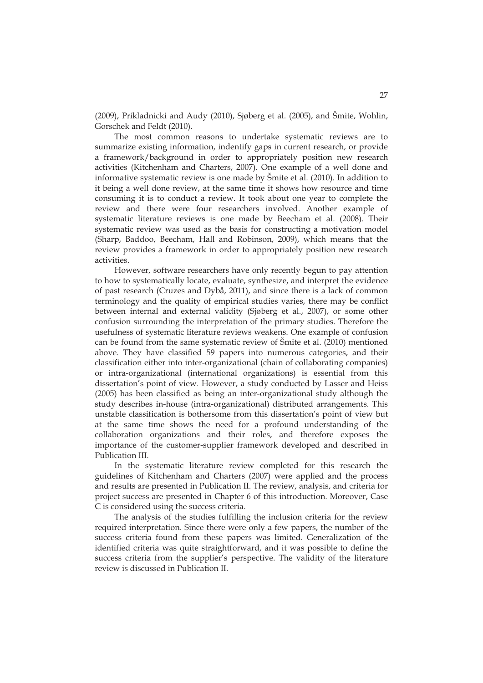(2009), Prikladnicki and Audy (2010), Sjøberg et al. (2005), and Šmite, Wohlin, Gorschek and Feldt (2010).

The most common reasons to undertake systematic reviews are to summarize existing information, indentify gaps in current research, or provide a framework/background in order to appropriately position new research activities (Kitchenham and Charters, 2007). One example of a well done and informative systematic review is one made by Šmite et al. (2010). In addition to it being a well done review, at the same time it shows how resource and time consuming it is to conduct a review. It took about one year to complete the review and there were four researchers involved. Another example of systematic literature reviews is one made by Beecham et al. (2008). Their systematic review was used as the basis for constructing a motivation model (Sharp, Baddoo, Beecham, Hall and Robinson, 2009), which means that the review provides a framework in order to appropriately position new research activities.

However, software researchers have only recently begun to pay attention to how to systematically locate, evaluate, synthesize, and interpret the evidence of past research (Cruzes and Dybå, 2011), and since there is a lack of common terminology and the quality of empirical studies varies, there may be conflict between internal and external validity (Sjøberg et al., 2007), or some other confusion surrounding the interpretation of the primary studies. Therefore the usefulness of systematic literature reviews weakens. One example of confusion can be found from the same systematic review of Šmite et al. (2010) mentioned above. They have classified 59 papers into numerous categories, and their classification either into inter-organizational (chain of collaborating companies) or intra-organizational (international organizations) is essential from this dissertation's point of view. However, a study conducted by Lasser and Heiss (2005) has been classified as being an inter-organizational study although the study describes in-house (intra-organizational) distributed arrangements. This unstable classification is bothersome from this dissertation's point of view but at the same time shows the need for a profound understanding of the collaboration organizations and their roles, and therefore exposes the importance of the customer-supplier framework developed and described in Publication III.

In the systematic literature review completed for this research the guidelines of Kitchenham and Charters (2007) were applied and the process and results are presented in Publication II. The review, analysis, and criteria for project success are presented in Chapter 6 of this introduction. Moreover, Case C is considered using the success criteria.

The analysis of the studies fulfilling the inclusion criteria for the review required interpretation. Since there were only a few papers, the number of the success criteria found from these papers was limited. Generalization of the identified criteria was quite straightforward, and it was possible to define the success criteria from the supplier's perspective. The validity of the literature review is discussed in Publication II.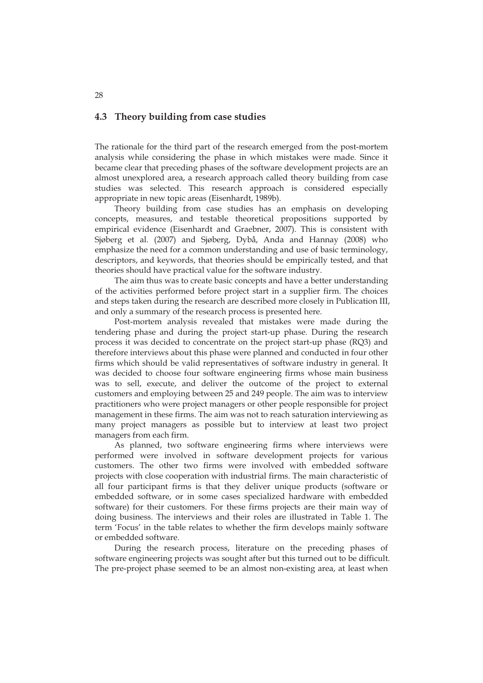#### **4.3 Theory building from case studies**

The rationale for the third part of the research emerged from the post-mortem analysis while considering the phase in which mistakes were made. Since it became clear that preceding phases of the software development projects are an almost unexplored area, a research approach called theory building from case studies was selected. This research approach is considered especially appropriate in new topic areas (Eisenhardt, 1989b).

Theory building from case studies has an emphasis on developing concepts, measures, and testable theoretical propositions supported by empirical evidence (Eisenhardt and Graebner, 2007). This is consistent with Sjøberg et al. (2007) and Sjøberg, Dybå, Anda and Hannay (2008) who emphasize the need for a common understanding and use of basic terminology, descriptors, and keywords, that theories should be empirically tested, and that theories should have practical value for the software industry.

The aim thus was to create basic concepts and have a better understanding of the activities performed before project start in a supplier firm. The choices and steps taken during the research are described more closely in Publication III, and only a summary of the research process is presented here.

Post-mortem analysis revealed that mistakes were made during the tendering phase and during the project start-up phase. During the research process it was decided to concentrate on the project start-up phase (RQ3) and therefore interviews about this phase were planned and conducted in four other firms which should be valid representatives of software industry in general. It was decided to choose four software engineering firms whose main business was to sell, execute, and deliver the outcome of the project to external customers and employing between 25 and 249 people. The aim was to interview practitioners who were project managers or other people responsible for project management in these firms. The aim was not to reach saturation interviewing as many project managers as possible but to interview at least two project managers from each firm.

As planned, two software engineering firms where interviews were performed were involved in software development projects for various customers. The other two firms were involved with embedded software projects with close cooperation with industrial firms. The main characteristic of all four participant firms is that they deliver unique products (software or embedded software, or in some cases specialized hardware with embedded software) for their customers. For these firms projects are their main way of doing business. The interviews and their roles are illustrated in Table 1. The term 'Focus' in the table relates to whether the firm develops mainly software or embedded software.

During the research process, literature on the preceding phases of software engineering projects was sought after but this turned out to be difficult. The pre-project phase seemed to be an almost non-existing area, at least when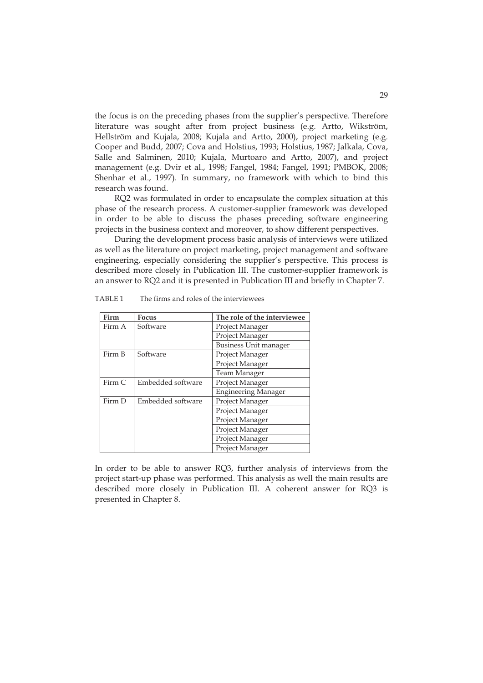the focus is on the preceding phases from the supplier's perspective. Therefore literature was sought after from project business (e.g. Artto, Wikström, Hellström and Kujala, 2008; Kujala and Artto, 2000), project marketing (e.g. Cooper and Budd, 2007; Cova and Holstius, 1993; Holstius, 1987; Jalkala, Cova, Salle and Salminen, 2010; Kujala, Murtoaro and Artto, 2007), and project management (e.g. Dvir et al., 1998; Fangel, 1984; Fangel, 1991; PMBOK, 2008; Shenhar et al., 1997). In summary, no framework with which to bind this research was found.

RQ2 was formulated in order to encapsulate the complex situation at this phase of the research process. A customer-supplier framework was developed in order to be able to discuss the phases preceding software engineering projects in the business context and moreover, to show different perspectives.

During the development process basic analysis of interviews were utilized as well as the literature on project marketing, project management and software engineering, especially considering the supplier's perspective. This process is described more closely in Publication III. The customer-supplier framework is an answer to RQ2 and it is presented in Publication III and briefly in Chapter 7.

| Firm   | <b>Focus</b>      | The role of the interviewee |
|--------|-------------------|-----------------------------|
| Firm A | Software          | Project Manager             |
|        |                   | Project Manager             |
|        |                   | Business Unit manager       |
| Firm B | Software          | Project Manager             |
|        |                   | Project Manager             |
|        |                   | Team Manager                |
| Firm C | Embedded software | Project Manager             |
|        |                   | <b>Engineering Manager</b>  |
| Firm D | Embedded software | Project Manager             |
|        |                   | Project Manager             |
|        |                   | Project Manager             |
|        |                   | Project Manager             |
|        |                   | Project Manager             |
|        |                   | Project Manager             |

TABLE 1 The firms and roles of the interviewees

In order to be able to answer RQ3, further analysis of interviews from the project start-up phase was performed. This analysis as well the main results are described more closely in Publication III. A coherent answer for RQ3 is presented in Chapter 8.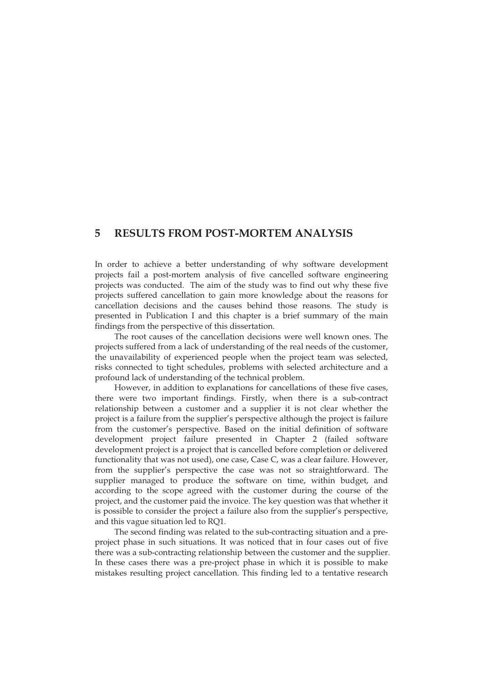### **5 RESULTS FROM POST-MORTEM ANALYSIS**

In order to achieve a better understanding of why software development projects fail a post-mortem analysis of five cancelled software engineering projects was conducted. The aim of the study was to find out why these five projects suffered cancellation to gain more knowledge about the reasons for cancellation decisions and the causes behind those reasons. The study is presented in Publication I and this chapter is a brief summary of the main findings from the perspective of this dissertation.

The root causes of the cancellation decisions were well known ones. The projects suffered from a lack of understanding of the real needs of the customer, the unavailability of experienced people when the project team was selected, risks connected to tight schedules, problems with selected architecture and a profound lack of understanding of the technical problem.

However, in addition to explanations for cancellations of these five cases, there were two important findings. Firstly, when there is a sub-contract relationship between a customer and a supplier it is not clear whether the project is a failure from the supplier's perspective although the project is failure from the customer's perspective. Based on the initial definition of software development project failure presented in Chapter 2 (failed software development project is a project that is cancelled before completion or delivered functionality that was not used), one case, Case C, was a clear failure. However, from the supplier's perspective the case was not so straightforward. The supplier managed to produce the software on time, within budget, and according to the scope agreed with the customer during the course of the project, and the customer paid the invoice. The key question was that whether it is possible to consider the project a failure also from the supplier's perspective, and this vague situation led to RQ1.

The second finding was related to the sub-contracting situation and a preproject phase in such situations. It was noticed that in four cases out of five there was a sub-contracting relationship between the customer and the supplier. In these cases there was a pre-project phase in which it is possible to make mistakes resulting project cancellation. This finding led to a tentative research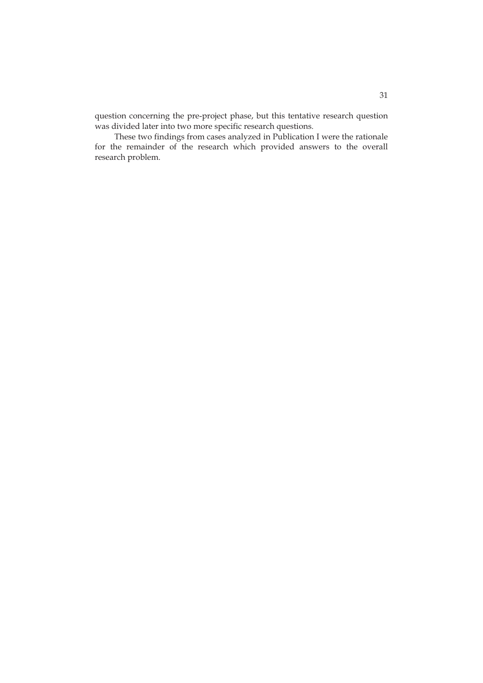question concerning the pre-project phase, but this tentative research question was divided later into two more specific research questions.

These two findings from cases analyzed in Publication I were the rationale for the remainder of the research which provided answers to the overall research problem.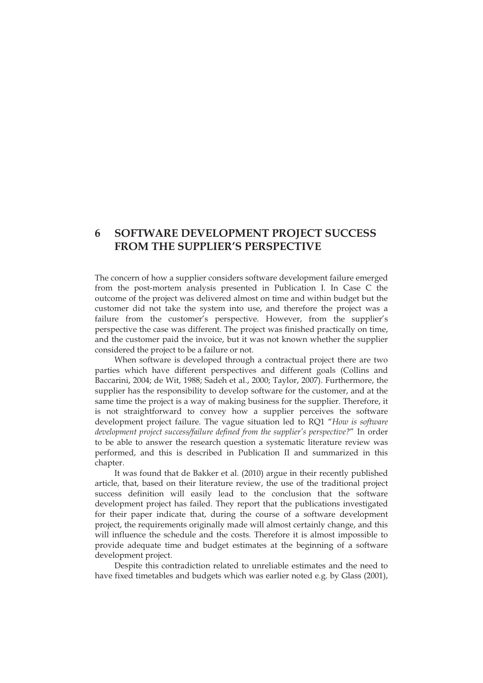## **6 SOFTWARE DEVELOPMENT PROJECT SUCCESS FROM THE SUPPLIER'S PERSPECTIVE**

The concern of how a supplier considers software development failure emerged from the post-mortem analysis presented in Publication I. In Case C the outcome of the project was delivered almost on time and within budget but the customer did not take the system into use, and therefore the project was a failure from the customer's perspective. However, from the supplier's perspective the case was different. The project was finished practically on time, and the customer paid the invoice, but it was not known whether the supplier considered the project to be a failure or not.

When software is developed through a contractual project there are two parties which have different perspectives and different goals (Collins and Baccarini, 2004; de Wit, 1988; Sadeh et al., 2000; Taylor, 2007). Furthermore, the supplier has the responsibility to develop software for the customer, and at the same time the project is a way of making business for the supplier. Therefore, it is not straightforward to convey how a supplier perceives the software development project failure. The vague situation led to RQ1 "*How is software development project success/failure defined from the supplier's perspective?*" In order to be able to answer the research question a systematic literature review was performed, and this is described in Publication II and summarized in this chapter.

It was found that de Bakker et al. (2010) argue in their recently published article, that, based on their literature review, the use of the traditional project success definition will easily lead to the conclusion that the software development project has failed. They report that the publications investigated for their paper indicate that, during the course of a software development project, the requirements originally made will almost certainly change, and this will influence the schedule and the costs. Therefore it is almost impossible to provide adequate time and budget estimates at the beginning of a software development project.

Despite this contradiction related to unreliable estimates and the need to have fixed timetables and budgets which was earlier noted e.g. by Glass (2001),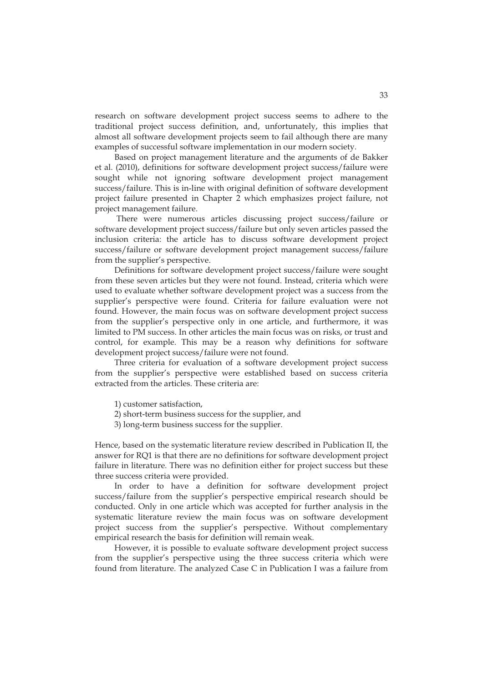research on software development project success seems to adhere to the traditional project success definition, and, unfortunately, this implies that almost all software development projects seem to fail although there are many examples of successful software implementation in our modern society.

Based on project management literature and the arguments of de Bakker et al. (2010), definitions for software development project success/failure were sought while not ignoring software development project management success/failure. This is in-line with original definition of software development project failure presented in Chapter 2 which emphasizes project failure, not project management failure.

 There were numerous articles discussing project success/failure or software development project success/failure but only seven articles passed the inclusion criteria: the article has to discuss software development project success/failure or software development project management success/failure from the supplier's perspective.

Definitions for software development project success/failure were sought from these seven articles but they were not found. Instead, criteria which were used to evaluate whether software development project was a success from the supplier's perspective were found. Criteria for failure evaluation were not found. However, the main focus was on software development project success from the supplier's perspective only in one article, and furthermore, it was limited to PM success. In other articles the main focus was on risks, or trust and control, for example. This may be a reason why definitions for software development project success/failure were not found.

Three criteria for evaluation of a software development project success from the supplier's perspective were established based on success criteria extracted from the articles. These criteria are:

- 1) customer satisfaction,
- 2) short-term business success for the supplier, and
- 3) long-term business success for the supplier.

Hence, based on the systematic literature review described in Publication II, the answer for RQ1 is that there are no definitions for software development project failure in literature. There was no definition either for project success but these three success criteria were provided.

In order to have a definition for software development project success/failure from the supplier's perspective empirical research should be conducted. Only in one article which was accepted for further analysis in the systematic literature review the main focus was on software development project success from the supplier's perspective. Without complementary empirical research the basis for definition will remain weak.

However, it is possible to evaluate software development project success from the supplier's perspective using the three success criteria which were found from literature. The analyzed Case C in Publication I was a failure from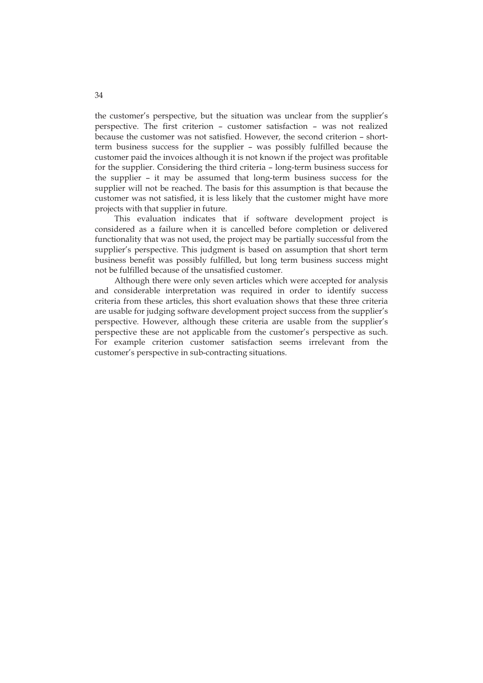the customer's perspective, but the situation was unclear from the supplier's perspective. The first criterion – customer satisfaction – was not realized because the customer was not satisfied. However, the second criterion – shortterm business success for the supplier – was possibly fulfilled because the customer paid the invoices although it is not known if the project was profitable for the supplier. Considering the third criteria – long-term business success for the supplier – it may be assumed that long-term business success for the supplier will not be reached. The basis for this assumption is that because the customer was not satisfied, it is less likely that the customer might have more projects with that supplier in future.

This evaluation indicates that if software development project is considered as a failure when it is cancelled before completion or delivered functionality that was not used, the project may be partially successful from the supplier's perspective. This judgment is based on assumption that short term business benefit was possibly fulfilled, but long term business success might not be fulfilled because of the unsatisfied customer.

Although there were only seven articles which were accepted for analysis and considerable interpretation was required in order to identify success criteria from these articles, this short evaluation shows that these three criteria are usable for judging software development project success from the supplier's perspective. However, although these criteria are usable from the supplier's perspective these are not applicable from the customer's perspective as such. For example criterion customer satisfaction seems irrelevant from the customer's perspective in sub-contracting situations.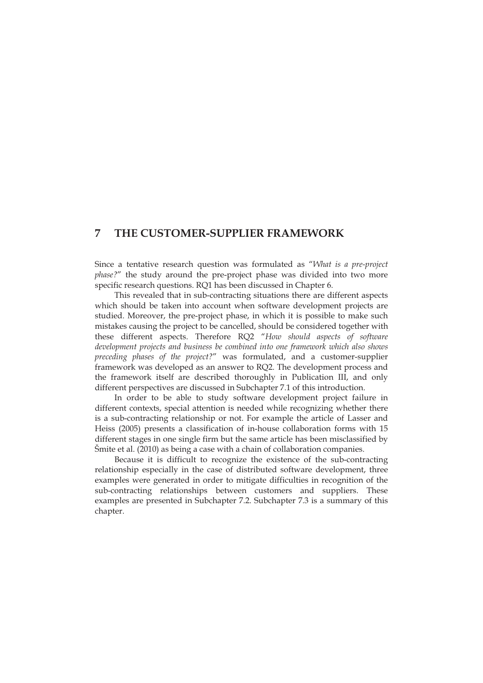## **7 THE CUSTOMER-SUPPLIER FRAMEWORK**

Since a tentative research question was formulated as "*What is a pre-project phase?*" the study around the pre-project phase was divided into two more specific research questions. RQ1 has been discussed in Chapter 6.

This revealed that in sub-contracting situations there are different aspects which should be taken into account when software development projects are studied. Moreover, the pre-project phase, in which it is possible to make such mistakes causing the project to be cancelled, should be considered together with these different aspects. Therefore RQ2 "*How should aspects of software development projects and business be combined into one framework which also shows preceding phases of the project?*" was formulated, and a customer-supplier framework was developed as an answer to RQ2. The development process and the framework itself are described thoroughly in Publication III, and only different perspectives are discussed in Subchapter 7.1 of this introduction.

In order to be able to study software development project failure in different contexts, special attention is needed while recognizing whether there is a sub-contracting relationship or not. For example the article of Lasser and Heiss (2005) presents a classification of in-house collaboration forms with 15 different stages in one single firm but the same article has been misclassified by Šmite et al. (2010) as being a case with a chain of collaboration companies.

Because it is difficult to recognize the existence of the sub-contracting relationship especially in the case of distributed software development, three examples were generated in order to mitigate difficulties in recognition of the sub-contracting relationships between customers and suppliers. These examples are presented in Subchapter 7.2. Subchapter 7.3 is a summary of this chapter.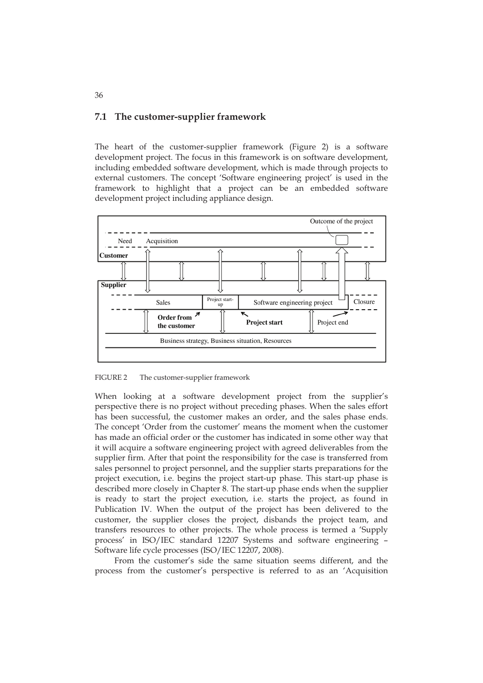## **7.1 The customer-supplier framework**

The heart of the customer-supplier framework (Figure 2) is a software development project. The focus in this framework is on software development, including embedded software development, which is made through projects to external customers. The concept 'Software engineering project' is used in the framework to highlight that a project can be an embedded software development project including appliance design.



FIGURE 2 The customer-supplier framework

When looking at a software development project from the supplier's perspective there is no project without preceding phases. When the sales effort has been successful, the customer makes an order, and the sales phase ends. The concept 'Order from the customer' means the moment when the customer has made an official order or the customer has indicated in some other way that it will acquire a software engineering project with agreed deliverables from the supplier firm. After that point the responsibility for the case is transferred from sales personnel to project personnel, and the supplier starts preparations for the project execution, i.e. begins the project start-up phase. This start-up phase is described more closely in Chapter 8. The start-up phase ends when the supplier is ready to start the project execution, i.e. starts the project, as found in Publication IV. When the output of the project has been delivered to the customer, the supplier closes the project, disbands the project team, and transfers resources to other projects. The whole process is termed a 'Supply process' in ISO/IEC standard 12207 Systems and software engineering – Software life cycle processes (ISO/IEC 12207, 2008).

From the customer's side the same situation seems different, and the process from the customer's perspective is referred to as an 'Acquisition

36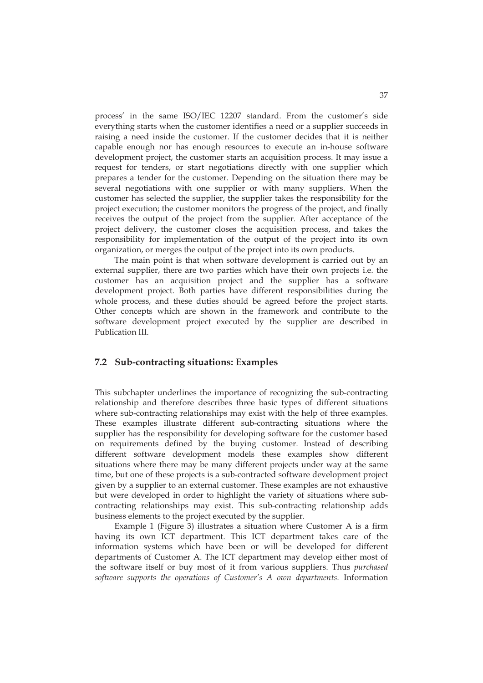process' in the same ISO/IEC 12207 standard. From the customer's side everything starts when the customer identifies a need or a supplier succeeds in raising a need inside the customer. If the customer decides that it is neither capable enough nor has enough resources to execute an in-house software development project, the customer starts an acquisition process. It may issue a request for tenders, or start negotiations directly with one supplier which prepares a tender for the customer. Depending on the situation there may be several negotiations with one supplier or with many suppliers. When the customer has selected the supplier, the supplier takes the responsibility for the project execution; the customer monitors the progress of the project, and finally receives the output of the project from the supplier. After acceptance of the project delivery, the customer closes the acquisition process, and takes the responsibility for implementation of the output of the project into its own organization, or merges the output of the project into its own products.

The main point is that when software development is carried out by an external supplier, there are two parties which have their own projects i.e. the customer has an acquisition project and the supplier has a software development project. Both parties have different responsibilities during the whole process, and these duties should be agreed before the project starts. Other concepts which are shown in the framework and contribute to the software development project executed by the supplier are described in Publication III.

## **7.2 Sub-contracting situations: Examples**

This subchapter underlines the importance of recognizing the sub-contracting relationship and therefore describes three basic types of different situations where sub-contracting relationships may exist with the help of three examples. These examples illustrate different sub-contracting situations where the supplier has the responsibility for developing software for the customer based on requirements defined by the buying customer. Instead of describing different software development models these examples show different situations where there may be many different projects under way at the same time, but one of these projects is a sub-contracted software development project given by a supplier to an external customer. These examples are not exhaustive but were developed in order to highlight the variety of situations where subcontracting relationships may exist. This sub-contracting relationship adds business elements to the project executed by the supplier.

Example 1 (Figure 3) illustrates a situation where Customer A is a firm having its own ICT department. This ICT department takes care of the information systems which have been or will be developed for different departments of Customer A. The ICT department may develop either most of the software itself or buy most of it from various suppliers. Thus *purchased software supports the operations of Customer's A own departments*. Information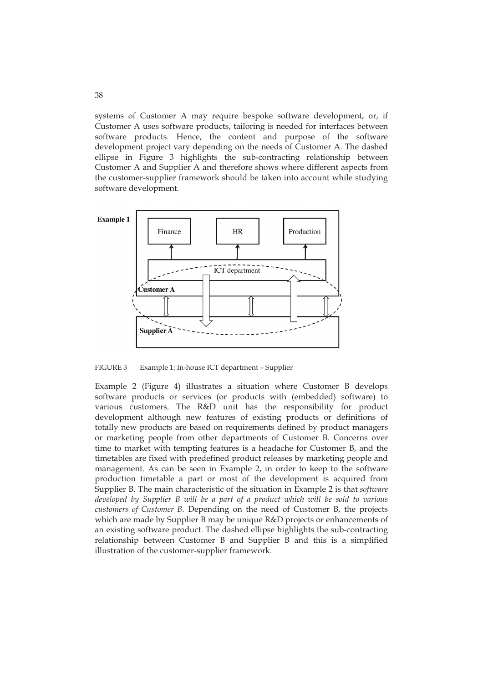systems of Customer A may require bespoke software development, or, if Customer A uses software products, tailoring is needed for interfaces between software products. Hence, the content and purpose of the software development project vary depending on the needs of Customer A. The dashed ellipse in Figure 3 highlights the sub-contracting relationship between Customer A and Supplier A and therefore shows where different aspects from the customer-supplier framework should be taken into account while studying software development.



FIGURE 3 Example 1: In-house ICT department – Supplier

Example 2 (Figure 4) illustrates a situation where Customer B develops software products or services (or products with (embedded) software) to various customers. The R&D unit has the responsibility for product development although new features of existing products or definitions of totally new products are based on requirements defined by product managers or marketing people from other departments of Customer B. Concerns over time to market with tempting features is a headache for Customer B, and the timetables are fixed with predefined product releases by marketing people and management. As can be seen in Example 2, in order to keep to the software production timetable a part or most of the development is acquired from Supplier B. The main characteristic of the situation in Example 2 is that *software developed by Supplier B will be a part of a product which will be sold to various customers of Customer B*. Depending on the need of Customer B, the projects which are made by Supplier B may be unique R&D projects or enhancements of an existing software product. The dashed ellipse highlights the sub-contracting relationship between Customer B and Supplier B and this is a simplified illustration of the customer-supplier framework.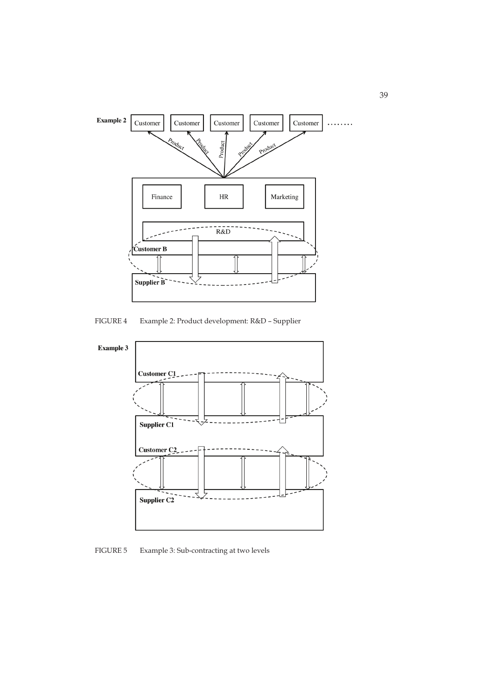

FIGURE 4 Example 2: Product development: R&D – Supplier



FIGURE 5 Example 3: Sub-contracting at two levels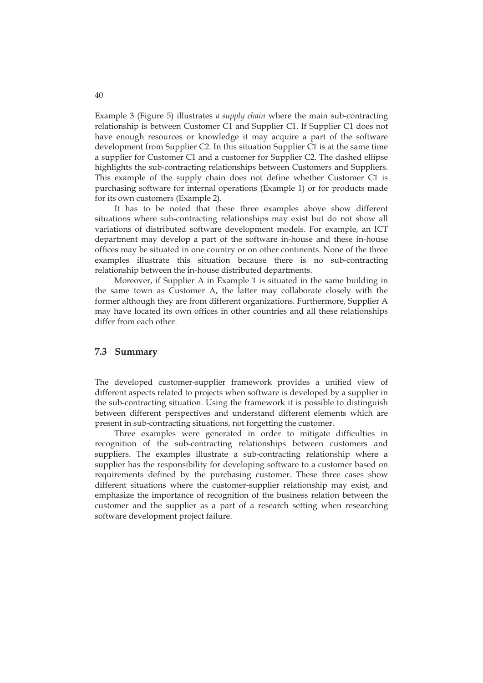Example 3 (Figure 5) illustrates *a supply chain* where the main sub-contracting relationship is between Customer C1 and Supplier C1. If Supplier C1 does not have enough resources or knowledge it may acquire a part of the software development from Supplier C2. In this situation Supplier C1 is at the same time a supplier for Customer C1 and a customer for Supplier C2. The dashed ellipse highlights the sub-contracting relationships between Customers and Suppliers. This example of the supply chain does not define whether Customer C1 is purchasing software for internal operations (Example 1) or for products made for its own customers (Example 2).

It has to be noted that these three examples above show different situations where sub-contracting relationships may exist but do not show all variations of distributed software development models. For example, an ICT department may develop a part of the software in-house and these in-house offices may be situated in one country or on other continents. None of the three examples illustrate this situation because there is no sub-contracting relationship between the in-house distributed departments.

Moreover, if Supplier A in Example 1 is situated in the same building in the same town as Customer A, the latter may collaborate closely with the former although they are from different organizations. Furthermore, Supplier A may have located its own offices in other countries and all these relationships differ from each other.

#### **7.3 Summary**

The developed customer-supplier framework provides a unified view of different aspects related to projects when software is developed by a supplier in the sub-contracting situation. Using the framework it is possible to distinguish between different perspectives and understand different elements which are present in sub-contracting situations, not forgetting the customer.

Three examples were generated in order to mitigate difficulties in recognition of the sub-contracting relationships between customers and suppliers. The examples illustrate a sub-contracting relationship where a supplier has the responsibility for developing software to a customer based on requirements defined by the purchasing customer. These three cases show different situations where the customer-supplier relationship may exist, and emphasize the importance of recognition of the business relation between the customer and the supplier as a part of a research setting when researching software development project failure.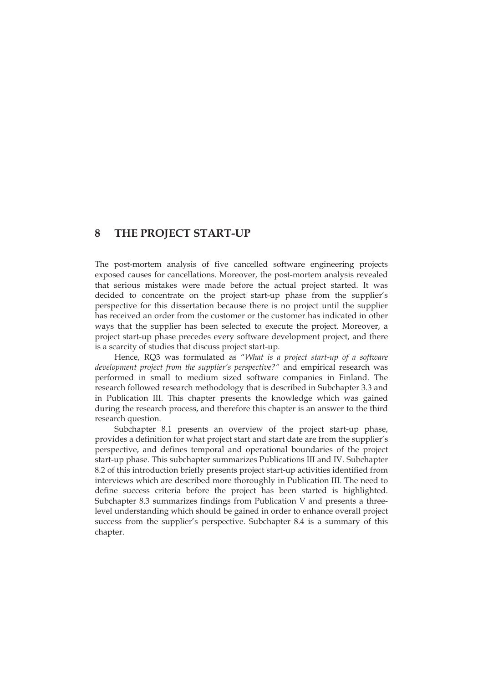## **8 THE PROJECT START-UP**

The post-mortem analysis of five cancelled software engineering projects exposed causes for cancellations. Moreover, the post-mortem analysis revealed that serious mistakes were made before the actual project started. It was decided to concentrate on the project start-up phase from the supplier's perspective for this dissertation because there is no project until the supplier has received an order from the customer or the customer has indicated in other ways that the supplier has been selected to execute the project. Moreover, a project start-up phase precedes every software development project, and there is a scarcity of studies that discuss project start-up.

Hence, RQ3 was formulated as "*What is a project start-up of a software development project from the supplier's perspective?"* and empirical research was performed in small to medium sized software companies in Finland. The research followed research methodology that is described in Subchapter 3.3 and in Publication III. This chapter presents the knowledge which was gained during the research process, and therefore this chapter is an answer to the third research question.

Subchapter 8.1 presents an overview of the project start-up phase, provides a definition for what project start and start date are from the supplier's perspective, and defines temporal and operational boundaries of the project start-up phase. This subchapter summarizes Publications III and IV. Subchapter 8.2 of this introduction briefly presents project start-up activities identified from interviews which are described more thoroughly in Publication III. The need to define success criteria before the project has been started is highlighted. Subchapter 8.3 summarizes findings from Publication V and presents a threelevel understanding which should be gained in order to enhance overall project success from the supplier's perspective. Subchapter 8.4 is a summary of this chapter.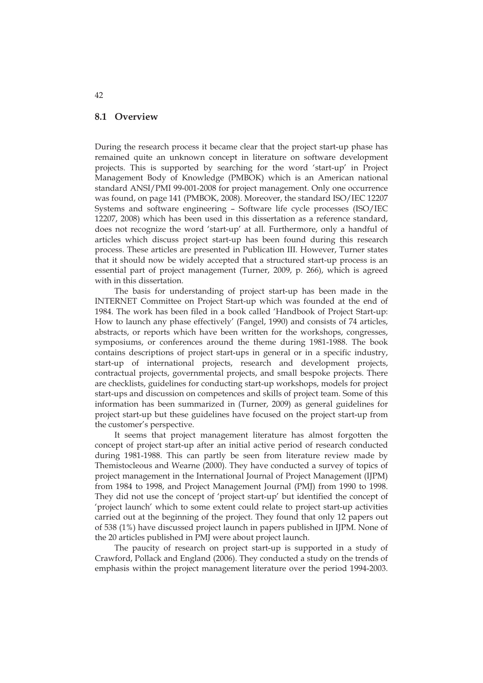#### **8.1 Overview**

During the research process it became clear that the project start-up phase has remained quite an unknown concept in literature on software development projects. This is supported by searching for the word 'start-up' in Project Management Body of Knowledge (PMBOK) which is an American national standard ANSI/PMI 99-001-2008 for project management. Only one occurrence was found, on page 141 (PMBOK, 2008). Moreover, the standard ISO/IEC 12207 Systems and software engineering – Software life cycle processes (ISO/IEC 12207, 2008) which has been used in this dissertation as a reference standard, does not recognize the word 'start-up' at all. Furthermore, only a handful of articles which discuss project start-up has been found during this research process. These articles are presented in Publication III. However, Turner states that it should now be widely accepted that a structured start-up process is an essential part of project management (Turner, 2009, p. 266), which is agreed with in this dissertation.

The basis for understanding of project start-up has been made in the INTERNET Committee on Project Start-up which was founded at the end of 1984. The work has been filed in a book called 'Handbook of Project Start-up: How to launch any phase effectively' (Fangel, 1990) and consists of 74 articles, abstracts, or reports which have been written for the workshops, congresses, symposiums, or conferences around the theme during 1981-1988. The book contains descriptions of project start-ups in general or in a specific industry, start-up of international projects, research and development projects, contractual projects, governmental projects, and small bespoke projects. There are checklists, guidelines for conducting start-up workshops, models for project start-ups and discussion on competences and skills of project team. Some of this information has been summarized in (Turner, 2009) as general guidelines for project start-up but these guidelines have focused on the project start-up from the customer's perspective.

It seems that project management literature has almost forgotten the concept of project start-up after an initial active period of research conducted during 1981-1988. This can partly be seen from literature review made by Themistocleous and Wearne (2000). They have conducted a survey of topics of project management in the International Journal of Project Management (IJPM) from 1984 to 1998, and Project Management Journal (PMJ) from 1990 to 1998. They did not use the concept of 'project start-up' but identified the concept of 'project launch' which to some extent could relate to project start-up activities carried out at the beginning of the project. They found that only 12 papers out of 538 (1%) have discussed project launch in papers published in IJPM. None of the 20 articles published in PMJ were about project launch.

The paucity of research on project start-up is supported in a study of Crawford, Pollack and England (2006). They conducted a study on the trends of emphasis within the project management literature over the period 1994-2003.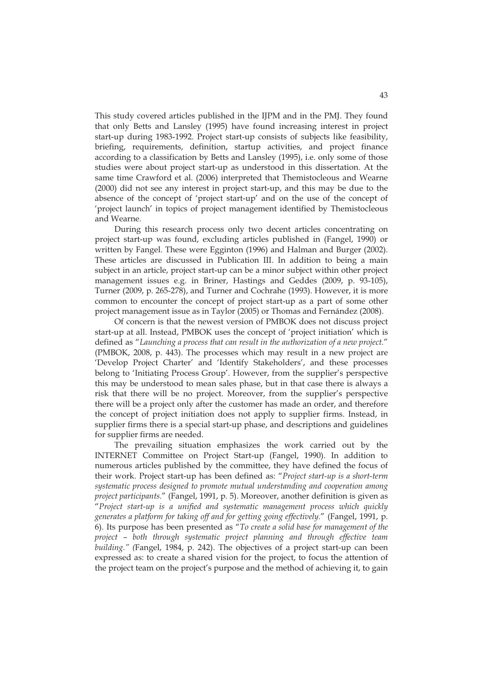This study covered articles published in the IJPM and in the PMJ. They found that only Betts and Lansley (1995) have found increasing interest in project start-up during 1983-1992. Project start-up consists of subjects like feasibility, briefing, requirements, definition, startup activities, and project finance according to a classification by Betts and Lansley (1995), i.e. only some of those studies were about project start-up as understood in this dissertation. At the same time Crawford et al. (2006) interpreted that Themistocleous and Wearne (2000) did not see any interest in project start-up, and this may be due to the absence of the concept of 'project start-up' and on the use of the concept of 'project launch' in topics of project management identified by Themistocleous and Wearne.

During this research process only two decent articles concentrating on project start-up was found, excluding articles published in (Fangel, 1990) or written by Fangel. These were Egginton (1996) and Halman and Burger (2002). These articles are discussed in Publication III. In addition to being a main subject in an article, project start-up can be a minor subject within other project management issues e.g. in Briner, Hastings and Geddes (2009, p. 93-105), Turner (2009, p. 265-278), and Turner and Cochrahe (1993). However, it is more common to encounter the concept of project start-up as a part of some other project management issue as in Taylor (2005) or Thomas and Fernández (2008).

Of concern is that the newest version of PMBOK does not discuss project start-up at all. Instead, PMBOK uses the concept of 'project initiation' which is defined as "*Launching a process that can result in the authorization of a new project.*" (PMBOK, 2008, p. 443). The processes which may result in a new project are 'Develop Project Charter' and 'Identify Stakeholders', and these processes belong to 'Initiating Process Group'. However, from the supplier's perspective this may be understood to mean sales phase, but in that case there is always a risk that there will be no project. Moreover, from the supplier's perspective there will be a project only after the customer has made an order, and therefore the concept of project initiation does not apply to supplier firms. Instead, in supplier firms there is a special start-up phase, and descriptions and guidelines for supplier firms are needed.

The prevailing situation emphasizes the work carried out by the INTERNET Committee on Project Start-up (Fangel, 1990). In addition to numerous articles published by the committee, they have defined the focus of their work. Project start-up has been defined as: "*Project start-up is a short-term systematic process designed to promote mutual understanding and cooperation among project participants.*" (Fangel, 1991, p. 5). Moreover, another definition is given as "*Project start-up is a unified and systematic management process which quickly generates a platform for taking off and for getting going effectively.*" (Fangel, 1991, p. 6). Its purpose has been presented as "*To create a solid base for management of the project – both through systematic project planning and through effective team building." (*Fangel, 1984, p. 242). The objectives of a project start-up can been expressed as: to create a shared vision for the project, to focus the attention of the project team on the project's purpose and the method of achieving it, to gain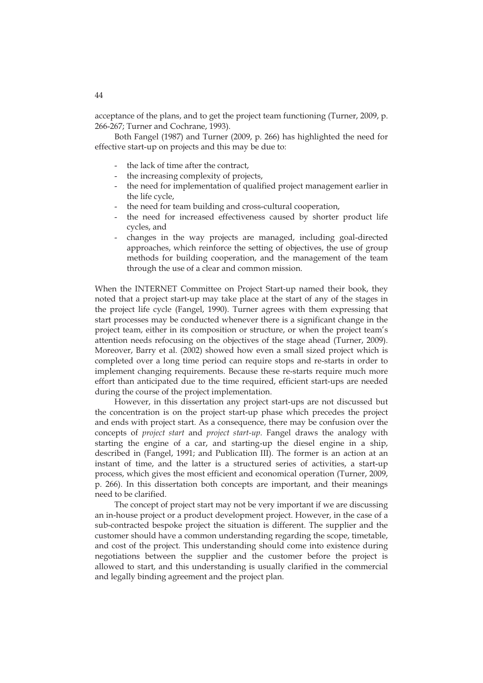acceptance of the plans, and to get the project team functioning (Turner, 2009, p. 266-267; Turner and Cochrane, 1993).

Both Fangel (1987) and Turner (2009, p. 266) has highlighted the need for effective start-up on projects and this may be due to:

- the lack of time after the contract,
- the increasing complexity of projects,
- the need for implementation of qualified project management earlier in the life cycle,
- the need for team building and cross-cultural cooperation,
- the need for increased effectiveness caused by shorter product life cycles, and
- changes in the way projects are managed, including goal-directed approaches, which reinforce the setting of objectives, the use of group methods for building cooperation, and the management of the team through the use of a clear and common mission.

When the INTERNET Committee on Project Start-up named their book, they noted that a project start-up may take place at the start of any of the stages in the project life cycle (Fangel, 1990). Turner agrees with them expressing that start processes may be conducted whenever there is a significant change in the project team, either in its composition or structure, or when the project team's attention needs refocusing on the objectives of the stage ahead (Turner, 2009). Moreover, Barry et al. (2002) showed how even a small sized project which is completed over a long time period can require stops and re-starts in order to implement changing requirements. Because these re-starts require much more effort than anticipated due to the time required, efficient start-ups are needed during the course of the project implementation.

However, in this dissertation any project start-ups are not discussed but the concentration is on the project start-up phase which precedes the project and ends with project start. As a consequence, there may be confusion over the concepts of *project start* and *project start-up*. Fangel draws the analogy with starting the engine of a car, and starting-up the diesel engine in a ship, described in (Fangel, 1991; and Publication III). The former is an action at an instant of time, and the latter is a structured series of activities, a start-up process, which gives the most efficient and economical operation (Turner, 2009, p. 266). In this dissertation both concepts are important, and their meanings need to be clarified.

The concept of project start may not be very important if we are discussing an in-house project or a product development project. However, in the case of a sub-contracted bespoke project the situation is different. The supplier and the customer should have a common understanding regarding the scope, timetable, and cost of the project. This understanding should come into existence during negotiations between the supplier and the customer before the project is allowed to start, and this understanding is usually clarified in the commercial and legally binding agreement and the project plan.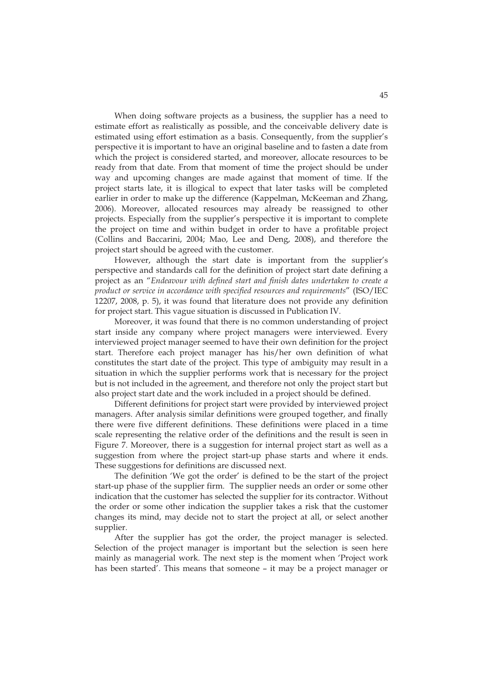When doing software projects as a business, the supplier has a need to estimate effort as realistically as possible, and the conceivable delivery date is estimated using effort estimation as a basis. Consequently, from the supplier's perspective it is important to have an original baseline and to fasten a date from which the project is considered started, and moreover, allocate resources to be ready from that date. From that moment of time the project should be under way and upcoming changes are made against that moment of time. If the project starts late, it is illogical to expect that later tasks will be completed earlier in order to make up the difference (Kappelman, McKeeman and Zhang, 2006). Moreover, allocated resources may already be reassigned to other projects. Especially from the supplier's perspective it is important to complete the project on time and within budget in order to have a profitable project (Collins and Baccarini, 2004; Mao, Lee and Deng, 2008), and therefore the project start should be agreed with the customer.

However, although the start date is important from the supplier's perspective and standards call for the definition of project start date defining a project as an "*Endeavour with defined start and finish dates undertaken to create a product or service in accordance with specified resources and requirements*" (ISO/IEC 12207, 2008, p. 5), it was found that literature does not provide any definition for project start. This vague situation is discussed in Publication IV.

Moreover, it was found that there is no common understanding of project start inside any company where project managers were interviewed. Every interviewed project manager seemed to have their own definition for the project start. Therefore each project manager has his/her own definition of what constitutes the start date of the project. This type of ambiguity may result in a situation in which the supplier performs work that is necessary for the project but is not included in the agreement, and therefore not only the project start but also project start date and the work included in a project should be defined.

Different definitions for project start were provided by interviewed project managers. After analysis similar definitions were grouped together, and finally there were five different definitions. These definitions were placed in a time scale representing the relative order of the definitions and the result is seen in Figure 7. Moreover, there is a suggestion for internal project start as well as a suggestion from where the project start-up phase starts and where it ends. These suggestions for definitions are discussed next.

The definition 'We got the order' is defined to be the start of the project start-up phase of the supplier firm. The supplier needs an order or some other indication that the customer has selected the supplier for its contractor. Without the order or some other indication the supplier takes a risk that the customer changes its mind, may decide not to start the project at all, or select another supplier.

After the supplier has got the order, the project manager is selected. Selection of the project manager is important but the selection is seen here mainly as managerial work. The next step is the moment when 'Project work has been started'. This means that someone – it may be a project manager or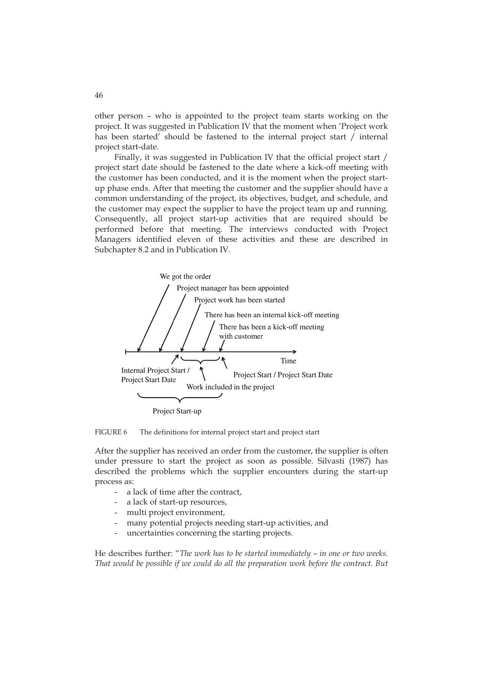other person – who is appointed to the project team starts working on the project. It was suggested in Publication IV that the moment when 'Project work has been started' should be fastened to the internal project start / internal project start-date.

Finally, it was suggested in Publication IV that the official project start / project start date should be fastened to the date where a kick-off meeting with the customer has been conducted, and it is the moment when the project startup phase ends. After that meeting the customer and the supplier should have a common understanding of the project, its objectives, budget, and schedule, and the customer may expect the supplier to have the project team up and running. Consequently, all project start-up activities that are required should be performed before that meeting. The interviews conducted with Project Managers identified eleven of these activities and these are described in Subchapter 8.2 and in Publication IV.



FIGURE 6 The definitions for internal project start and project start

After the supplier has received an order from the customer, the supplier is often under pressure to start the project as soon as possible. Silvasti (1987) has described the problems which the supplier encounters during the start-up process as:

- a lack of time after the contract.
- a lack of start-up resources,
- multi project environment,
- many potential projects needing start-up activities, and
- uncertainties concerning the starting projects.

He describes further: "*The work has to be started immediately – in one or two weeks. That would be possible if we could do all the preparation work before the contract. But*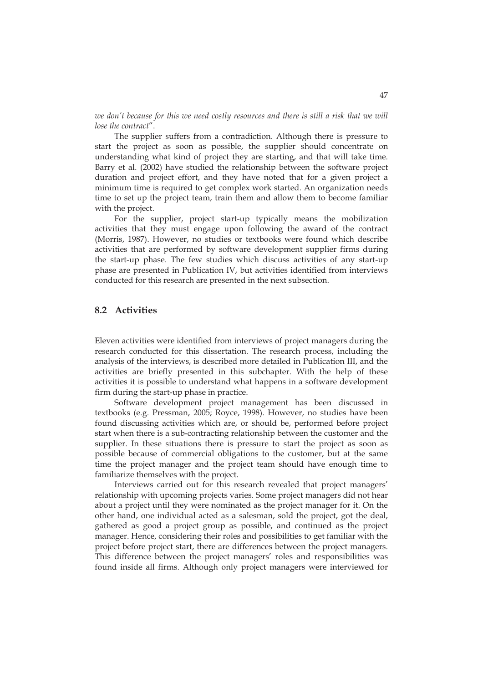we don't because for this we need costly resources and there is still a risk that we will *lose the contract*".

The supplier suffers from a contradiction. Although there is pressure to start the project as soon as possible, the supplier should concentrate on understanding what kind of project they are starting, and that will take time. Barry et al. (2002) have studied the relationship between the software project duration and project effort, and they have noted that for a given project a minimum time is required to get complex work started. An organization needs time to set up the project team, train them and allow them to become familiar with the project.

For the supplier, project start-up typically means the mobilization activities that they must engage upon following the award of the contract (Morris, 1987). However, no studies or textbooks were found which describe activities that are performed by software development supplier firms during the start-up phase. The few studies which discuss activities of any start-up phase are presented in Publication IV, but activities identified from interviews conducted for this research are presented in the next subsection.

## **8.2 Activities**

Eleven activities were identified from interviews of project managers during the research conducted for this dissertation. The research process, including the analysis of the interviews, is described more detailed in Publication III, and the activities are briefly presented in this subchapter. With the help of these activities it is possible to understand what happens in a software development firm during the start-up phase in practice.

Software development project management has been discussed in textbooks (e.g. Pressman, 2005; Royce, 1998). However, no studies have been found discussing activities which are, or should be, performed before project start when there is a sub-contracting relationship between the customer and the supplier. In these situations there is pressure to start the project as soon as possible because of commercial obligations to the customer, but at the same time the project manager and the project team should have enough time to familiarize themselves with the project.

Interviews carried out for this research revealed that project managers' relationship with upcoming projects varies. Some project managers did not hear about a project until they were nominated as the project manager for it. On the other hand, one individual acted as a salesman, sold the project, got the deal, gathered as good a project group as possible, and continued as the project manager. Hence, considering their roles and possibilities to get familiar with the project before project start, there are differences between the project managers. This difference between the project managers' roles and responsibilities was found inside all firms. Although only project managers were interviewed for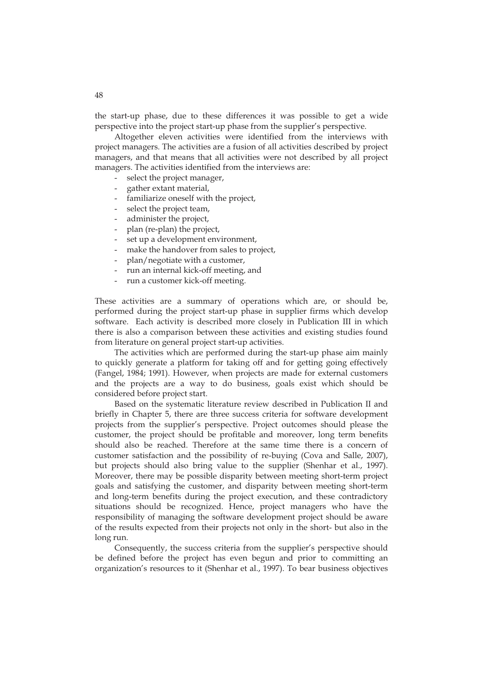the start-up phase, due to these differences it was possible to get a wide perspective into the project start-up phase from the supplier's perspective.

Altogether eleven activities were identified from the interviews with project managers. The activities are a fusion of all activities described by project managers, and that means that all activities were not described by all project managers. The activities identified from the interviews are:

- select the project manager,
- gather extant material,
- familiarize oneself with the project,
- select the project team,
- administer the project,
- plan (re-plan) the project,
- set up a development environment,
- make the handover from sales to project,
- plan/negotiate with a customer,
- run an internal kick-off meeting, and
- run a customer kick-off meeting.

These activities are a summary of operations which are, or should be, performed during the project start-up phase in supplier firms which develop software. Each activity is described more closely in Publication III in which there is also a comparison between these activities and existing studies found from literature on general project start-up activities.

The activities which are performed during the start-up phase aim mainly to quickly generate a platform for taking off and for getting going effectively (Fangel, 1984; 1991). However, when projects are made for external customers and the projects are a way to do business, goals exist which should be considered before project start.

Based on the systematic literature review described in Publication II and briefly in Chapter 5, there are three success criteria for software development projects from the supplier's perspective. Project outcomes should please the customer, the project should be profitable and moreover, long term benefits should also be reached. Therefore at the same time there is a concern of customer satisfaction and the possibility of re-buying (Cova and Salle, 2007), but projects should also bring value to the supplier (Shenhar et al., 1997). Moreover, there may be possible disparity between meeting short-term project goals and satisfying the customer, and disparity between meeting short-term and long-term benefits during the project execution, and these contradictory situations should be recognized. Hence, project managers who have the responsibility of managing the software development project should be aware of the results expected from their projects not only in the short- but also in the long run.

Consequently, the success criteria from the supplier's perspective should be defined before the project has even begun and prior to committing an organization's resources to it (Shenhar et al., 1997). To bear business objectives

48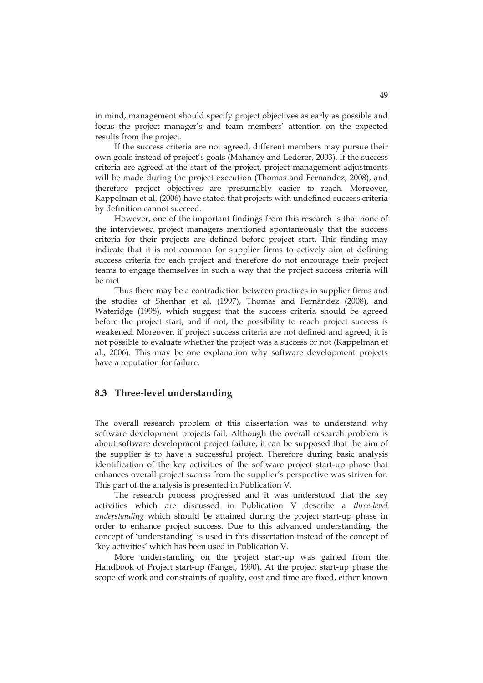in mind, management should specify project objectives as early as possible and focus the project manager's and team members' attention on the expected results from the project.

If the success criteria are not agreed, different members may pursue their own goals instead of project's goals (Mahaney and Lederer, 2003). If the success criteria are agreed at the start of the project, project management adjustments will be made during the project execution (Thomas and Fernández, 2008), and therefore project objectives are presumably easier to reach. Moreover, Kappelman et al. (2006) have stated that projects with undefined success criteria by definition cannot succeed.

However, one of the important findings from this research is that none of the interviewed project managers mentioned spontaneously that the success criteria for their projects are defined before project start. This finding may indicate that it is not common for supplier firms to actively aim at defining success criteria for each project and therefore do not encourage their project teams to engage themselves in such a way that the project success criteria will be met

Thus there may be a contradiction between practices in supplier firms and the studies of Shenhar et al. (1997), Thomas and Fernández (2008), and Wateridge (1998), which suggest that the success criteria should be agreed before the project start, and if not, the possibility to reach project success is weakened. Moreover, if project success criteria are not defined and agreed, it is not possible to evaluate whether the project was a success or not (Kappelman et al., 2006). This may be one explanation why software development projects have a reputation for failure.

### **8.3 Three-level understanding**

The overall research problem of this dissertation was to understand why software development projects fail. Although the overall research problem is about software development project failure, it can be supposed that the aim of the supplier is to have a successful project. Therefore during basic analysis identification of the key activities of the software project start-up phase that enhances overall project *success* from the supplier's perspective was striven for. This part of the analysis is presented in Publication V.

The research process progressed and it was understood that the key activities which are discussed in Publication V describe a *three-level understanding* which should be attained during the project start-up phase in order to enhance project success. Due to this advanced understanding, the concept of 'understanding' is used in this dissertation instead of the concept of 'key activities' which has been used in Publication V.

More understanding on the project start-up was gained from the Handbook of Project start-up (Fangel, 1990). At the project start-up phase the scope of work and constraints of quality, cost and time are fixed, either known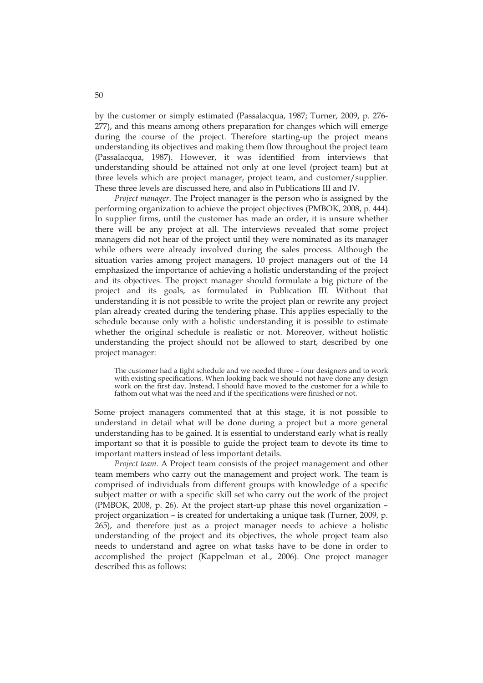by the customer or simply estimated (Passalacqua, 1987; Turner, 2009, p. 276- 277), and this means among others preparation for changes which will emerge during the course of the project. Therefore starting-up the project means understanding its objectives and making them flow throughout the project team (Passalacqua, 1987). However, it was identified from interviews that understanding should be attained not only at one level (project team) but at three levels which are project manager, project team, and customer/supplier. These three levels are discussed here, and also in Publications III and IV.

*Project manager*. The Project manager is the person who is assigned by the performing organization to achieve the project objectives (PMBOK, 2008, p. 444). In supplier firms, until the customer has made an order, it is unsure whether there will be any project at all. The interviews revealed that some project managers did not hear of the project until they were nominated as its manager while others were already involved during the sales process. Although the situation varies among project managers, 10 project managers out of the 14 emphasized the importance of achieving a holistic understanding of the project and its objectives. The project manager should formulate a big picture of the project and its goals, as formulated in Publication III. Without that understanding it is not possible to write the project plan or rewrite any project plan already created during the tendering phase. This applies especially to the schedule because only with a holistic understanding it is possible to estimate whether the original schedule is realistic or not. Moreover, without holistic understanding the project should not be allowed to start, described by one project manager:

The customer had a tight schedule and we needed three – four designers and to work with existing specifications. When looking back we should not have done any design work on the first day. Instead, I should have moved to the customer for a while to fathom out what was the need and if the specifications were finished or not.

Some project managers commented that at this stage, it is not possible to understand in detail what will be done during a project but a more general understanding has to be gained. It is essential to understand early what is really important so that it is possible to guide the project team to devote its time to important matters instead of less important details.

*Project team*. A Project team consists of the project management and other team members who carry out the management and project work. The team is comprised of individuals from different groups with knowledge of a specific subject matter or with a specific skill set who carry out the work of the project (PMBOK, 2008, p. 26). At the project start-up phase this novel organization – project organization – is created for undertaking a unique task (Turner, 2009, p. 265), and therefore just as a project manager needs to achieve a holistic understanding of the project and its objectives, the whole project team also needs to understand and agree on what tasks have to be done in order to accomplished the project (Kappelman et al., 2006). One project manager described this as follows: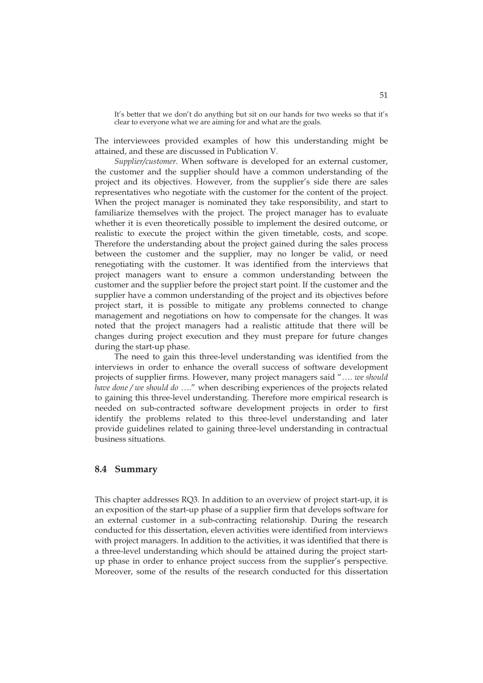It's better that we don't do anything but sit on our hands for two weeks so that it's clear to everyone what we are aiming for and what are the goals.

The interviewees provided examples of how this understanding might be attained, and these are discussed in Publication V.

*Supplier/customer*. When software is developed for an external customer, the customer and the supplier should have a common understanding of the project and its objectives. However, from the supplier's side there are sales representatives who negotiate with the customer for the content of the project. When the project manager is nominated they take responsibility, and start to familiarize themselves with the project. The project manager has to evaluate whether it is even theoretically possible to implement the desired outcome, or realistic to execute the project within the given timetable, costs, and scope. Therefore the understanding about the project gained during the sales process between the customer and the supplier, may no longer be valid, or need renegotiating with the customer. It was identified from the interviews that project managers want to ensure a common understanding between the customer and the supplier before the project start point. If the customer and the supplier have a common understanding of the project and its objectives before project start, it is possible to mitigate any problems connected to change management and negotiations on how to compensate for the changes. It was noted that the project managers had a realistic attitude that there will be changes during project execution and they must prepare for future changes during the start-up phase.

The need to gain this three-level understanding was identified from the interviews in order to enhance the overall success of software development projects of supplier firms. However, many project managers said "…. *we should have done / we should do* …." when describing experiences of the projects related to gaining this three-level understanding. Therefore more empirical research is needed on sub-contracted software development projects in order to first identify the problems related to this three-level understanding and later provide guidelines related to gaining three-level understanding in contractual business situations.

#### **8.4 Summary**

This chapter addresses RQ3. In addition to an overview of project start-up, it is an exposition of the start-up phase of a supplier firm that develops software for an external customer in a sub-contracting relationship. During the research conducted for this dissertation, eleven activities were identified from interviews with project managers. In addition to the activities, it was identified that there is a three-level understanding which should be attained during the project startup phase in order to enhance project success from the supplier's perspective. Moreover, some of the results of the research conducted for this dissertation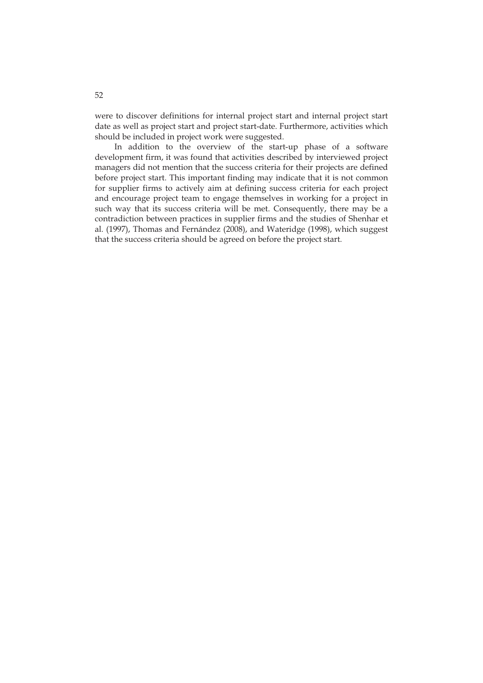were to discover definitions for internal project start and internal project start date as well as project start and project start-date. Furthermore, activities which should be included in project work were suggested.

In addition to the overview of the start-up phase of a software development firm, it was found that activities described by interviewed project managers did not mention that the success criteria for their projects are defined before project start. This important finding may indicate that it is not common for supplier firms to actively aim at defining success criteria for each project and encourage project team to engage themselves in working for a project in such way that its success criteria will be met. Consequently, there may be a contradiction between practices in supplier firms and the studies of Shenhar et al. (1997), Thomas and Fernández (2008), and Wateridge (1998), which suggest that the success criteria should be agreed on before the project start.

52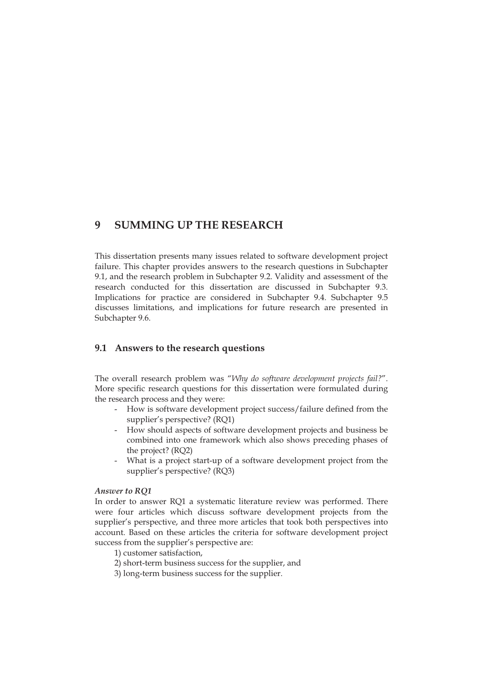# **9 SUMMING UP THE RESEARCH**

This dissertation presents many issues related to software development project failure. This chapter provides answers to the research questions in Subchapter 9.1, and the research problem in Subchapter 9.2. Validity and assessment of the research conducted for this dissertation are discussed in Subchapter 9.3. Implications for practice are considered in Subchapter 9.4. Subchapter 9.5 discusses limitations, and implications for future research are presented in Subchapter 9.6.

## **9.1 Answers to the research questions**

The overall research problem was "*Why do software development projects fail?*". More specific research questions for this dissertation were formulated during the research process and they were:

- How is software development project success/failure defined from the supplier's perspective? (RQ1)
- How should aspects of software development projects and business be combined into one framework which also shows preceding phases of the project? (RQ2)
- What is a project start-up of a software development project from the supplier's perspective? (RQ3)

#### *Answer to RQ1*

In order to answer RQ1 a systematic literature review was performed. There were four articles which discuss software development projects from the supplier's perspective, and three more articles that took both perspectives into account. Based on these articles the criteria for software development project success from the supplier's perspective are:

- 1) customer satisfaction,
- 2) short-term business success for the supplier, and
- 3) long-term business success for the supplier.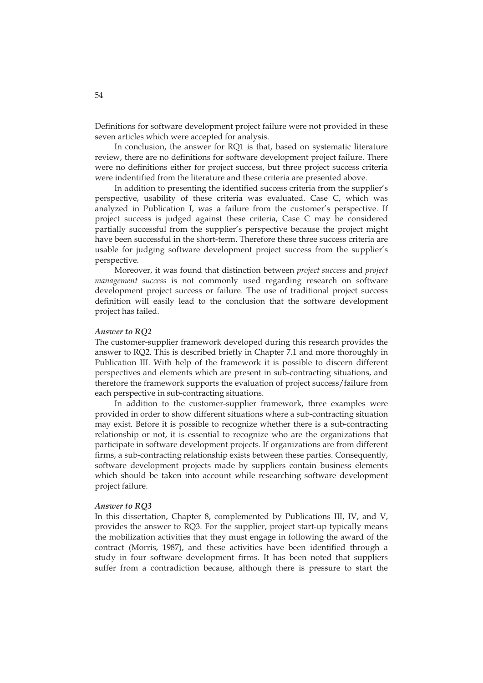Definitions for software development project failure were not provided in these seven articles which were accepted for analysis.

In conclusion, the answer for RQ1 is that, based on systematic literature review, there are no definitions for software development project failure. There were no definitions either for project success, but three project success criteria were indentified from the literature and these criteria are presented above.

In addition to presenting the identified success criteria from the supplier's perspective, usability of these criteria was evaluated. Case C, which was analyzed in Publication I, was a failure from the customer's perspective. If project success is judged against these criteria, Case C may be considered partially successful from the supplier's perspective because the project might have been successful in the short-term. Therefore these three success criteria are usable for judging software development project success from the supplier's perspective.

Moreover, it was found that distinction between *project success* and *project management success* is not commonly used regarding research on software development project success or failure. The use of traditional project success definition will easily lead to the conclusion that the software development project has failed.

#### *Answer to RQ2*

The customer-supplier framework developed during this research provides the answer to RQ2. This is described briefly in Chapter 7.1 and more thoroughly in Publication III. With help of the framework it is possible to discern different perspectives and elements which are present in sub-contracting situations, and therefore the framework supports the evaluation of project success/failure from each perspective in sub-contracting situations.

In addition to the customer-supplier framework, three examples were provided in order to show different situations where a sub-contracting situation may exist. Before it is possible to recognize whether there is a sub-contracting relationship or not, it is essential to recognize who are the organizations that participate in software development projects. If organizations are from different firms, a sub-contracting relationship exists between these parties. Consequently, software development projects made by suppliers contain business elements which should be taken into account while researching software development project failure.

#### *Answer to RQ3*

In this dissertation, Chapter 8, complemented by Publications III, IV, and V, provides the answer to RQ3. For the supplier, project start-up typically means the mobilization activities that they must engage in following the award of the contract (Morris, 1987), and these activities have been identified through a study in four software development firms. It has been noted that suppliers suffer from a contradiction because, although there is pressure to start the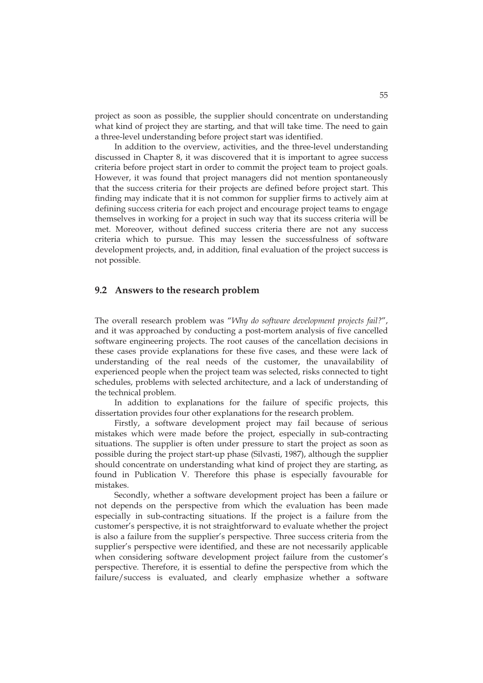project as soon as possible, the supplier should concentrate on understanding what kind of project they are starting, and that will take time. The need to gain a three-level understanding before project start was identified.

In addition to the overview, activities, and the three-level understanding discussed in Chapter 8, it was discovered that it is important to agree success criteria before project start in order to commit the project team to project goals. However, it was found that project managers did not mention spontaneously that the success criteria for their projects are defined before project start. This finding may indicate that it is not common for supplier firms to actively aim at defining success criteria for each project and encourage project teams to engage themselves in working for a project in such way that its success criteria will be met. Moreover, without defined success criteria there are not any success criteria which to pursue. This may lessen the successfulness of software development projects, and, in addition, final evaluation of the project success is not possible.

#### **9.2 Answers to the research problem**

The overall research problem was "*Why do software development projects fail?*", and it was approached by conducting a post-mortem analysis of five cancelled software engineering projects. The root causes of the cancellation decisions in these cases provide explanations for these five cases, and these were lack of understanding of the real needs of the customer, the unavailability of experienced people when the project team was selected, risks connected to tight schedules, problems with selected architecture, and a lack of understanding of the technical problem.

In addition to explanations for the failure of specific projects, this dissertation provides four other explanations for the research problem.

Firstly, a software development project may fail because of serious mistakes which were made before the project, especially in sub-contracting situations. The supplier is often under pressure to start the project as soon as possible during the project start-up phase (Silvasti, 1987), although the supplier should concentrate on understanding what kind of project they are starting, as found in Publication V. Therefore this phase is especially favourable for mistakes.

Secondly, whether a software development project has been a failure or not depends on the perspective from which the evaluation has been made especially in sub-contracting situations. If the project is a failure from the customer's perspective, it is not straightforward to evaluate whether the project is also a failure from the supplier's perspective. Three success criteria from the supplier's perspective were identified, and these are not necessarily applicable when considering software development project failure from the customer's perspective. Therefore, it is essential to define the perspective from which the failure/success is evaluated, and clearly emphasize whether a software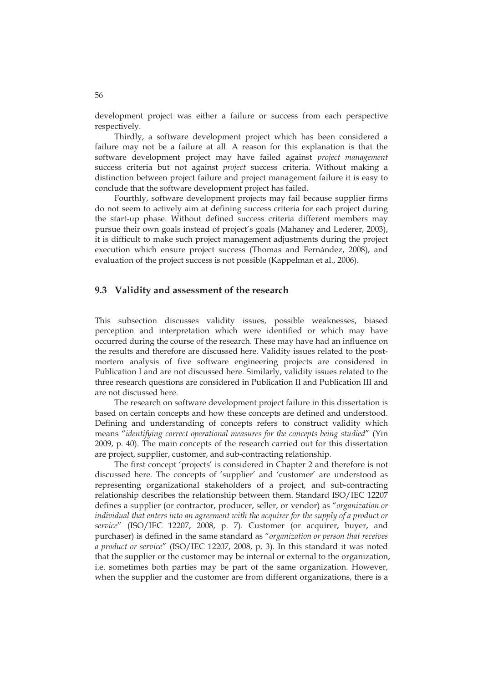development project was either a failure or success from each perspective respectively.

Thirdly, a software development project which has been considered a failure may not be a failure at all. A reason for this explanation is that the software development project may have failed against *project management* success criteria but not against *project* success criteria. Without making a distinction between project failure and project management failure it is easy to conclude that the software development project has failed.

Fourthly, software development projects may fail because supplier firms do not seem to actively aim at defining success criteria for each project during the start-up phase. Without defined success criteria different members may pursue their own goals instead of project's goals (Mahaney and Lederer, 2003), it is difficult to make such project management adjustments during the project execution which ensure project success (Thomas and Fernández, 2008), and evaluation of the project success is not possible (Kappelman et al., 2006).

## **9.3 Validity and assessment of the research**

This subsection discusses validity issues, possible weaknesses, biased perception and interpretation which were identified or which may have occurred during the course of the research. These may have had an influence on the results and therefore are discussed here. Validity issues related to the postmortem analysis of five software engineering projects are considered in Publication I and are not discussed here. Similarly, validity issues related to the three research questions are considered in Publication II and Publication III and are not discussed here.

The research on software development project failure in this dissertation is based on certain concepts and how these concepts are defined and understood. Defining and understanding of concepts refers to construct validity which means "*identifying correct operational measures for the concepts being studied*" (Yin 2009, p. 40). The main concepts of the research carried out for this dissertation are project, supplier, customer, and sub-contracting relationship.

The first concept 'projects' is considered in Chapter 2 and therefore is not discussed here. The concepts of 'supplier' and 'customer' are understood as representing organizational stakeholders of a project, and sub-contracting relationship describes the relationship between them. Standard ISO/IEC 12207 defines a supplier (or contractor, producer, seller, or vendor) as "*organization or*  individual that enters into an agreement with the acquirer for the supply of a product or *service*" (ISO/IEC 12207, 2008, p. 7). Customer (or acquirer, buyer, and purchaser) is defined in the same standard as "*organization or person that receives a product or service*" (ISO/IEC 12207, 2008, p. 3). In this standard it was noted that the supplier or the customer may be internal or external to the organization, i.e. sometimes both parties may be part of the same organization. However, when the supplier and the customer are from different organizations, there is a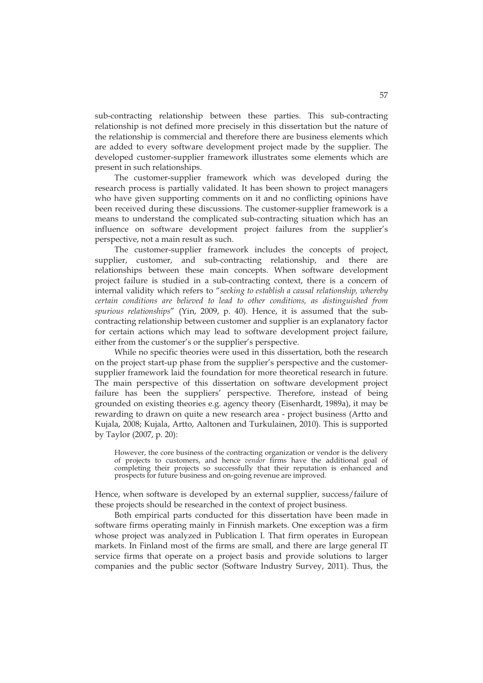sub-contracting relationship between these parties. This sub-contracting relationship is not defined more precisely in this dissertation but the nature of the relationship is commercial and therefore there are business elements which are added to every software development project made by the supplier. The developed customer-supplier framework illustrates some elements which are present in such relationships.

The customer-supplier framework which was developed during the research process is partially validated. It has been shown to project managers who have given supporting comments on it and no conflicting opinions have been received during these discussions. The customer-supplier framework is a means to understand the complicated sub-contracting situation which has an influence on software development project failures from the supplier's perspective, not a main result as such.

The customer-supplier framework includes the concepts of project, supplier, customer, and sub-contracting relationship, and there are relationships between these main concepts. When software development project failure is studied in a sub-contracting context, there is a concern of internal validity which refers to "*seeking to establish a causal relationship, whereby certain conditions are believed to lead to other conditions, as distinguished from spurious relationships*" (Yin, 2009, p. 40). Hence, it is assumed that the subcontracting relationship between customer and supplier is an explanatory factor for certain actions which may lead to software development project failure, either from the customer's or the supplier's perspective.

While no specific theories were used in this dissertation, both the research on the project start-up phase from the supplier's perspective and the customersupplier framework laid the foundation for more theoretical research in future. The main perspective of this dissertation on software development project failure has been the suppliers' perspective. Therefore, instead of being grounded on existing theories e.g. agency theory (Eisenhardt, 1989a), it may be rewarding to drawn on quite a new research area - project business (Artto and Kujala, 2008; Kujala, Artto, Aaltonen and Turkulainen, 2010). This is supported by Taylor (2007, p. 20):

However, the core business of the contracting organization or vendor is the delivery of projects to customers, and hence *vendor* firms have the additional goal of completing their projects so successfully that their reputation is enhanced and prospects for future business and on-going revenue are improved.

Hence, when software is developed by an external supplier, success/failure of these projects should be researched in the context of project business.

Both empirical parts conducted for this dissertation have been made in software firms operating mainly in Finnish markets. One exception was a firm whose project was analyzed in Publication I. That firm operates in European markets. In Finland most of the firms are small, and there are large general IT service firms that operate on a project basis and provide solutions to larger companies and the public sector (Software Industry Survey, 2011). Thus, the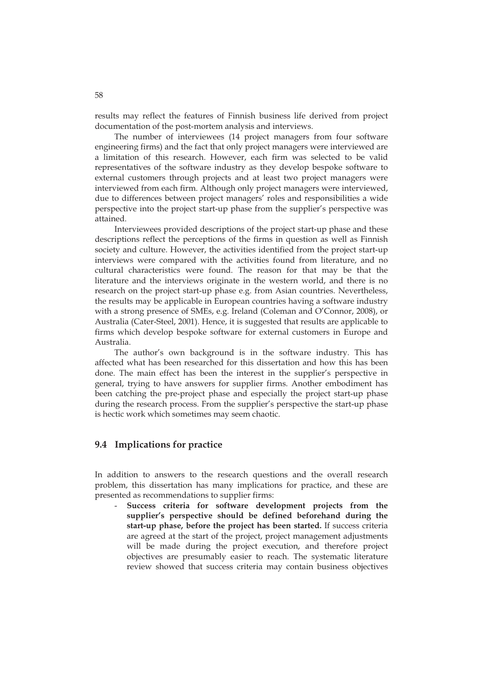results may reflect the features of Finnish business life derived from project documentation of the post-mortem analysis and interviews.

The number of interviewees (14 project managers from four software engineering firms) and the fact that only project managers were interviewed are a limitation of this research. However, each firm was selected to be valid representatives of the software industry as they develop bespoke software to external customers through projects and at least two project managers were interviewed from each firm. Although only project managers were interviewed, due to differences between project managers' roles and responsibilities a wide perspective into the project start-up phase from the supplier's perspective was attained.

Interviewees provided descriptions of the project start-up phase and these descriptions reflect the perceptions of the firms in question as well as Finnish society and culture. However, the activities identified from the project start-up interviews were compared with the activities found from literature, and no cultural characteristics were found. The reason for that may be that the literature and the interviews originate in the western world, and there is no research on the project start-up phase e.g. from Asian countries. Nevertheless, the results may be applicable in European countries having a software industry with a strong presence of SMEs, e.g. Ireland (Coleman and O'Connor, 2008), or Australia (Cater-Steel, 2001). Hence, it is suggested that results are applicable to firms which develop bespoke software for external customers in Europe and Australia.

The author's own background is in the software industry. This has affected what has been researched for this dissertation and how this has been done. The main effect has been the interest in the supplier's perspective in general, trying to have answers for supplier firms. Another embodiment has been catching the pre-project phase and especially the project start-up phase during the research process. From the supplier's perspective the start-up phase is hectic work which sometimes may seem chaotic.

#### **9.4 Implications for practice**

In addition to answers to the research questions and the overall research problem, this dissertation has many implications for practice, and these are presented as recommendations to supplier firms:

Success criteria for software development projects from the **supplier's perspective should be defined beforehand during the start-up phase, before the project has been started.** If success criteria are agreed at the start of the project, project management adjustments will be made during the project execution, and therefore project objectives are presumably easier to reach. The systematic literature review showed that success criteria may contain business objectives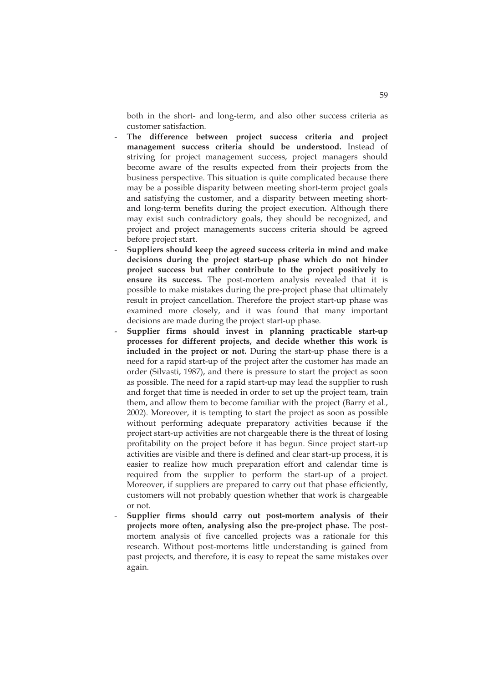both in the short- and long-term, and also other success criteria as customer satisfaction.

- The difference between project success criteria and project **management success criteria should be understood.** Instead of striving for project management success, project managers should become aware of the results expected from their projects from the business perspective. This situation is quite complicated because there may be a possible disparity between meeting short-term project goals and satisfying the customer, and a disparity between meeting shortand long-term benefits during the project execution. Although there may exist such contradictory goals, they should be recognized, and project and project managements success criteria should be agreed before project start.
- **Suppliers should keep the agreed success criteria in mind and make decisions during the project start-up phase which do not hinder project success but rather contribute to the project positively to ensure its success.** The post-mortem analysis revealed that it is possible to make mistakes during the pre-project phase that ultimately result in project cancellation. Therefore the project start-up phase was examined more closely, and it was found that many important decisions are made during the project start-up phase.
- **Supplier firms should invest in planning practicable start-up processes for different projects, and decide whether this work is included in the project or not.** During the start-up phase there is a need for a rapid start-up of the project after the customer has made an order (Silvasti, 1987), and there is pressure to start the project as soon as possible. The need for a rapid start-up may lead the supplier to rush and forget that time is needed in order to set up the project team, train them, and allow them to become familiar with the project (Barry et al., 2002). Moreover, it is tempting to start the project as soon as possible without performing adequate preparatory activities because if the project start-up activities are not chargeable there is the threat of losing profitability on the project before it has begun. Since project start-up activities are visible and there is defined and clear start-up process, it is easier to realize how much preparation effort and calendar time is required from the supplier to perform the start-up of a project. Moreover, if suppliers are prepared to carry out that phase efficiently, customers will not probably question whether that work is chargeable or not.
- **Supplier firms should carry out post-mortem analysis of their projects more often, analysing also the pre-project phase.** The postmortem analysis of five cancelled projects was a rationale for this research. Without post-mortems little understanding is gained from past projects, and therefore, it is easy to repeat the same mistakes over again.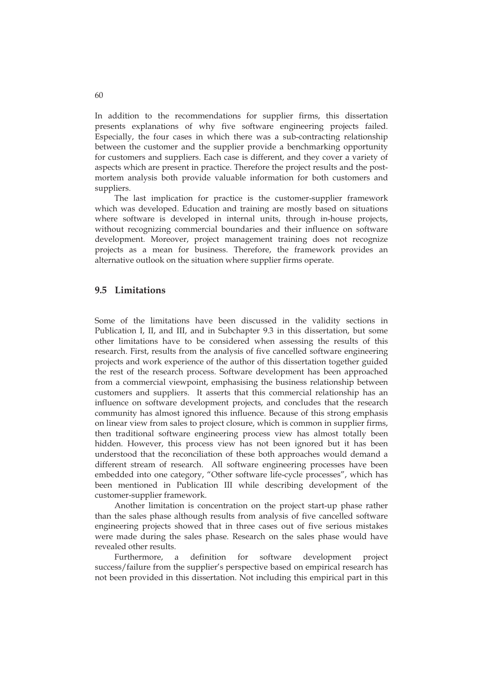In addition to the recommendations for supplier firms, this dissertation presents explanations of why five software engineering projects failed. Especially, the four cases in which there was a sub-contracting relationship between the customer and the supplier provide a benchmarking opportunity for customers and suppliers. Each case is different, and they cover a variety of aspects which are present in practice. Therefore the project results and the postmortem analysis both provide valuable information for both customers and suppliers.

The last implication for practice is the customer-supplier framework which was developed. Education and training are mostly based on situations where software is developed in internal units, through in-house projects, without recognizing commercial boundaries and their influence on software development. Moreover, project management training does not recognize projects as a mean for business. Therefore, the framework provides an alternative outlook on the situation where supplier firms operate.

### **9.5 Limitations**

Some of the limitations have been discussed in the validity sections in Publication I, II, and III, and in Subchapter 9.3 in this dissertation, but some other limitations have to be considered when assessing the results of this research. First, results from the analysis of five cancelled software engineering projects and work experience of the author of this dissertation together guided the rest of the research process. Software development has been approached from a commercial viewpoint, emphasising the business relationship between customers and suppliers. It asserts that this commercial relationship has an influence on software development projects, and concludes that the research community has almost ignored this influence. Because of this strong emphasis on linear view from sales to project closure, which is common in supplier firms, then traditional software engineering process view has almost totally been hidden. However, this process view has not been ignored but it has been understood that the reconciliation of these both approaches would demand a different stream of research. All software engineering processes have been embedded into one category, "Other software life-cycle processes", which has been mentioned in Publication III while describing development of the customer-supplier framework.

Another limitation is concentration on the project start-up phase rather than the sales phase although results from analysis of five cancelled software engineering projects showed that in three cases out of five serious mistakes were made during the sales phase. Research on the sales phase would have revealed other results.

Furthermore, a definition for software development project success/failure from the supplier's perspective based on empirical research has not been provided in this dissertation. Not including this empirical part in this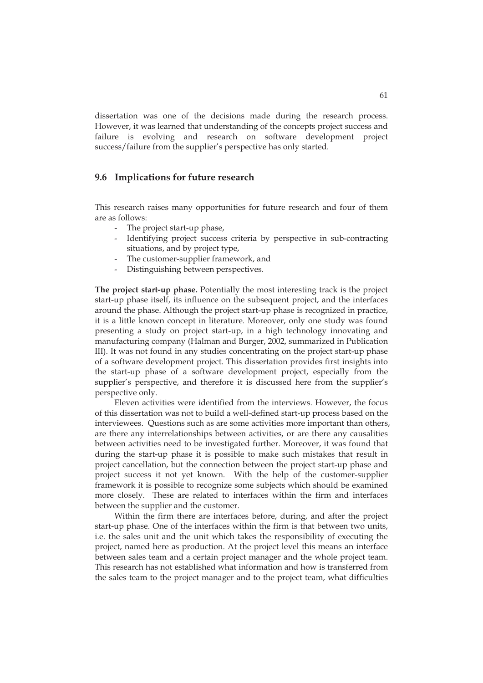dissertation was one of the decisions made during the research process. However, it was learned that understanding of the concepts project success and failure is evolving and research on software development project success/failure from the supplier's perspective has only started.

#### **9.6 Implications for future research**

This research raises many opportunities for future research and four of them are as follows:

- The project start-up phase,
- Identifying project success criteria by perspective in sub-contracting situations, and by project type,
- The customer-supplier framework, and
- Distinguishing between perspectives.

**The project start-up phase.** Potentially the most interesting track is the project start-up phase itself, its influence on the subsequent project, and the interfaces around the phase. Although the project start-up phase is recognized in practice, it is a little known concept in literature. Moreover, only one study was found presenting a study on project start-up, in a high technology innovating and manufacturing company (Halman and Burger, 2002, summarized in Publication III). It was not found in any studies concentrating on the project start-up phase of a software development project. This dissertation provides first insights into the start-up phase of a software development project, especially from the supplier's perspective, and therefore it is discussed here from the supplier's perspective only.

Eleven activities were identified from the interviews. However, the focus of this dissertation was not to build a well-defined start-up process based on the interviewees. Questions such as are some activities more important than others, are there any interrelationships between activities, or are there any causalities between activities need to be investigated further. Moreover, it was found that during the start-up phase it is possible to make such mistakes that result in project cancellation, but the connection between the project start-up phase and project success it not yet known. With the help of the customer-supplier framework it is possible to recognize some subjects which should be examined more closely. These are related to interfaces within the firm and interfaces between the supplier and the customer.

Within the firm there are interfaces before, during, and after the project start-up phase. One of the interfaces within the firm is that between two units, i.e. the sales unit and the unit which takes the responsibility of executing the project, named here as production. At the project level this means an interface between sales team and a certain project manager and the whole project team. This research has not established what information and how is transferred from the sales team to the project manager and to the project team, what difficulties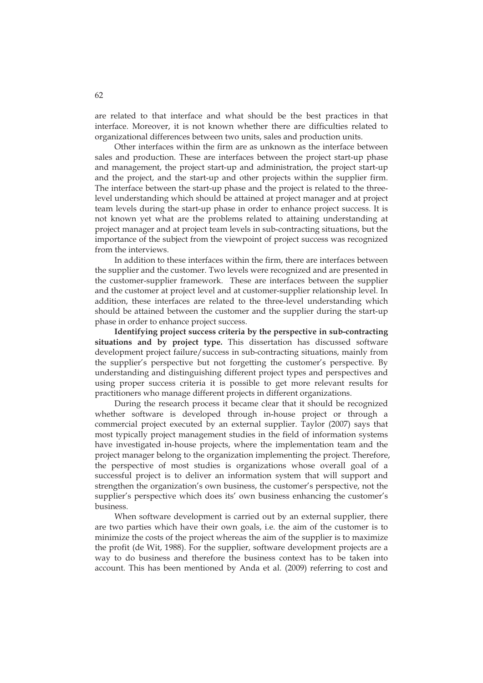are related to that interface and what should be the best practices in that interface. Moreover, it is not known whether there are difficulties related to organizational differences between two units, sales and production units.

Other interfaces within the firm are as unknown as the interface between sales and production. These are interfaces between the project start-up phase and management, the project start-up and administration, the project start-up and the project, and the start-up and other projects within the supplier firm. The interface between the start-up phase and the project is related to the threelevel understanding which should be attained at project manager and at project team levels during the start-up phase in order to enhance project success. It is not known yet what are the problems related to attaining understanding at project manager and at project team levels in sub-contracting situations, but the importance of the subject from the viewpoint of project success was recognized from the interviews.

In addition to these interfaces within the firm, there are interfaces between the supplier and the customer. Two levels were recognized and are presented in the customer-supplier framework. These are interfaces between the supplier and the customer at project level and at customer-supplier relationship level. In addition, these interfaces are related to the three-level understanding which should be attained between the customer and the supplier during the start-up phase in order to enhance project success.

**Identifying project success criteria by the perspective in sub-contracting situations and by project type.** This dissertation has discussed software development project failure/success in sub-contracting situations, mainly from the supplier's perspective but not forgetting the customer's perspective. By understanding and distinguishing different project types and perspectives and using proper success criteria it is possible to get more relevant results for practitioners who manage different projects in different organizations.

During the research process it became clear that it should be recognized whether software is developed through in-house project or through a commercial project executed by an external supplier. Taylor (2007) says that most typically project management studies in the field of information systems have investigated in-house projects, where the implementation team and the project manager belong to the organization implementing the project. Therefore, the perspective of most studies is organizations whose overall goal of a successful project is to deliver an information system that will support and strengthen the organization's own business, the customer's perspective, not the supplier's perspective which does its' own business enhancing the customer's business.

When software development is carried out by an external supplier, there are two parties which have their own goals, i.e. the aim of the customer is to minimize the costs of the project whereas the aim of the supplier is to maximize the profit (de Wit, 1988). For the supplier, software development projects are a way to do business and therefore the business context has to be taken into account. This has been mentioned by Anda et al. (2009) referring to cost and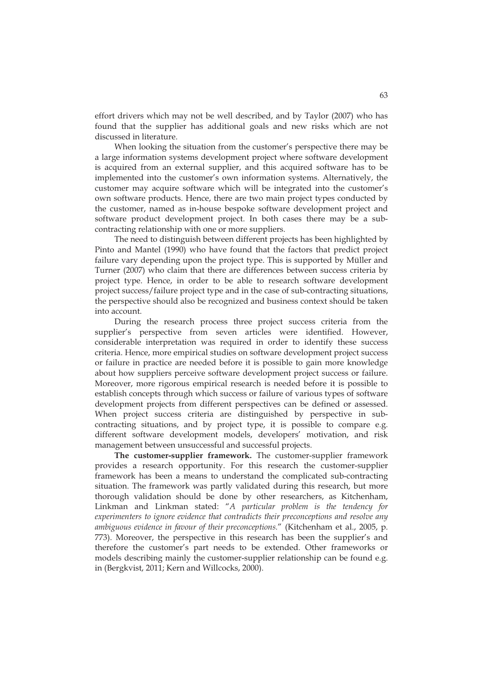effort drivers which may not be well described, and by Taylor (2007) who has found that the supplier has additional goals and new risks which are not discussed in literature.

When looking the situation from the customer's perspective there may be a large information systems development project where software development is acquired from an external supplier, and this acquired software has to be implemented into the customer's own information systems. Alternatively, the customer may acquire software which will be integrated into the customer's own software products. Hence, there are two main project types conducted by the customer, named as in-house bespoke software development project and software product development project. In both cases there may be a subcontracting relationship with one or more suppliers.

The need to distinguish between different projects has been highlighted by Pinto and Mantel (1990) who have found that the factors that predict project failure vary depending upon the project type. This is supported by Müller and Turner (2007) who claim that there are differences between success criteria by project type. Hence, in order to be able to research software development project success/failure project type and in the case of sub-contracting situations, the perspective should also be recognized and business context should be taken into account.

During the research process three project success criteria from the supplier's perspective from seven articles were identified. However, considerable interpretation was required in order to identify these success criteria. Hence, more empirical studies on software development project success or failure in practice are needed before it is possible to gain more knowledge about how suppliers perceive software development project success or failure. Moreover, more rigorous empirical research is needed before it is possible to establish concepts through which success or failure of various types of software development projects from different perspectives can be defined or assessed. When project success criteria are distinguished by perspective in subcontracting situations, and by project type, it is possible to compare e.g. different software development models, developers' motivation, and risk management between unsuccessful and successful projects.

**The customer-supplier framework.** The customer-supplier framework provides a research opportunity. For this research the customer-supplier framework has been a means to understand the complicated sub-contracting situation. The framework was partly validated during this research, but more thorough validation should be done by other researchers, as Kitchenham, Linkman and Linkman stated: "*A particular problem is the tendency for experimenters to ignore evidence that contradicts their preconceptions and resolve any ambiguous evidence in favour of their preconceptions.*" (Kitchenham et al., 2005, p. 773). Moreover, the perspective in this research has been the supplier's and therefore the customer's part needs to be extended. Other frameworks or models describing mainly the customer-supplier relationship can be found e.g. in (Bergkvist, 2011; Kern and Willcocks, 2000).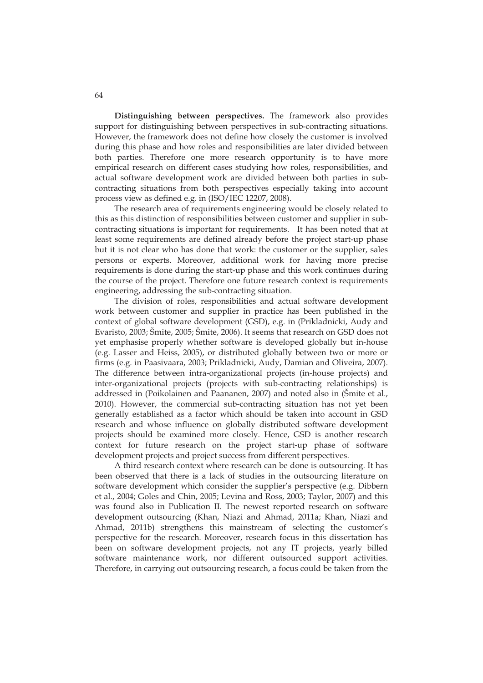**Distinguishing between perspectives.** The framework also provides support for distinguishing between perspectives in sub-contracting situations. However, the framework does not define how closely the customer is involved during this phase and how roles and responsibilities are later divided between both parties. Therefore one more research opportunity is to have more empirical research on different cases studying how roles, responsibilities, and actual software development work are divided between both parties in subcontracting situations from both perspectives especially taking into account process view as defined e.g. in (ISO/IEC 12207, 2008).

The research area of requirements engineering would be closely related to this as this distinction of responsibilities between customer and supplier in subcontracting situations is important for requirements. It has been noted that at least some requirements are defined already before the project start-up phase but it is not clear who has done that work: the customer or the supplier, sales persons or experts. Moreover, additional work for having more precise requirements is done during the start-up phase and this work continues during the course of the project. Therefore one future research context is requirements engineering, addressing the sub-contracting situation.

The division of roles, responsibilities and actual software development work between customer and supplier in practice has been published in the context of global software development (GSD), e.g. in (Prikladnicki, Audy and Evaristo, 2003; Šmite, 2005; Šmite, 2006). It seems that research on GSD does not yet emphasise properly whether software is developed globally but in-house (e.g. Lasser and Heiss, 2005), or distributed globally between two or more or firms (e.g. in Paasivaara, 2003; Prikladnicki, Audy, Damian and Oliveira, 2007). The difference between intra-organizational projects (in-house projects) and inter-organizational projects (projects with sub-contracting relationships) is addressed in (Poikolainen and Paananen, 2007) and noted also in (Šmite et al., 2010). However, the commercial sub-contracting situation has not yet been generally established as a factor which should be taken into account in GSD research and whose influence on globally distributed software development projects should be examined more closely. Hence, GSD is another research context for future research on the project start-up phase of software development projects and project success from different perspectives.

A third research context where research can be done is outsourcing. It has been observed that there is a lack of studies in the outsourcing literature on software development which consider the supplier's perspective (e.g. Dibbern et al., 2004; Goles and Chin, 2005; Levina and Ross, 2003; Taylor, 2007) and this was found also in Publication II. The newest reported research on software development outsourcing (Khan, Niazi and Ahmad, 2011a; Khan, Niazi and Ahmad, 2011b) strengthens this mainstream of selecting the customer's perspective for the research. Moreover, research focus in this dissertation has been on software development projects, not any IT projects, yearly billed software maintenance work, nor different outsourced support activities. Therefore, in carrying out outsourcing research, a focus could be taken from the

64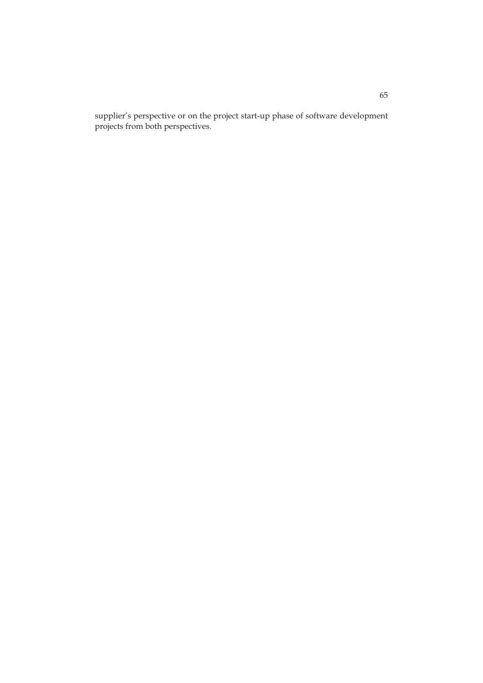supplier's perspective or on the project start-up phase of software development projects from both perspectives.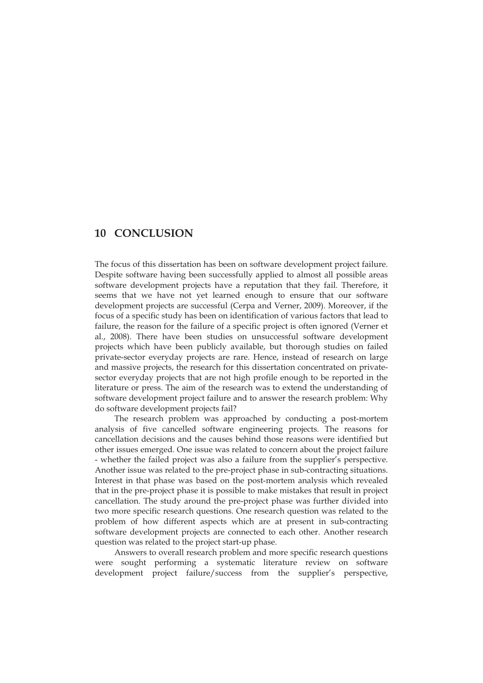# **10 CONCLUSION**

The focus of this dissertation has been on software development project failure. Despite software having been successfully applied to almost all possible areas software development projects have a reputation that they fail. Therefore, it seems that we have not yet learned enough to ensure that our software development projects are successful (Cerpa and Verner, 2009). Moreover, if the focus of a specific study has been on identification of various factors that lead to failure, the reason for the failure of a specific project is often ignored (Verner et al., 2008). There have been studies on unsuccessful software development projects which have been publicly available, but thorough studies on failed private-sector everyday projects are rare. Hence, instead of research on large and massive projects, the research for this dissertation concentrated on privatesector everyday projects that are not high profile enough to be reported in the literature or press. The aim of the research was to extend the understanding of software development project failure and to answer the research problem: Why do software development projects fail?

The research problem was approached by conducting a post-mortem analysis of five cancelled software engineering projects. The reasons for cancellation decisions and the causes behind those reasons were identified but other issues emerged. One issue was related to concern about the project failure - whether the failed project was also a failure from the supplier's perspective. Another issue was related to the pre-project phase in sub-contracting situations. Interest in that phase was based on the post-mortem analysis which revealed that in the pre-project phase it is possible to make mistakes that result in project cancellation. The study around the pre-project phase was further divided into two more specific research questions. One research question was related to the problem of how different aspects which are at present in sub-contracting software development projects are connected to each other. Another research question was related to the project start-up phase.

Answers to overall research problem and more specific research questions were sought performing a systematic literature review on software development project failure/success from the supplier's perspective,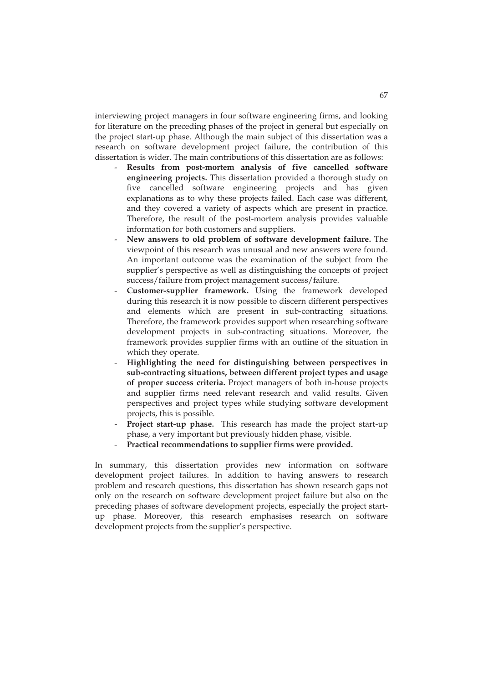interviewing project managers in four software engineering firms, and looking for literature on the preceding phases of the project in general but especially on the project start-up phase. Although the main subject of this dissertation was a research on software development project failure, the contribution of this dissertation is wider. The main contributions of this dissertation are as follows:

- **Results from post-mortem analysis of five cancelled software engineering projects.** This dissertation provided a thorough study on five cancelled software engineering projects and has given explanations as to why these projects failed. Each case was different, and they covered a variety of aspects which are present in practice. Therefore, the result of the post-mortem analysis provides valuable information for both customers and suppliers.
- **New answers to old problem of software development failure.** The viewpoint of this research was unusual and new answers were found. An important outcome was the examination of the subject from the supplier's perspective as well as distinguishing the concepts of project success/failure from project management success/failure.
- **Customer-supplier framework.** Using the framework developed during this research it is now possible to discern different perspectives and elements which are present in sub-contracting situations. Therefore, the framework provides support when researching software development projects in sub-contracting situations. Moreover, the framework provides supplier firms with an outline of the situation in which they operate.
- **Highlighting the need for distinguishing between perspectives in sub-contracting situations, between different project types and usage of proper success criteria.** Project managers of both in-house projects and supplier firms need relevant research and valid results. Given perspectives and project types while studying software development projects, this is possible.
- Project start-up phase. This research has made the project start-up phase, a very important but previously hidden phase, visible.
- **Practical recommendations to supplier firms were provided.**

In summary, this dissertation provides new information on software development project failures. In addition to having answers to research problem and research questions, this dissertation has shown research gaps not only on the research on software development project failure but also on the preceding phases of software development projects, especially the project startup phase. Moreover, this research emphasises research on software development projects from the supplier's perspective.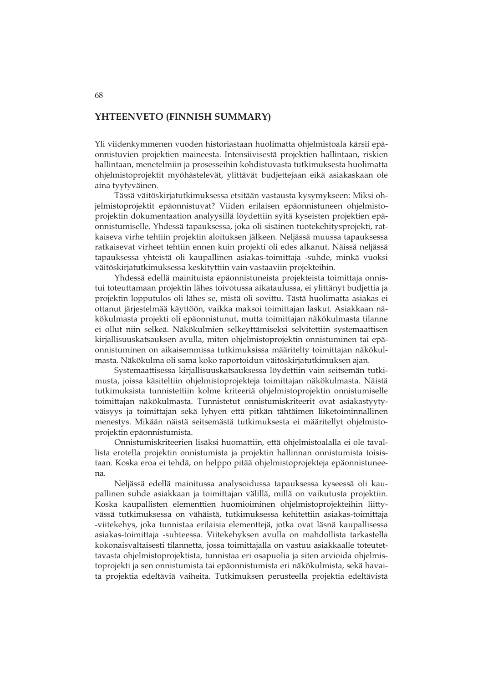#### **YHTEENVETO (FINNISH SUMMARY)**

Yli viidenkymmenen vuoden historiastaan huolimatta ohjelmistoala kärsii epäonnistuvien projektien maineesta. Intensiivisestä projektien hallintaan, riskien hallintaan, menetelmiin ja prosesseihin kohdistuvasta tutkimuksesta huolimatta ohjelmistoprojektit myöhästelevät, ylittävät budjettejaan eikä asiakaskaan ole aina tyytyväinen.

Tässä väitöskirjatutkimuksessa etsitään vastausta kysymykseen: Miksi ohjelmistoprojektit epäonnistuvat? Viiden erilaisen epäonnistuneen ohjelmistoprojektin dokumentaation analyysillä löydettiin syitä kyseisten projektien epäonnistumiselle. Yhdessä tapauksessa, joka oli sisäinen tuotekehitysprojekti, ratkaiseva virhe tehtiin projektin aloituksen jälkeen. Neljässä muussa tapauksessa ratkaisevat virheet tehtiin ennen kuin projekti oli edes alkanut. Näissä neljässä tapauksessa yhteistä oli kaupallinen asiakas-toimittaja -suhde, minkä vuoksi väitöskirjatutkimuksessa keskityttiin vain vastaaviin projekteihin.

Yhdessä edellä mainituista epäonnistuneista projekteista toimittaja onnistui toteuttamaan projektin lähes toivotussa aikataulussa, ei ylittänyt budjettia ja projektin lopputulos oli lähes se, mistä oli sovittu. Tästä huolimatta asiakas ei ottanut järjestelmää käyttöön, vaikka maksoi toimittajan laskut. Asiakkaan näkökulmasta projekti oli epäonnistunut, mutta toimittajan näkökulmasta tilanne ei ollut niin selkeä. Näkökulmien selkeyttämiseksi selvitettiin systemaattisen kirjallisuuskatsauksen avulla, miten ohjelmistoprojektin onnistuminen tai epäonnistuminen on aikaisemmissa tutkimuksissa määritelty toimittajan näkökulmasta. Näkökulma oli sama koko raportoidun väitöskirjatutkimuksen ajan.

Systemaattisessa kirjallisuuskatsauksessa löydettiin vain seitsemän tutkimusta, joissa käsiteltiin ohjelmistoprojekteja toimittajan näkökulmasta. Näistä tutkimuksista tunnistettiin kolme kriteeriä ohjelmistoprojektin onnistumiselle toimittajan näkökulmasta. Tunnistetut onnistumiskriteerit ovat asiakastyytyväisyys ja toimittajan sekä lyhyen että pitkän tähtäimen liiketoiminnallinen menestys. Mikään näistä seitsemästä tutkimuksesta ei määritellyt ohjelmistoprojektin epäonnistumista.

Onnistumiskriteerien lisäksi huomattiin, että ohjelmistoalalla ei ole tavallista erotella projektin onnistumista ja projektin hallinnan onnistumista toisistaan. Koska eroa ei tehdä, on helppo pitää ohjelmistoprojekteja epäonnistuneena.

Neljässä edellä mainitussa analysoidussa tapauksessa kyseessä oli kaupallinen suhde asiakkaan ja toimittajan välillä, millä on vaikutusta projektiin. Koska kaupallisten elementtien huomioiminen ohjelmistoprojekteihin liittyvässä tutkimuksessa on vähäistä, tutkimuksessa kehitettiin asiakas-toimittaja -viitekehys, joka tunnistaa erilaisia elementtejä, jotka ovat läsnä kaupallisessa asiakas-toimittaja -suhteessa. Viitekehyksen avulla on mahdollista tarkastella kokonaisvaltaisesti tilannetta, jossa toimittajalla on vastuu asiakkaalle toteutettavasta ohjelmistoprojektista, tunnistaa eri osapuolia ja siten arvioida ohjelmistoprojekti ja sen onnistumista tai epäonnistumista eri näkökulmista, sekä havaita projektia edeltäviä vaiheita. Tutkimuksen perusteella projektia edeltävistä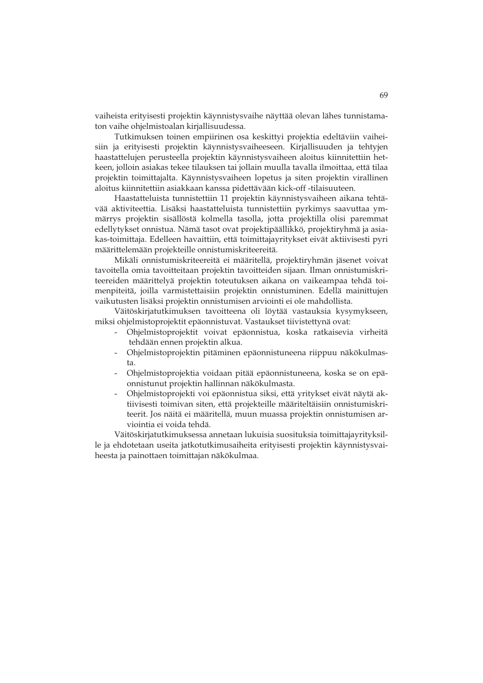vaiheista erityisesti projektin käynnistysvaihe näyttää olevan lähes tunnistamaton vaihe ohjelmistoalan kirjallisuudessa.

Tutkimuksen toinen empiirinen osa keskittyi projektia edeltäviin vaiheisiin ja erityisesti projektin käynnistysvaiheeseen. Kirjallisuuden ja tehtyjen haastattelujen perusteella projektin käynnistysvaiheen aloitus kiinnitettiin hetkeen, jolloin asiakas tekee tilauksen tai jollain muulla tavalla ilmoittaa, että tilaa projektin toimittajalta. Käynnistysvaiheen lopetus ja siten projektin virallinen aloitus kiinnitettiin asiakkaan kanssa pidettävään kick-off -tilaisuuteen.

Haastatteluista tunnistettiin 11 projektin käynnistysvaiheen aikana tehtävää aktiviteettia. Lisäksi haastatteluista tunnistettiin pyrkimys saavuttaa ymmärrys projektin sisällöstä kolmella tasolla, jotta projektilla olisi paremmat edellytykset onnistua. Nämä tasot ovat projektipäällikkö, projektiryhmä ja asiakas-toimittaja. Edelleen havaittiin, että toimittajayritykset eivät aktiivisesti pyri määrittelemään projekteille onnistumiskriteereitä.

Mikäli onnistumiskriteereitä ei määritellä, projektiryhmän jäsenet voivat tavoitella omia tavoitteitaan projektin tavoitteiden sijaan. Ilman onnistumiskriteereiden määrittelyä projektin toteutuksen aikana on vaikeampaa tehdä toimenpiteitä, joilla varmistettaisiin projektin onnistuminen. Edellä mainittujen vaikutusten lisäksi projektin onnistumisen arviointi ei ole mahdollista.

Väitöskirjatutkimuksen tavoitteena oli löytää vastauksia kysymykseen, miksi ohjelmistoprojektit epäonnistuvat. Vastaukset tiivistettynä ovat:

- Ohjelmistoprojektit voivat epäonnistua, koska ratkaisevia virheitä tehdään ennen projektin alkua.
- Ohjelmistoprojektin pitäminen epäonnistuneena riippuu näkökulmasta.
- Ohjelmistoprojektia voidaan pitää epäonnistuneena, koska se on epäonnistunut projektin hallinnan näkökulmasta.
- Ohjelmistoprojekti voi epäonnistua siksi, että yritykset eivät näytä aktiivisesti toimivan siten, että projekteille määriteltäisiin onnistumiskriteerit. Jos näitä ei määritellä, muun muassa projektin onnistumisen arviointia ei voida tehdä.

Väitöskirjatutkimuksessa annetaan lukuisia suosituksia toimittajayrityksille ja ehdotetaan useita jatkotutkimusaiheita erityisesti projektin käynnistysvaiheesta ja painottaen toimittajan näkökulmaa.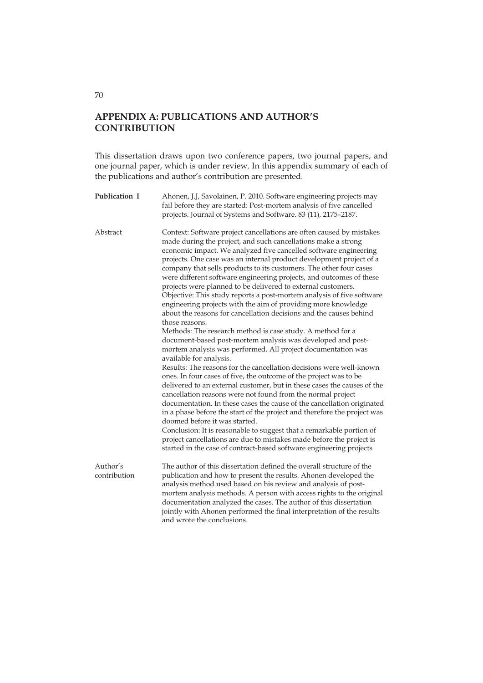## **APPENDIX A: PUBLICATIONS AND AUTHOR'S CONTRIBUTION**

This dissertation draws upon two conference papers, two journal papers, and one journal paper, which is under review. In this appendix summary of each of the publications and author's contribution are presented.

| Publication I            | Ahonen, J.J, Savolainen, P. 2010. Software engineering projects may<br>fail before they are started: Post-mortem analysis of five cancelled<br>projects. Journal of Systems and Software. 83 (11), 2175-2187.                                                                                                                                                                                                                                                                                                                                                                                                                                                                                                                                                                                                                                                                                                                                                                                                                                                                                                                                                                                                                                                                                                                                                                                                                                                                                                                                                                                                                                               |
|--------------------------|-------------------------------------------------------------------------------------------------------------------------------------------------------------------------------------------------------------------------------------------------------------------------------------------------------------------------------------------------------------------------------------------------------------------------------------------------------------------------------------------------------------------------------------------------------------------------------------------------------------------------------------------------------------------------------------------------------------------------------------------------------------------------------------------------------------------------------------------------------------------------------------------------------------------------------------------------------------------------------------------------------------------------------------------------------------------------------------------------------------------------------------------------------------------------------------------------------------------------------------------------------------------------------------------------------------------------------------------------------------------------------------------------------------------------------------------------------------------------------------------------------------------------------------------------------------------------------------------------------------------------------------------------------------|
| Abstract                 | Context: Software project cancellations are often caused by mistakes<br>made during the project, and such cancellations make a strong<br>economic impact. We analyzed five cancelled software engineering<br>projects. One case was an internal product development project of a<br>company that sells products to its customers. The other four cases<br>were different software engineering projects, and outcomes of these<br>projects were planned to be delivered to external customers.<br>Objective: This study reports a post-mortem analysis of five software<br>engineering projects with the aim of providing more knowledge<br>about the reasons for cancellation decisions and the causes behind<br>those reasons.<br>Methods: The research method is case study. A method for a<br>document-based post-mortem analysis was developed and post-<br>mortem analysis was performed. All project documentation was<br>available for analysis.<br>Results: The reasons for the cancellation decisions were well-known<br>ones. In four cases of five, the outcome of the project was to be<br>delivered to an external customer, but in these cases the causes of the<br>cancellation reasons were not found from the normal project<br>documentation. In these cases the cause of the cancellation originated<br>in a phase before the start of the project and therefore the project was<br>doomed before it was started.<br>Conclusion: It is reasonable to suggest that a remarkable portion of<br>project cancellations are due to mistakes made before the project is<br>started in the case of contract-based software engineering projects |
| Author's<br>contribution | The author of this dissertation defined the overall structure of the<br>publication and how to present the results. Ahonen developed the<br>analysis method used based on his review and analysis of post-<br>mortem analysis methods. A person with access rights to the original<br>documentation analyzed the cases. The author of this dissertation<br>jointly with Ahonen performed the final interpretation of the results<br>and wrote the conclusions.                                                                                                                                                                                                                                                                                                                                                                                                                                                                                                                                                                                                                                                                                                                                                                                                                                                                                                                                                                                                                                                                                                                                                                                              |

## 70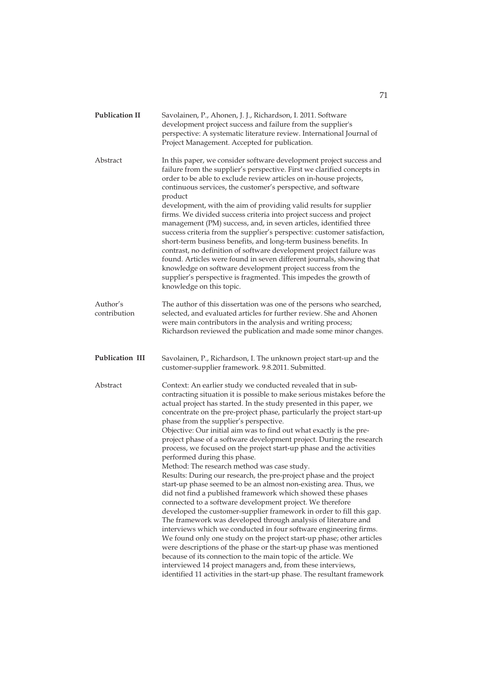| <b>Publication II</b>    | Savolainen, P., Ahonen, J. J., Richardson, I. 2011. Software<br>development project success and failure from the supplier's<br>perspective: A systematic literature review. International Journal of<br>Project Management. Accepted for publication.                                                                                                                                                                                                                                                                                                                                                                                                                                                                                                                                                                                                                                                                                                                                                                                                                                                                                                                                                                                                                                                                                                |
|--------------------------|------------------------------------------------------------------------------------------------------------------------------------------------------------------------------------------------------------------------------------------------------------------------------------------------------------------------------------------------------------------------------------------------------------------------------------------------------------------------------------------------------------------------------------------------------------------------------------------------------------------------------------------------------------------------------------------------------------------------------------------------------------------------------------------------------------------------------------------------------------------------------------------------------------------------------------------------------------------------------------------------------------------------------------------------------------------------------------------------------------------------------------------------------------------------------------------------------------------------------------------------------------------------------------------------------------------------------------------------------|
| Abstract                 | In this paper, we consider software development project success and<br>failure from the supplier's perspective. First we clarified concepts in<br>order to be able to exclude review articles on in-house projects,<br>continuous services, the customer's perspective, and software<br>product<br>development, with the aim of providing valid results for supplier<br>firms. We divided success criteria into project success and project                                                                                                                                                                                                                                                                                                                                                                                                                                                                                                                                                                                                                                                                                                                                                                                                                                                                                                          |
|                          | management (PM) success, and, in seven articles, identified three<br>success criteria from the supplier's perspective: customer satisfaction,<br>short-term business benefits, and long-term business benefits. In<br>contrast, no definition of software development project failure was<br>found. Articles were found in seven different journals, showing that<br>knowledge on software development project success from the<br>supplier's perspective is fragmented. This impedes the growth of<br>knowledge on this topic.                                                                                                                                                                                                                                                                                                                                                                                                                                                                                                                                                                                                                                                                                                                                                                                                                      |
| Author's<br>contribution | The author of this dissertation was one of the persons who searched,<br>selected, and evaluated articles for further review. She and Ahonen<br>were main contributors in the analysis and writing process;<br>Richardson reviewed the publication and made some minor changes.                                                                                                                                                                                                                                                                                                                                                                                                                                                                                                                                                                                                                                                                                                                                                                                                                                                                                                                                                                                                                                                                       |
| Publication III          | Savolainen, P., Richardson, I. The unknown project start-up and the<br>customer-supplier framework. 9.8.2011. Submitted.                                                                                                                                                                                                                                                                                                                                                                                                                                                                                                                                                                                                                                                                                                                                                                                                                                                                                                                                                                                                                                                                                                                                                                                                                             |
| Abstract                 | Context: An earlier study we conducted revealed that in sub-<br>contracting situation it is possible to make serious mistakes before the<br>actual project has started. In the study presented in this paper, we<br>concentrate on the pre-project phase, particularly the project start-up<br>phase from the supplier's perspective.<br>Objective: Our initial aim was to find out what exactly is the pre-<br>project phase of a software development project. During the research<br>process, we focused on the project start-up phase and the activities<br>performed during this phase.<br>Method: The research method was case study.<br>Results: During our research, the pre-project phase and the project<br>start-up phase seemed to be an almost non-existing area. Thus, we<br>did not find a published framework which showed these phases<br>connected to a software development project. We therefore<br>developed the customer-supplier framework in order to fill this gap.<br>The framework was developed through analysis of literature and<br>interviews which we conducted in four software engineering firms.<br>We found only one study on the project start-up phase; other articles<br>were descriptions of the phase or the start-up phase was mentioned<br>because of its connection to the main topic of the article. We |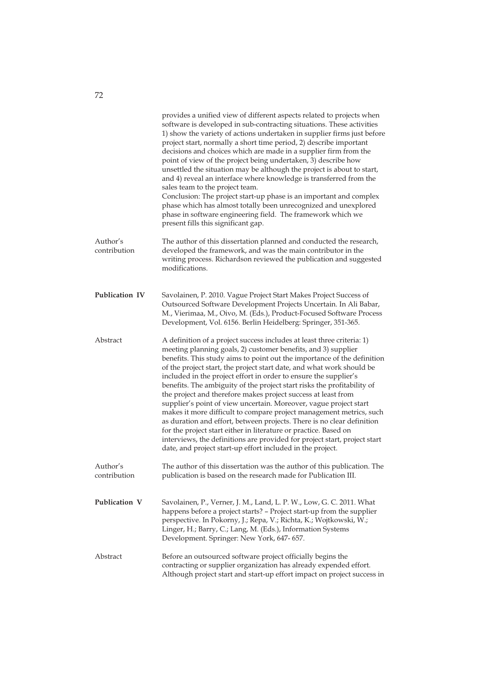|                          | provides a unified view of different aspects related to projects when<br>software is developed in sub-contracting situations. These activities<br>1) show the variety of actions undertaken in supplier firms just before<br>project start, normally a short time period, 2) describe important<br>decisions and choices which are made in a supplier firm from the<br>point of view of the project being undertaken, 3) describe how<br>unsettled the situation may be although the project is about to start,<br>and 4) reveal an interface where knowledge is transferred from the<br>sales team to the project team.<br>Conclusion: The project start-up phase is an important and complex<br>phase which has almost totally been unrecognized and unexplored<br>phase in software engineering field. The framework which we<br>present fills this significant gap.                                                                          |
|--------------------------|--------------------------------------------------------------------------------------------------------------------------------------------------------------------------------------------------------------------------------------------------------------------------------------------------------------------------------------------------------------------------------------------------------------------------------------------------------------------------------------------------------------------------------------------------------------------------------------------------------------------------------------------------------------------------------------------------------------------------------------------------------------------------------------------------------------------------------------------------------------------------------------------------------------------------------------------------|
| Author's<br>contribution | The author of this dissertation planned and conducted the research,<br>developed the framework, and was the main contributor in the<br>writing process. Richardson reviewed the publication and suggested<br>modifications.                                                                                                                                                                                                                                                                                                                                                                                                                                                                                                                                                                                                                                                                                                                      |
| Publication IV           | Savolainen, P. 2010. Vague Project Start Makes Project Success of<br>Outsourced Software Development Projects Uncertain. In Ali Babar,<br>M., Vierimaa, M., Oivo, M. (Eds.), Product-Focused Software Process<br>Development, Vol. 6156. Berlin Heidelberg: Springer, 351-365.                                                                                                                                                                                                                                                                                                                                                                                                                                                                                                                                                                                                                                                                   |
| Abstract                 | A definition of a project success includes at least three criteria: 1)<br>meeting planning goals, 2) customer benefits, and 3) supplier<br>benefits. This study aims to point out the importance of the definition<br>of the project start, the project start date, and what work should be<br>included in the project effort in order to ensure the supplier's<br>benefits. The ambiguity of the project start risks the profitability of<br>the project and therefore makes project success at least from<br>supplier's point of view uncertain. Moreover, vague project start<br>makes it more difficult to compare project management metrics, such<br>as duration and effort, between projects. There is no clear definition<br>for the project start either in literature or practice. Based on<br>interviews, the definitions are provided for project start, project start<br>date, and project start-up effort included in the project. |
| Author's<br>contribution | The author of this dissertation was the author of this publication. The<br>publication is based on the research made for Publication III.                                                                                                                                                                                                                                                                                                                                                                                                                                                                                                                                                                                                                                                                                                                                                                                                        |
| Publication V            | Savolainen, P., Verner, J. M., Land, L. P. W., Low, G. C. 2011. What<br>happens before a project starts? - Project start-up from the supplier<br>perspective. In Pokorny, J.; Repa, V.; Richta, K.; Wojtkowski, W.;<br>Linger, H.; Barry, C.; Lang, M. (Eds.), Information Systems<br>Development. Springer: New York, 647-657.                                                                                                                                                                                                                                                                                                                                                                                                                                                                                                                                                                                                                  |
| Abstract                 | Before an outsourced software project officially begins the<br>contracting or supplier organization has already expended effort.<br>Although project start and start-up effort impact on project success in                                                                                                                                                                                                                                                                                                                                                                                                                                                                                                                                                                                                                                                                                                                                      |

72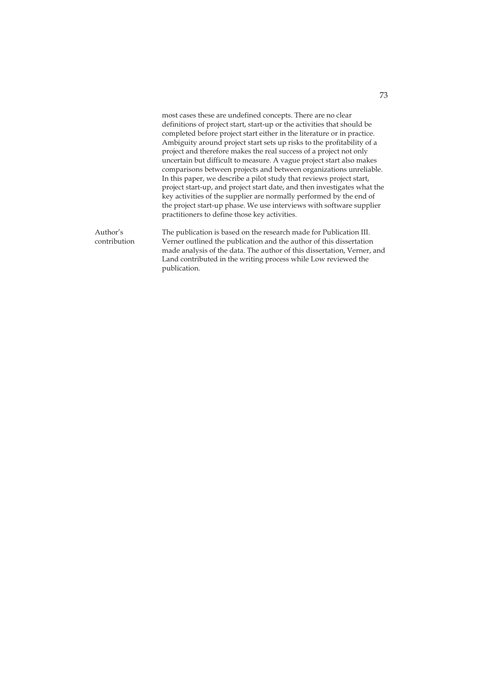|                          | most cases these are undefined concepts. There are no clear<br>definitions of project start, start-up or the activities that should be<br>completed before project start either in the literature or in practice.<br>Ambiguity around project start sets up risks to the profitability of a<br>project and therefore makes the real success of a project not only<br>uncertain but difficult to measure. A vague project start also makes<br>comparisons between projects and between organizations unreliable.<br>In this paper, we describe a pilot study that reviews project start,<br>project start-up, and project start date, and then investigates what the<br>key activities of the supplier are normally performed by the end of<br>the project start-up phase. We use interviews with software supplier<br>practitioners to define those key activities. |
|--------------------------|---------------------------------------------------------------------------------------------------------------------------------------------------------------------------------------------------------------------------------------------------------------------------------------------------------------------------------------------------------------------------------------------------------------------------------------------------------------------------------------------------------------------------------------------------------------------------------------------------------------------------------------------------------------------------------------------------------------------------------------------------------------------------------------------------------------------------------------------------------------------|
| Author's<br>contribution | The publication is based on the research made for Publication III.<br>Verner outlined the publication and the author of this dissertation<br>made analysis of the data. The author of this dissertation, Verner, and<br>Land contributed in the writing process while Low reviewed the<br>publication.                                                                                                                                                                                                                                                                                                                                                                                                                                                                                                                                                              |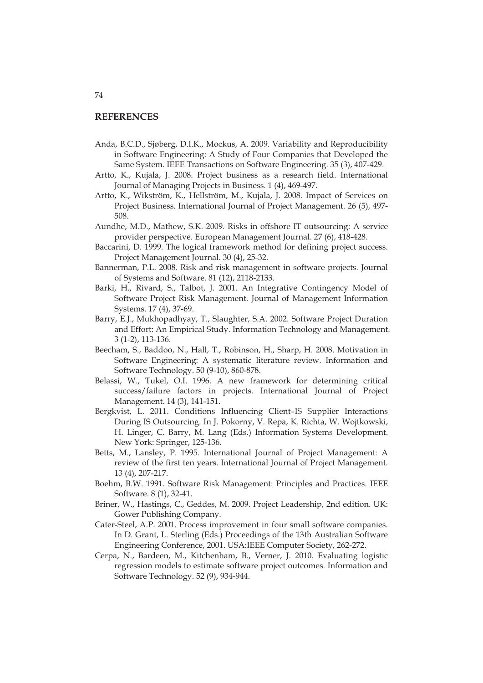## **REFERENCES**

- Anda, B.C.D., Sjøberg, D.I.K., Mockus, A. 2009. Variability and Reproducibility in Software Engineering: A Study of Four Companies that Developed the Same System. IEEE Transactions on Software Engineering. 35 (3), 407-429.
- Artto, K., Kujala, J. 2008. Project business as a research field. International Journal of Managing Projects in Business. 1 (4), 469-497.
- Artto, K., Wikström, K., Hellström, M., Kujala, J. 2008. Impact of Services on Project Business. International Journal of Project Management. 26 (5), 497- 508.
- Aundhe, M.D., Mathew, S.K. 2009. Risks in offshore IT outsourcing: A service provider perspective. European Management Journal. 27 (6), 418-428.
- Baccarini, D. 1999. The logical framework method for defining project success. Project Management Journal. 30 (4), 25-32.
- Bannerman, P.L. 2008. Risk and risk management in software projects. Journal of Systems and Software. 81 (12), 2118-2133.
- Barki, H., Rivard, S., Talbot, J. 2001. An Integrative Contingency Model of Software Project Risk Management. Journal of Management Information Systems. 17 (4), 37-69.
- Barry, E.J., Mukhopadhyay, T., Slaughter, S.A. 2002. Software Project Duration and Effort: An Empirical Study. Information Technology and Management. 3 (1-2), 113-136.
- Beecham, S., Baddoo, N., Hall, T., Robinson, H., Sharp, H. 2008. Motivation in Software Engineering: A systematic literature review. Information and Software Technology. 50 (9-10), 860-878.
- Belassi, W., Tukel, O.I. 1996. A new framework for determining critical success/failure factors in projects. International Journal of Project Management. 14 (3), 141-151.
- Bergkvist, L. 2011. Conditions Influencing Client–IS Supplier Interactions During IS Outsourcing. In J. Pokorny, V. Repa, K. Richta, W. Wojtkowski, H. Linger, C. Barry, M. Lang (Eds.) Information Systems Development. New York: Springer, 125-136.
- Betts, M., Lansley, P. 1995. International Journal of Project Management: A review of the first ten years. International Journal of Project Management. 13 (4), 207-217.
- Boehm, B.W. 1991. Software Risk Management: Principles and Practices. IEEE Software. 8 (1), 32-41.
- Briner, W., Hastings, C., Geddes, M. 2009. Project Leadership, 2nd edition. UK: Gower Publishing Company.
- Cater-Steel, A.P. 2001. Process improvement in four small software companies. In D. Grant, L. Sterling (Eds.) Proceedings of the 13th Australian Software Engineering Conference, 2001. USA:IEEE Computer Society, 262-272.
- Cerpa, N., Bardeen, M., Kitchenham, B., Verner, J. 2010. Evaluating logistic regression models to estimate software project outcomes. Information and Software Technology. 52 (9), 934-944.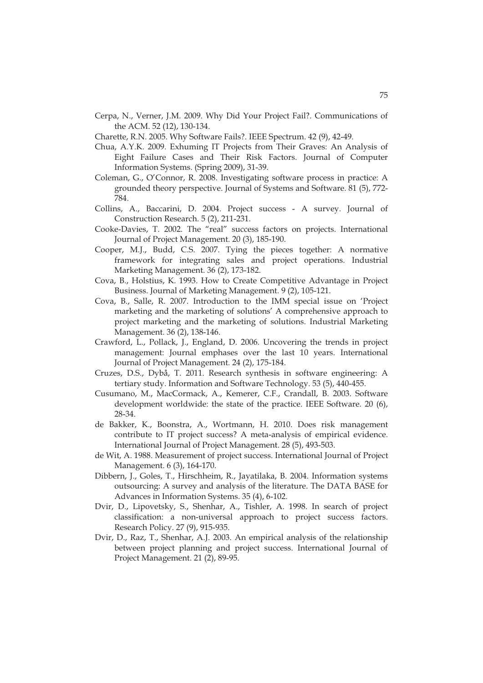Cerpa, N., Verner, J.M. 2009. Why Did Your Project Fail?. Communications of the ACM. 52 (12), 130-134.

Charette, R.N. 2005. Why Software Fails?. IEEE Spectrum. 42 (9), 42-49.

- Chua, A.Y.K. 2009. Exhuming IT Projects from Their Graves: An Analysis of Eight Failure Cases and Their Risk Factors. Journal of Computer Information Systems. (Spring 2009), 31-39.
- Coleman, G., O'Connor, R. 2008. Investigating software process in practice: A grounded theory perspective. Journal of Systems and Software. 81 (5), 772- 784.
- Collins, A., Baccarini, D. 2004. Project success A survey. Journal of Construction Research. 5 (2), 211-231.
- Cooke-Davies, T. 2002. The "real" success factors on projects. International Journal of Project Management. 20 (3), 185-190.
- Cooper, M.J., Budd, C.S. 2007. Tying the pieces together: A normative framework for integrating sales and project operations. Industrial Marketing Management. 36 (2), 173-182.
- Cova, B., Holstius, K. 1993. How to Create Competitive Advantage in Project Business. Journal of Marketing Management. 9 (2), 105-121.
- Cova, B., Salle, R. 2007. Introduction to the IMM special issue on 'Project marketing and the marketing of solutions' A comprehensive approach to project marketing and the marketing of solutions. Industrial Marketing Management. 36 (2), 138-146.
- Crawford, L., Pollack, J., England, D. 2006. Uncovering the trends in project management: Journal emphases over the last 10 years. International Journal of Project Management. 24 (2), 175-184.
- Cruzes, D.S., Dybå, T. 2011. Research synthesis in software engineering: A tertiary study. Information and Software Technology. 53 (5), 440-455.
- Cusumano, M., MacCormack, A., Kemerer, C.F., Crandall, B. 2003. Software development worldwide: the state of the practice. IEEE Software. 20 (6), 28-34.
- de Bakker, K., Boonstra, A., Wortmann, H. 2010. Does risk management contribute to IT project success? A meta-analysis of empirical evidence. International Journal of Project Management. 28 (5), 493-503.
- de Wit, A. 1988. Measurement of project success. International Journal of Project Management. 6 (3), 164-170.
- Dibbern, J., Goles, T., Hirschheim, R., Jayatilaka, B. 2004. Information systems outsourcing: A survey and analysis of the literature. The DATA BASE for Advances in Information Systems. 35 (4), 6-102.
- Dvir, D., Lipovetsky, S., Shenhar, A., Tishler, A. 1998. In search of project classification: a non-universal approach to project success factors. Research Policy. 27 (9), 915-935.
- Dvir, D., Raz, T., Shenhar, A.J. 2003. An empirical analysis of the relationship between project planning and project success. International Journal of Project Management. 21 (2), 89-95.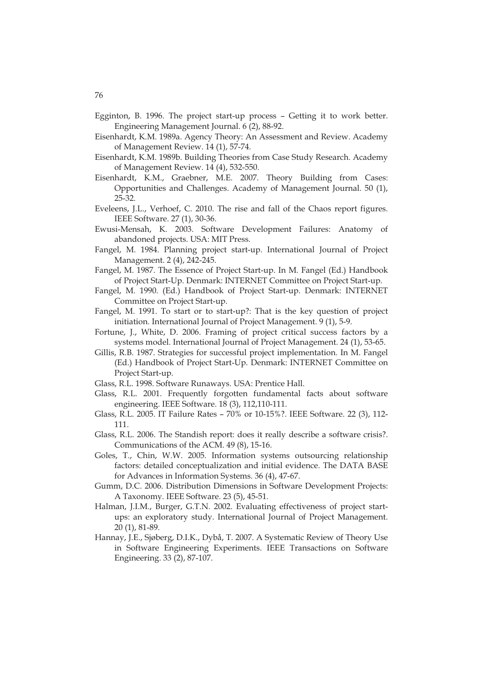- Egginton, B. 1996. The project start-up process Getting it to work better. Engineering Management Journal. 6 (2), 88-92.
- Eisenhardt, K.M. 1989a. Agency Theory: An Assessment and Review. Academy of Management Review. 14 (1), 57-74.
- Eisenhardt, K.M. 1989b. Building Theories from Case Study Research. Academy of Management Review. 14 (4), 532-550.
- Eisenhardt, K.M., Graebner, M.E. 2007. Theory Building from Cases: Opportunities and Challenges. Academy of Management Journal. 50 (1), 25-32.
- Eveleens, J.L., Verhoef, C. 2010. The rise and fall of the Chaos report figures. IEEE Software. 27 (1), 30-36.
- Ewusi-Mensah, K. 2003. Software Development Failures: Anatomy of abandoned projects. USA: MIT Press.
- Fangel, M. 1984. Planning project start-up. International Journal of Project Management. 2 (4), 242-245.
- Fangel, M. 1987. The Essence of Project Start-up. In M. Fangel (Ed.) Handbook of Project Start-Up. Denmark: INTERNET Committee on Project Start-up.
- Fangel, M. 1990. (Ed.) Handbook of Project Start-up. Denmark: INTERNET Committee on Project Start-up.
- Fangel, M. 1991. To start or to start-up?: That is the key question of project initiation. International Journal of Project Management. 9 (1), 5-9.
- Fortune, J., White, D. 2006. Framing of project critical success factors by a systems model. International Journal of Project Management. 24 (1), 53-65.
- Gillis, R.B. 1987. Strategies for successful project implementation. In M. Fangel (Ed.) Handbook of Project Start-Up. Denmark: INTERNET Committee on Project Start-up.
- Glass, R.L. 1998. Software Runaways. USA: Prentice Hall.
- Glass, R.L. 2001. Frequently forgotten fundamental facts about software engineering. IEEE Software. 18 (3), 112,110-111.
- Glass, R.L. 2005. IT Failure Rates 70% or 10-15%?. IEEE Software. 22 (3), 112- 111.
- Glass, R.L. 2006. The Standish report: does it really describe a software crisis?. Communications of the ACM. 49 (8), 15-16.
- Goles, T., Chin, W.W. 2005. Information systems outsourcing relationship factors: detailed conceptualization and initial evidence. The DATA BASE for Advances in Information Systems. 36 (4), 47-67.
- Gumm, D.C. 2006. Distribution Dimensions in Software Development Projects: A Taxonomy. IEEE Software. 23 (5), 45-51.
- Halman, J.I.M., Burger, G.T.N. 2002. Evaluating effectiveness of project startups: an exploratory study. International Journal of Project Management. 20 (1), 81-89.
- Hannay, J.E., Sjøberg, D.I.K., Dybå, T. 2007. A Systematic Review of Theory Use in Software Engineering Experiments. IEEE Transactions on Software Engineering. 33 (2), 87-107.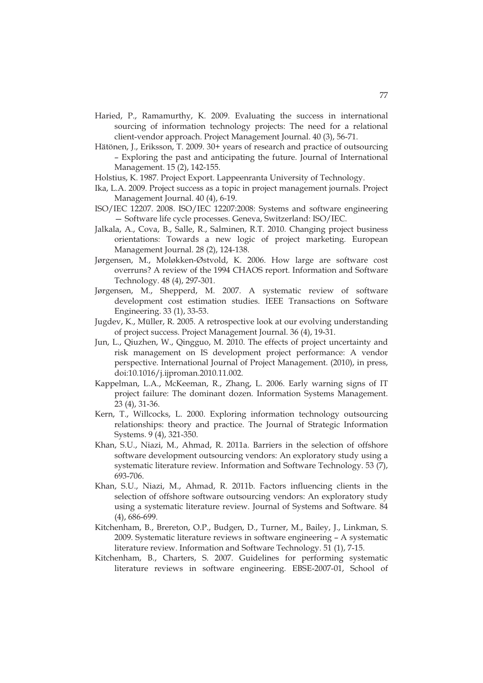- Haried, P., Ramamurthy, K. 2009. Evaluating the success in international sourcing of information technology projects: The need for a relational client-vendor approach. Project Management Journal. 40 (3), 56-71.
- Hätönen, J., Eriksson, T. 2009. 30+ years of research and practice of outsourcing – Exploring the past and anticipating the future. Journal of International Management. 15 (2), 142-155.
- Holstius, K. 1987. Project Export. Lappeenranta University of Technology.
- Ika, L.A. 2009. Project success as a topic in project management journals. Project Management Journal. 40 (4), 6-19.
- ISO/IEC 12207. 2008. ISO/IEC 12207:2008: Systems and software engineering — Software life cycle processes. Geneva, Switzerland: ISO/IEC.
- Jalkala, A., Cova, B., Salle, R., Salminen, R.T. 2010. Changing project business orientations: Towards a new logic of project marketing. European Management Journal. 28 (2), 124-138.
- Jørgensen, M., Moløkken-Østvold, K. 2006. How large are software cost overruns? A review of the 1994 CHAOS report. Information and Software Technology. 48 (4), 297-301.
- Jørgensen, M., Shepperd, M. 2007. A systematic review of software development cost estimation studies. IEEE Transactions on Software Engineering. 33 (1), 33-53.
- Jugdev, K., Müller, R. 2005. A retrospective look at our evolving understanding of project success. Project Management Journal. 36 (4), 19-31.
- Jun, L., Qiuzhen, W., Qingguo, M. 2010. The effects of project uncertainty and risk management on IS development project performance: A vendor perspective. International Journal of Project Management. (2010), in press, doi:10.1016/j.ijproman.2010.11.002.
- Kappelman, L.A., McKeeman, R., Zhang, L. 2006. Early warning signs of IT project failure: The dominant dozen. Information Systems Management. 23 (4), 31-36.
- Kern, T., Willcocks, L. 2000. Exploring information technology outsourcing relationships: theory and practice. The Journal of Strategic Information Systems. 9 (4), 321-350.
- Khan, S.U., Niazi, M., Ahmad, R. 2011a. Barriers in the selection of offshore software development outsourcing vendors: An exploratory study using a systematic literature review. Information and Software Technology. 53 (7), 693-706.
- Khan, S.U., Niazi, M., Ahmad, R. 2011b. Factors influencing clients in the selection of offshore software outsourcing vendors: An exploratory study using a systematic literature review. Journal of Systems and Software. 84 (4), 686-699.
- Kitchenham, B., Brereton, O.P., Budgen, D., Turner, M., Bailey, J., Linkman, S. 2009. Systematic literature reviews in software engineering – A systematic literature review. Information and Software Technology. 51 (1), 7-15.
- Kitchenham, B., Charters, S. 2007. Guidelines for performing systematic literature reviews in software engineering. EBSE-2007-01, School of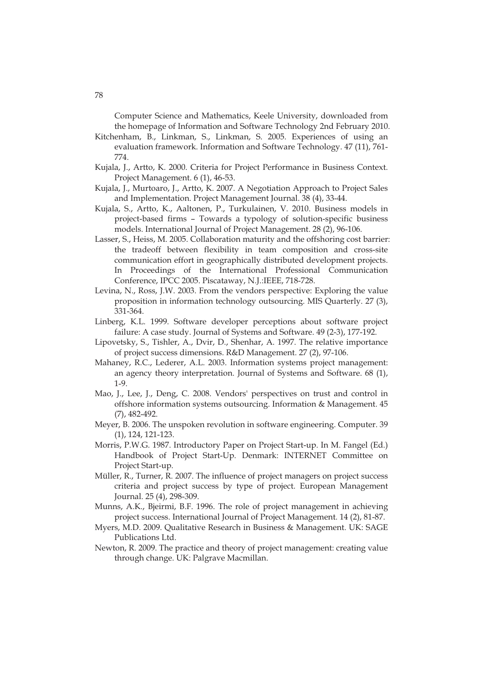Computer Science and Mathematics, Keele University, downloaded from the homepage of Information and Software Technology 2nd February 2010.

- Kitchenham, B., Linkman, S., Linkman, S. 2005. Experiences of using an evaluation framework. Information and Software Technology. 47 (11), 761- 774.
- Kujala, J., Artto, K. 2000. Criteria for Project Performance in Business Context. Project Management. 6 (1), 46-53.
- Kujala, J., Murtoaro, J., Artto, K. 2007. A Negotiation Approach to Project Sales and Implementation. Project Management Journal. 38 (4), 33-44.
- Kujala, S., Artto, K., Aaltonen, P., Turkulainen, V. 2010. Business models in project-based firms – Towards a typology of solution-specific business models. International Journal of Project Management. 28 (2), 96-106.
- Lasser, S., Heiss, M. 2005. Collaboration maturity and the offshoring cost barrier: the tradeoff between flexibility in team composition and cross-site communication effort in geographically distributed development projects. In Proceedings of the International Professional Communication Conference, IPCC 2005. Piscataway, N.J.:IEEE, 718-728.
- Levina, N., Ross, J.W. 2003. From the vendors perspective: Exploring the value proposition in information technology outsourcing. MIS Quarterly. 27 (3), 331-364.
- Linberg, K.L. 1999. Software developer perceptions about software project failure: A case study. Journal of Systems and Software. 49 (2-3), 177-192.
- Lipovetsky, S., Tishler, A., Dvir, D., Shenhar, A. 1997. The relative importance of project success dimensions. R&D Management. 27 (2), 97-106.
- Mahaney, R.C., Lederer, A.L. 2003. Information systems project management: an agency theory interpretation. Journal of Systems and Software. 68 (1), 1-9.
- Mao, J., Lee, J., Deng, C. 2008. Vendors' perspectives on trust and control in offshore information systems outsourcing. Information & Management. 45 (7), 482-492.
- Meyer, B. 2006. The unspoken revolution in software engineering. Computer. 39 (1), 124, 121-123.
- Morris, P.W.G. 1987. Introductory Paper on Project Start-up. In M. Fangel (Ed.) Handbook of Project Start-Up. Denmark: INTERNET Committee on Project Start-up.
- Müller, R., Turner, R. 2007. The influence of project managers on project success criteria and project success by type of project. European Management Journal. 25 (4), 298-309.
- Munns, A.K., Bjeirmi, B.F. 1996. The role of project management in achieving project success. International Journal of Project Management. 14 (2), 81-87.
- Myers, M.D. 2009. Qualitative Research in Business & Management. UK: SAGE Publications Ltd.
- Newton, R. 2009. The practice and theory of project management: creating value through change. UK: Palgrave Macmillan.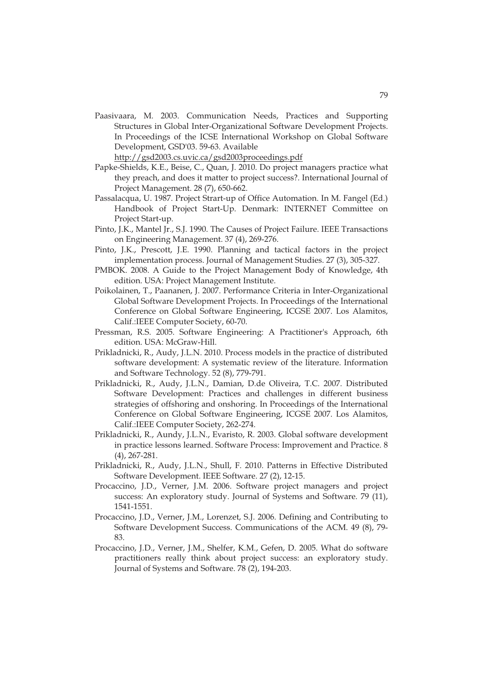- Paasivaara, M. 2003. Communication Needs, Practices and Supporting Structures in Global Inter-Organizational Software Development Projects. In Proceedings of the ICSE International Workshop on Global Software Development, GSD'03. 59-63. Available http://gsd2003.cs.uvic.ca/gsd2003proceedings.pdf
- Papke-Shields, K.E., Beise, C., Quan, J. 2010. Do project managers practice what they preach, and does it matter to project success?. International Journal of Project Management. 28 (7), 650-662.
- Passalacqua, U. 1987. Project Strart-up of Office Automation. In M. Fangel (Ed.) Handbook of Project Start-Up. Denmark: INTERNET Committee on Project Start-up.
- Pinto, J.K., Mantel Jr., S.J. 1990. The Causes of Project Failure. IEEE Transactions on Engineering Management. 37 (4), 269-276.
- Pinto, J.K., Prescott, J.E. 1990. Planning and tactical factors in the project implementation process. Journal of Management Studies. 27 (3), 305-327.
- PMBOK. 2008. A Guide to the Project Management Body of Knowledge, 4th edition. USA: Project Management Institute.
- Poikolainen, T., Paananen, J. 2007. Performance Criteria in Inter-Organizational Global Software Development Projects. In Proceedings of the International Conference on Global Software Engineering, ICGSE 2007. Los Alamitos, Calif.:IEEE Computer Society, 60-70.
- Pressman, R.S. 2005. Software Engineering: A Practitioner's Approach, 6th edition. USA: McGraw-Hill.
- Prikladnicki, R., Audy, J.L.N. 2010. Process models in the practice of distributed software development: A systematic review of the literature. Information and Software Technology. 52 (8), 779-791.
- Prikladnicki, R., Audy, J.L.N., Damian, D.de Oliveira, T.C. 2007. Distributed Software Development: Practices and challenges in different business strategies of offshoring and onshoring. In Proceedings of the International Conference on Global Software Engineering, ICGSE 2007. Los Alamitos, Calif.:IEEE Computer Society, 262-274.
- Prikladnicki, R., Aundy, J.L.N., Evaristo, R. 2003. Global software development in practice lessons learned. Software Process: Improvement and Practice. 8 (4), 267-281.
- Prikladnicki, R., Audy, J.L.N., Shull, F. 2010. Patterns in Effective Distributed Software Development. IEEE Software. 27 (2), 12-15.
- Procaccino, J.D., Verner, J.M. 2006. Software project managers and project success: An exploratory study. Journal of Systems and Software. 79 (11), 1541-1551.
- Procaccino, J.D., Verner, J.M., Lorenzet, S.J. 2006. Defining and Contributing to Software Development Success. Communications of the ACM. 49 (8), 79- 83.
- Procaccino, J.D., Verner, J.M., Shelfer, K.M., Gefen, D. 2005. What do software practitioners really think about project success: an exploratory study. Journal of Systems and Software. 78 (2), 194-203.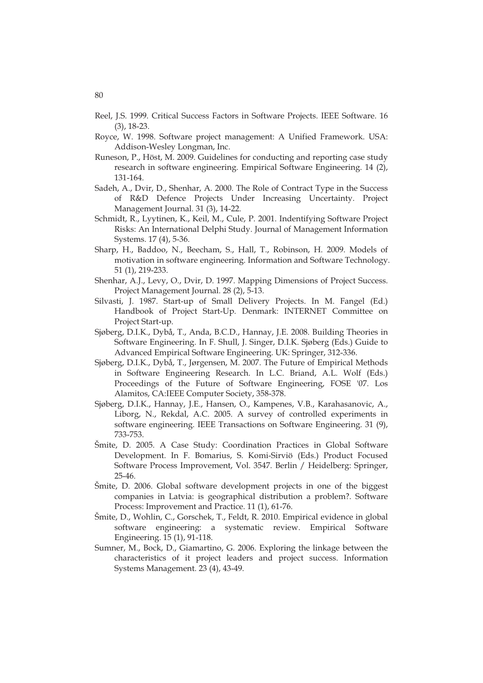- Reel, J.S. 1999. Critical Success Factors in Software Projects. IEEE Software. 16 (3), 18-23.
- Royce, W. 1998. Software project management: A Unified Framework. USA: Addison-Wesley Longman, Inc.
- Runeson, P., Höst, M. 2009. Guidelines for conducting and reporting case study research in software engineering. Empirical Software Engineering. 14 (2), 131-164.
- Sadeh, A., Dvir, D., Shenhar, A. 2000. The Role of Contract Type in the Success of R&D Defence Projects Under Increasing Uncertainty. Project Management Journal. 31 (3), 14-22.
- Schmidt, R., Lyytinen, K., Keil, M., Cule, P. 2001. Indentifying Software Project Risks: An International Delphi Study. Journal of Management Information Systems. 17 (4), 5-36.
- Sharp, H., Baddoo, N., Beecham, S., Hall, T., Robinson, H. 2009. Models of motivation in software engineering. Information and Software Technology. 51 (1), 219-233.
- Shenhar, A.J., Levy, O., Dvir, D. 1997. Mapping Dimensions of Project Success. Project Management Journal. 28 (2), 5-13.
- Silvasti, J. 1987. Start-up of Small Delivery Projects. In M. Fangel (Ed.) Handbook of Project Start-Up. Denmark: INTERNET Committee on Project Start-up.
- Sjøberg, D.I.K., Dybå, T., Anda, B.C.D., Hannay, J.E. 2008. Building Theories in Software Engineering. In F. Shull, J. Singer, D.I.K. Sjøberg (Eds.) Guide to Advanced Empirical Software Engineering. UK: Springer, 312-336.
- Sjøberg, D.I.K., Dybå, T., Jørgensen, M. 2007. The Future of Empirical Methods in Software Engineering Research. In L.C. Briand, A.L. Wolf (Eds.) Proceedings of the Future of Software Engineering, FOSE '07. Los Alamitos, CA:IEEE Computer Society, 358-378.
- Sjøberg, D.I.K., Hannay, J.E., Hansen, O., Kampenes, V.B., Karahasanovic, A., Liborg, N., Rekdal, A.C. 2005. A survey of controlled experiments in software engineering. IEEE Transactions on Software Engineering. 31 (9), 733-753.
- Šmite, D. 2005. A Case Study: Coordination Practices in Global Software Development. In F. Bomarius, S. Komi-Sirviö (Eds.) Product Focused Software Process Improvement, Vol. 3547. Berlin / Heidelberg: Springer, 25-46.
- Šmite, D. 2006. Global software development projects in one of the biggest companies in Latvia: is geographical distribution a problem?. Software Process: Improvement and Practice. 11 (1), 61-76.
- Šmite, D., Wohlin, C., Gorschek, T., Feldt, R. 2010. Empirical evidence in global software engineering: a systematic review. Empirical Software Engineering. 15 (1), 91-118.
- Sumner, M., Bock, D., Giamartino, G. 2006. Exploring the linkage between the characteristics of it project leaders and project success. Information Systems Management. 23 (4), 43-49.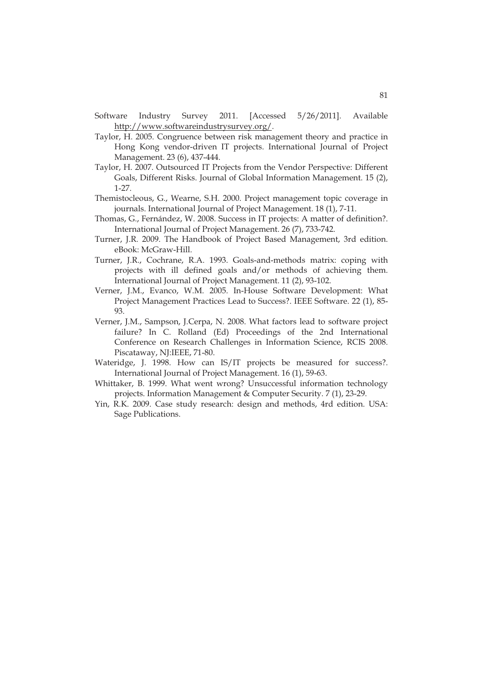- Software Industry Survey 2011. [Accessed 5/26/2011]. Available http://www.softwareindustrysurvey.org/.
- Taylor, H. 2005. Congruence between risk management theory and practice in Hong Kong vendor-driven IT projects. International Journal of Project Management. 23 (6), 437-444.
- Taylor, H. 2007. Outsourced IT Projects from the Vendor Perspective: Different Goals, Different Risks. Journal of Global Information Management. 15 (2), 1-27.
- Themistocleous, G., Wearne, S.H. 2000. Project management topic coverage in journals. International Journal of Project Management. 18 (1), 7-11.
- Thomas, G., Fernández, W. 2008. Success in IT projects: A matter of definition?. International Journal of Project Management. 26 (7), 733-742.
- Turner, J.R. 2009. The Handbook of Project Based Management, 3rd edition. eBook: McGraw-Hill.
- Turner, J.R., Cochrane, R.A. 1993. Goals-and-methods matrix: coping with projects with ill defined goals and/or methods of achieving them. International Journal of Project Management. 11 (2), 93-102.
- Verner, J.M., Evanco, W.M. 2005. In-House Software Development: What Project Management Practices Lead to Success?. IEEE Software. 22 (1), 85- 93.
- Verner, J.M., Sampson, J.Cerpa, N. 2008. What factors lead to software project failure? In C. Rolland (Ed) Proceedings of the 2nd International Conference on Research Challenges in Information Science, RCIS 2008. Piscataway, NJ:IEEE, 71-80.
- Wateridge, J. 1998. How can IS/IT projects be measured for success?. International Journal of Project Management. 16 (1), 59-63.
- Whittaker, B. 1999. What went wrong? Unsuccessful information technology projects. Information Management & Computer Security. 7 (1), 23-29.
- Yin, R.K. 2009. Case study research: design and methods, 4rd edition. USA: Sage Publications.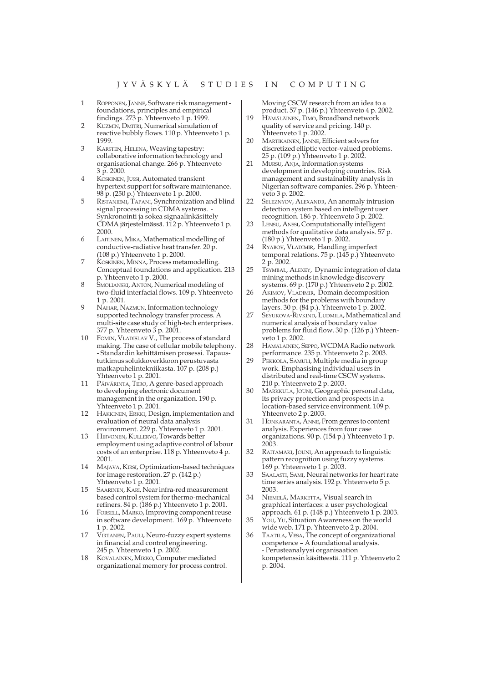- $\mathbf{1}$ ROPPONEN, JANNE, Software risk management foundations, principles and empirical findings. 273 p. Yhteenveto 1 p. 1999.
- KUZMIN, DMITRI, Numerical simulation of reactive bubbly flows. 110 p. Yhteenveto 1 p. 1999
- KARSTEN, HELENA, Weaving tapestry:  $\mathcal{R}$ collaborative information technology and organisational change. 266 p. Yhteenveto 3 p. 2000.
- KOSKINEN, JUSSI, Automated transient hypertext support for software maintenance. 98 p. (250 p.) Yhteenveto 1 p. 2000.
- 5 RISTANIEMI, TAPANI, Synchronization and blind signal processing in CDMA systems. Synkronointi ja sokea signaalinkäsittely CDMA järjestelmässä. 112 p. Yhteenveto 1 p. 2000.
- $\overline{6}$ LAITINEN, MIKA, Mathematical modelling of conductive-radiative heat transfer. 20 p. (108 p.) Yhteenveto 1 p. 2000.
- KOSKINEN, MINNA, Process metamodelling. Conceptual foundations and application. 213 p. Yhteenveto 1 p. 2000.<br>SMOLIANSKI, ANTON, Numerical modeling of
- two-fluid interfacial flows. 109 p. Yhteenveto  $1 p. 2001.$
- NAHAR, NAZMUN, Information technology supported technology transfer process. A multi-site case study of high-tech enterprises. 377 p. Yhteenveto 3 p. 2001.
- 10 FOMIN, VLADISLAV V., The process of standard making. The case of cellular mobile telephony. - Standardin kehittämisen prosessi. Tapaustutkimus solukkoverkkoon perustuvasta matkapuhelintekniikasta. 107 p. (208 p.) Yhteenveto 1 p. 2001.
- 11 PÄIVÄRINTA, TERO, A genre-based approach to developing electronic document management in the organization. 190 p. Yhteenveto 1 p. 2001.
- 12 HÄKKINEN, ERKKI, Design, implementation and evaluation of neural data analysis environment. 229 p. Yhteenveto 1 p. 2001.
- 13 HIRVONEN, KULLERVO, Towards better employment using adaptive control of labour costs of an enterprise. 118 p. Yhteenveto 4 p. 2001.
- 14 MAJAVA, KIRSI, Optimization-based techniques for image restoration. 27 p. (142 p.) Yhteenveto 1 p. 2001.
- SAARINEN, KARI, Near infra-red measurement 15 based control system for thermo-mechanical refiners. 84 p. (186 p.) Yhteenveto 1 p. 2001.
- 16 FORSELL, MARKO, Improving component reuse in software development. 169 p. Yhteenveto 1 p. 2002.
- VIRTANEN, PAULI, Neuro-fuzzy expert systems 17 in financial and control engineering. 245 p. Yhteenveto 1 p. 2002.
- KOVALAINEN, MIKKO, Computer mediated 18 organizational memory for process control.

Moving CSCW research from an idea to a product. 57 p. (146 p.) Yhteenveto 4 p. 2002.

- 19 HÄMÄLÄINEN, TIMO, Broadband network quality of service and pricing. 140 p. Yhteenveto 1 p. 2002.
- $20<sup>o</sup>$ MARTIKAINEN, JANNE, Efficient solvers for discretized elliptic vector-valued problems. 25 p. (109 p.) Yhteenveto 1 p. 2002.
- 21 MURSU, ANJA, Information systems development in developing countries. Risk management and sustainability analysis in Nigerian software companies. 296 p. Yhteenveto 3 p. 2002.
- $22$ SELEZNYOV, ALEXANDR, An anomaly intrusion detection system based on intelligent user recognition. 186 p. Yhteenveto 3 p. 2002.
- 23 LENSU, ANSSI, Computationally intelligent methods for qualitative data analysis. 57 p. (180 p.) Yhteenveto 1 p. 2002.
- 24 RYABOV, VLADIMIR, Handling imperfect temporal relations. 75 p.  $(145 p.)$  Yhteenveto 2 p. 2002.
- $25$ TSYMBAL, ALEXEY, Dynamic integration of data mining methods in knowledge discovery systems. 69 p. (170 p.) Yhteenveto 2 p. 2002.
- 26 AKIMOV, VLADIMIR, Domain decomposition methods for the problems with boundary layers. 30 p. (84 p.). Yhteenveto 1 p. 2002.
- 27 SEYUKOVA-RIVKIND, LUDMILA, Mathematical and numerical analysis of boundary value problems for fluid flow. 30 p. (126 p.) Yhteenveto 1 p. 2002.
- 28 HÄMÄLÄINEN, SEPPO, WCDMA Radio network performance. 235 p. Yhteenveto 2 p. 2003.
- 29 PEKKOLA, SAMULI, Multiple media in group work. Emphasising individual users in distributed and real-time CSCW systems. 210 p. Yhteenveto 2 p. 2003.
- 30 MARKKULA, JOUNI, Geographic personal data, its privacy protection and prospects in a location-based service environment. 109 p. Yhteenveto 2 p. 2003.
- 31 HONKARANTA, ANNE, From genres to content analysis. Experiences from four case organizations. 90 p. (154 p.) Yhteenveto 1 p. 2003
- 32 RAITAMÄKI, JOUNI, An approach to linguistic pattern recognition using fuzzy systems. 169 p. Yhteenveto 1 p. 2003.
- 33 SAALASTI, SAMI, Neural networks for heart rate time series analysis. 192 p. Yhteenveto 5 p. 2003.
- $34$ NIEMELÄ, MARKETTA, Visual search in graphical interfaces: a user psychological approach. 61 p.  $(148 p.)$  Yhteenveto 1 p. 2003. You, Yu, Situation Awareness on the world 35
- wide web. 171 p. Yhteenveto 2 p. 2004. 36
- TAATILA, VESA, The concept of organizational competence - A foundational analysis. - Perusteanalyysi organisaation kompetenssin käsitteestä. 111 p. Yhteenveto 2 p. 2004.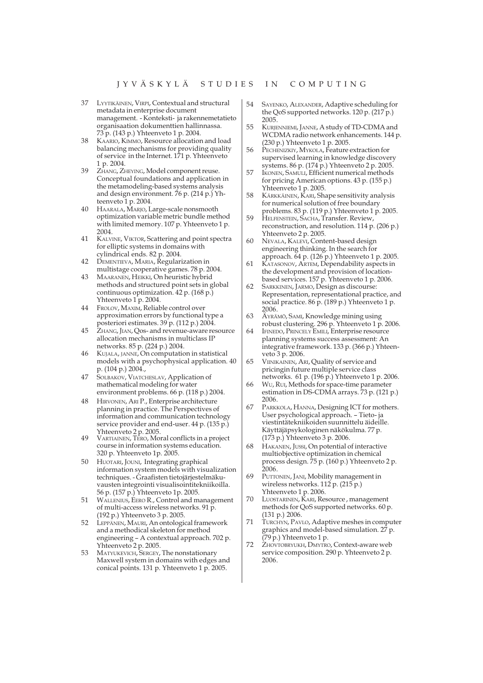- 37 LYYTIKÄINEN, VIRPI, Contextual and structural metadata in enterprise document management. - Konteksti- ja rakennemetatieto organisaation dokumenttien hallinnassa. 73 p. (143 p.) Yhteenveto 1 p. 2004.
- KAARIO, KIMMO, Resource allocation and load 38 balancing mechanisms for providing quality of service in the Internet. 171 p. Yhteenveto 1 p. 2004.
- ZHANG, ZHEYING, Model component reuse. Conceptual foundations and application in the metamodeling-based systems analysis and design environment. 76 p. (214 p.) Yhteenveto 1 p. 2004.
- $40$ HAARALA, MARJO, Large-scale nonsmooth optimization variable metric bundle method with limited memory. 107 p. Yhteenveto 1 p. 2004
- 41 KALVINE, VIKTOR, Scattering and point spectra for elliptic systems in domains with cylindrical ends. 82 p. 2004.
- 42 DEMENTIEVA, MARIA, Regularization in multistage cooperative games. 78 p. 2004.
- MAARANEN, HEIKKI, On heuristic hybrid 43 methods and structured point sets in global continuous optimization. 42 p. (168 p.) Yhteenveto 1 p. 2004.
- 44 FROLOV, MAXIM, Reliable control over approximation errors by functional type a posteriori estimates. 39 p. (112 p.) 2004.
- 45 ZHANG, JIAN, Qos- and revenue-aware resource allocation mechanisms in multiclass IP networks. 85 p. (224 p.) 2004.
- KUJALA, JANNE, On computation in statistical  $46$ models with a psychophysical application. 40 p. (104 p.) 2004.
- 47 SOLBAKOV, VIATCHESLAV, Application of mathematical modeling for water environment problems. 66 p. (118 p.) 2004.
- 48 HIRVONEN, ARI P., Enterprise architecture planning in practice. The Perspectives of information and communication technology service provider and end-user. 44 p. (135 p.) Yhteenveto 2 p. 2005.
- 49 VARTIAINEN, TERO, Moral conflicts in a project course in information systems education. 320 p. Yhteenveto 1p. 2005.
- HUOTARI, JOUNI, Integrating graphical 50 information system models with visualization techniques. - Graafisten tietojärjestelmäkuvausten integrointi visualisointitekniikoilla. 56 p. (157 p.) Yhteenveto 1p. 2005.
- 51 WALLENIUS, EERO R., Control and management of multi-access wireless networks. 91 p. (192 p.) Yhteenveto 3 p. 2005.
- 52 LEPPÄNEN, MAURI, An ontological framework and a methodical skeleton for method engineering - A contextual approach. 702 p. Yhteenveto 2 p. 2005.
- 53 MATYUKEVICH, SERGEY, The nonstationary Maxwell system in domains with edges and conical points. 131 p. Yhteenveto 1 p. 2005.
- 54 SAYENKO, ALEXANDER, Adaptive scheduling for the OoS supported networks,  $120 p$ ,  $(217 p)$ 2005
- 55 KURJENNIEMI, JANNE, A study of TD-CDMA and WCDMA radio network enhancements. 144 p. (230 p.) Yhteenveto 1 p. 2005.
- 56 PECHENIZKIY, MYKOLA, Feature extraction for supervised learning in knowledge discovery systems. 86 p. (174 p.) Yhteenveto 2 p. 2005.
- 57 IKONEN, SAMULI, Efficient numerical methods for pricing American options. 43 p. (155 p.) Yhteenveto 1 p. 2005.
- 58 KÄRKKÄINEN, KARI, Shape sensitivity analysis for numerical solution of free boundary problems. 83 p. (119 p.) Yhteenveto 1 p. 2005.
- 59 HELFENSTEIN, SACHA, Transfer, Review, reconstruction, and resolution. 114 p. (206 p.)
- Yhteenveto 2 p. 2005. NEVALA, KALEVI, Content-based design 60 engineering thinking. In the search for approach. 64 p. (126 p.) Yhteenveto 1 p. 2005.
- 61 KATASONOV, ARTEM, Dependability aspects in the development and provision of locationbased services. 157 p. Yhteenveto 1 p. 2006.
- 62 SARKKINEN, JARMO, Design as discourse: Representation, representational practice, and social practice. 86 p. (189 p.) Yhteenveto 1 p. 2006.
- 63 ÄYRÄMÖ, SAMI, Knowledge mining using robust clustering. 296 p. Yhteenveto 1 p. 2006.
- 64 IFINEDO, PRINCELY EMILI, Enterprise resource planning systems success assessment: An integrative framework. 133 p. (366 p.) Yhteenveto 3 p. 2006.
- 65 VIINIKAINEN, ARI, Quality of service and pricingin future multiple service class networks. 61 p. (196 p.) Yhteenveto 1 p. 2006.
- 66 Wu, Rui, Methods for space-time parameter estimation in DS-CDMA arrays.  $73 p$ . (121 p.) 2006.
- 67 PARKKOLA, HANNA, Designing ICT for mothers. User psychological approach. - Tieto-ja viestintätekniikoiden suunnittelu äideille. Käyttäjäpsykologinen näkökulma. 77 p. (173 p.) Yhteenveto 3 p. 2006.
- 68 HAKANEN, JUSSI, On potential of interactive multiobjective optimization in chemical process design. 75 p. (160 p.) Yhteenveto 2 p.<br>2006.
- PUTTONEN, JANI, Mobility management in 69 wireless networks.  $112 p. (215 p.)$ Yhteenveto 1 p. 2006.
- 70 LUOSTARINEN, KARI, Resource, management methods for QoS supported networks. 60 p.  $(131 p.) 2006.$
- 71 TURCHYN, PAVLO, Adaptive meshes in computer graphics and model-based simulation. 27 p.<br>(79 p.) Yhteenveto 1 p.
- 72 ZHOVTOBRYUKH, DMYTRO, Context-aware web service composition. 290 p. Yhteenveto 2 p. 2006.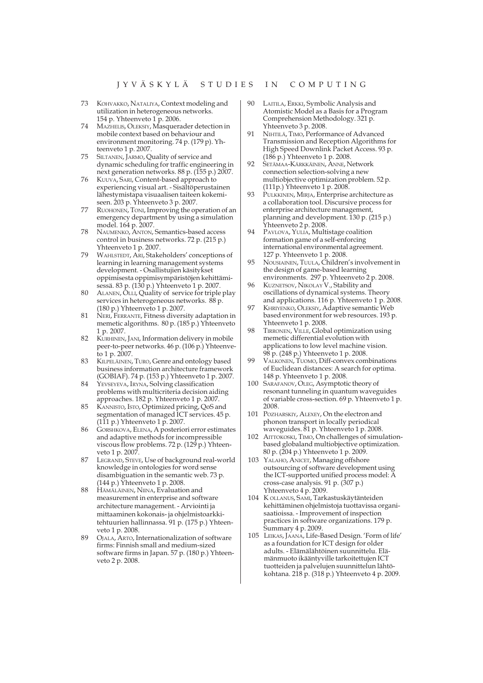- 73 KOHVAKKO, NATALIYA, Context modeling and utilization in heterogeneous networks. 154 p. Yhteenveto 1 p. 2006.
- 74 MAZHELIS, OLEKSIY, Masquerader detection in mobile context based on behaviour and environment monitoring. 74 p. (179 p). Yhteenveto 1 p. 2007.
- SILTANEN, JARMO, Quality of service and 75 dynamic scheduling for traffic engineering in next generation networks. 88 p. (155 p.) 2007.
- KUUVA, SARI, Content-based approach to 76 experiencing visual art. - Sisältöperustainen lähestymistapa visuaalisen taiteen kokemiseen. 203 p. Yhteenveto 3 p. 2007.
- 77 RUOHONEN, TONI, Improving the operation of an emergency department by using a simulation model. 164 p. 2007.
- NAUMENKO, ANTON, Semantics-based access 78 control in business networks. 72 p. (215 p.) Yhteenveto 1 p. 2007.
- 79 WAHLSTEDT, ARI, Stakeholders' conceptions of learning in learning management systems development. - Osallistujien käsitykset oppimisesta oppimisympäristöjen kehittämisessä. 83 p. (130 p.) Yhteenveto 1 p. 2007.
- $80$ ALANEN, OLLI, Quality of service for triple play services in heterogeneous networks. 88 p. (180 p.) Yhteenveto 1 p. 2007.
- 81 NERI, FERRANTE, Fitness diversity adaptation in memetic algorithms. 80 p. (185 p.) Yhteenveto 1 p. 2007.
- KURHINEN, JANI, Information delivery in mobile 82 peer-to-peer networks. 46 p. (106 p.) Yhteenveto 1 p. 2007.
- KILPELÄINEN, TURO, Genre and ontology based 83 business information architecture framework (GOBIAF). 74 p. (153 p.) Yhteenveto 1 p. 2007.
- $84$ YEVSEYEVA, IRYNA, Solving classification problems with multicriteria decision aiding approaches. 182 p. Yhteenveto 1 p. 2007.
- KANNISTO, ISTO, Optimized pricing, QoS and 85 segmentation of managed ICT services. 45 p. (111 p.) Yhteenveto 1 p. 2007.
- 86 GORSHKOVA, ELENA, A posteriori error estimates and adaptive methods for incompressible viscous flow problems. 72 p. (129 p.) Yhteenveto 1 p. 2007.
- LEGRAND, STEVE, Use of background real-world knowledge in ontologies for word sense disambiguation in the semantic web. 73 p. (144 p.) Yhteenveto 1 p. 2008.
- 88 HÄMÄLÄINEN, NIINA, Evaluation and measurement in enterprise and software architecture management. - Arviointi ja mittaaminen kokonais- ja ohjelmistoarkkitehtuurien hallinnassa. 91 p. (175 p.) Yhteenveto 1 p. 2008.
- 89 OJALA, ARTO, Internationalization of software firms: Finnish small and medium-sized software firms in Japan. 57 p. (180 p.) Yhteenveto 2 p. 2008.
- 90 LAITILA, ERKKI, Symbolic Analysis and Atomistic Model as a Basis for a Program Comprehension Methodology. 321 p. Yhteenveto 3 p. 2008.
- 91 NIHTILÄ, TIMO, Performance of Advanced Transmission and Reception Algorithms for High Speed Downlink Packet Access. 93 p.  $(186 p.)$  Yhteenveto 1 p. 2008.
- 92 SETÄMAA-KÄRKKÄINEN, ANNE, Network connection selection-solving a new multiobjective optimization problem. 52 p. (111p.) Yhteenveto 1 p. 2008
- $Q<sub>3</sub>$ PULKKINEN, MIRJA, Enterprise architecture as a collaboration tool. Discursive process for enterprise architecture management, planning and development. 130 p. (215 p.) Yhteenveto 2 p. 2008.
- 94 PAVLOVA, YULIA, Multistage coalition formation game of a self-enforcing international environmental agreement. 127 p. Yhteenveto 1 p. 2008.
- NOUSIAINEN, TUULA, Children's involvement in 95 the design of game-based learning
- environments. 297 p. Yhteenveto 2 p. 2008.<br>KUZNETSOV, NIKOLAY V., Stability and 96 oscillations of dynamical systems. Theory and applications. 116 p. Yhteenveto 1 p. 2008.
- 97 KHRIYENKO, OLEKSIY, Adaptive semantic Web based environment for web resources. 193 p. Yhteenveto 1 p. 2008.
- TIRRONEN, VILLE, Global optimization using memetic differential evolution with applications to low level machine vision. 98 p. (248 p.) Yhteenveto 1 p. 2008.
- 99 VALKONEN, TUOMO, Diff-convex combinations of Euclidean distances: A search for optima. 148 p. Yhteenveto 1 p. 2008.
- 100 SARAFANOV, OLEG, Asymptotic theory of resonant tunneling in quantum waveguides of variable cross-section. 69 p. Yhteenveto 1 p. 2008
- 101 POZHARSKIY, ALEXEY, On the electron and phonon transport in locally periodical waveguides. 81 p. Yhteenveto 1 p. 2008.
- 102 AITTOKOSKI, TIMO, On challenges of simulationbased globaland multiobjective optimization. 80 p. (204 p.) Yhteenveto 1 p. 2009.
- 103 YALAHO, ANICET, Managing offshore outsourcing of software development using the ICT-supported unified process model: A cross-case analysis. 91 p. (307 p.) Yhteenveto 4 p. 2009.
- 104 K OLLANUS, SAMI, Tarkastuskäytänteiden kehittäminen ohielmistoja tuottavissa organisaatioissa. - Improvement of inspection practices in software organizations. 179 p. Summary 4 p. 2009.
- 105 LEIKAS, JAANA, Life-Based Design. 'Form of life' as a foundation for ICT design for older adults. - Elämälähtöinen suunnittelu. Elämänmuoto ikääntyville tarkoitettujen ICT tuotteiden ja palvelujen suunnittelun lähtökohtana. 218 p. (318 p.) Yhteenveto 4 p. 2009.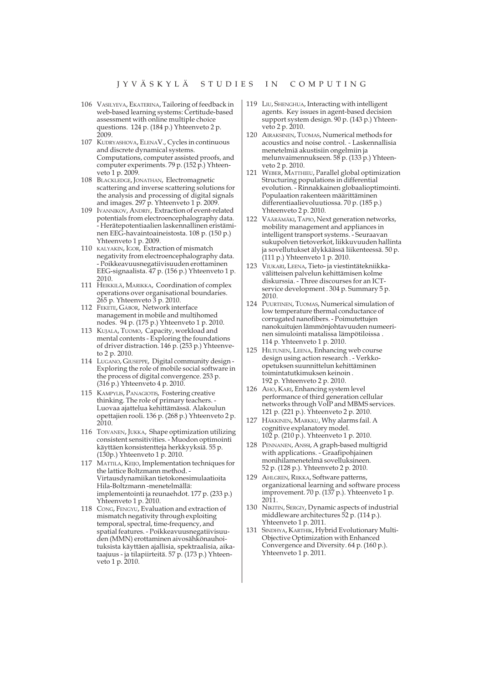- 106 VASILYEVA, EKATERINA, Tailoring of feedback in web-based learning systems: Certitude-based assessment with online multiple choice questions. 124 p. (184 p.) Yhteenveto 2 p.  $2009$
- 107 KUDRYASHOVA, ELENAV., Cycles in continuous and discrete dynamical systems. Computations, computer assisted proofs, and computer experiments. 79 p. (152 p.) Yhteenveto 1 p. 2009.
- 108 BLACKLEDGE, JONATHAN, Electromagnetic scattering and inverse scattering solutions for the analysis and processing of digital signals and images. 297 p. Yhteenveto 1 p. 2009.
- 109 IVANNIKOV, ANDRIY, Extraction of event-related potentials from electroencephalography data. - Herätepotentiaalien laskennallinen eristäminen EEG-havaintoaineistosta. 108 p. (150 p.) Yhteenveto 1 p. 2009.
- 110 KALYAKIN, IGOR, Extraction of mismatch negativity from electroencephalography data. - Poikkeavuusnegatiivisuuden erottaminen EEG-signaalista. 47 p. (156 p.) Yhteenveto 1 p. 2010.
- 111 HEIKKILÄ, MARIKKA, Coordination of complex operations over organisational boundaries. 265 p. Yhteenveto 3 p. 2010.
- 112 FEKETE, GÁBOR, Network interface management in mobile and multihomed nodes. 94 p. (175 p.) Yhteenveto 1 p. 2010.
- 113 KUJALA, TUOMO, Capacity, workload and mental contents - Exploring the foundations of driver distraction. 146 p. (253 p.) Yhteenveto 2 p. 2010.
- 114 LUGANO, GIUSEPPE, Digital community design-Exploring the role of mobile social software in the process of digital convergence. 253 p. (316 p.) Yhteenveto 4 p. 2010.
- 115 KAMPYLIS, PANAGIOTIS, Fostering creative thinking. The role of primary teachers. Luovaa ajattelua kehittämässä. Alakoulun opettajien rooli. 136 p. (268 p.) Yhteenveto 2 p. 2010.
- 116 TOIVANEN, JUKKA, Shape optimization utilizing consistent sensitivities. - Muodon optimointi käyttäen konsistentteja herkkyyksiä. 55 p. (130p.) Yhteenveto 1 p. 2010.
- 117 MATTILA, KEIJO, Implementation techniques for the lattice Boltzmann method. -Virtausdynamiikan tietokonesimulaatioita Hila-Boltzmann-menetelmällä: implementointi ja reunaehdot. 177 p. (233 p.) Yhteenveto 1 p. 2010.
- 118 CONG, FENGYU, Evaluation and extraction of mismatch negativity through exploiting temporal, spectral, time-frequency, and spatial features. - Poikkeavuusnegatiivisuuden (MMN) erottaminen aivosähkönauhoituksista käyttäen ajallisia, spektraalisia, aikataajuus - ja tilapiirteitä. 57 p. (173 p.) Yhteenveto 1 p. 2010.
- 119 LIU, SHENGHUA, Interacting with intelligent agents. Key issues in agent-based decision support system design. 90 p. (143 p.) Yhteenveto 2 p. 2010.
- 120 AIRAKSINEN, TUOMAS, Numerical methods for acoustics and noise control. - Laskennallisia menetelmiä akustisiin ongelmiin ja melunvaimennukseen. 58 p. (133 p.) Yhteenveto 2 p. 2010.
- 121 WEBER, MATTHIEU, Parallel global optimization Structuring populations in differential evolution. - Rinnakkainen globaalioptimointi. Populaation rakenteen määrittäminen differentiaalievoluutiossa. 70 p. (185 p.) Yhteenveto 2 p. 2010.
- 122 VÄÄRÄMÄKI, TAPIO, Next generation networks, mobility management and appliances in intelligent transport systems. - Seuraavan sukupolven tietoverkot, liikkuvuuden hallinta ja sovellutukset älykkäässä liikenteessä. 50 p. (111 p.) Yhteenveto 1 p. 2010.
- 123 VIUKARI, LEENA, Tieto- ja viestintätekniikkavälitteisen palvelun kehittämisen kolme diskurssia. - Three discourses for an ICTservice development. 304 p. Summary 5 p. 2010.
- 124 PUURTINEN, TUOMAS, Numerical simulation of low temperature thermal conductance of corrugated nanofibers. - Poimutettujen nanokuitujen lämmönjohtavuuden numeerinen simulointi matalissa lämpötiloissa. 114 p. Yhteenveto 1 p. 2010.
- 125 HILTUNEN, LEENA, Enhancing web course design using action research. - Verkkoopetuksen suunnittelun kehittäminen toimintatutkimuksen keinoin. 192 p. Yhteenveto 2 p. 2010.
- 126 AHO, KARI, Enhancing system level performance of third generation cellular networks through VoIP and MBMS services. 121 p. (221 p.). Yhteenveto 2 p. 2010.
- 127 HÄKKINEN, MARKKU, Why alarms fail. A cognitive explanatory model. 102 p. (210 p.). Yhteenveto 1 p. 2010.
- 128 PENNANEN, ANSSI, A graph-based multigrid with applications. - Graafipohjainen monihilamenetelmä sovelluksineen. 52 p. (128 p.). Yhteenveto 2 p. 2010.
- 129 AHLGREN, RIIKKA, Software patterns, organizational learning and software process improvement. 70 p. (137 p.). Yhteenveto 1 p. 2011.
- 130 NIKITIN, SERGIY, Dynamic aspects of industrial middleware architectures 52 p. (114 p.). Yhteenveto 1 p. 2011.
- 131 SINDHYA, KARTHIK, Hybrid Evolutionary Multi-Objective Optimization with Enhanced Convergence and Diversity. 64 p. (160 p.). Yhteenveto 1 p. 2011.